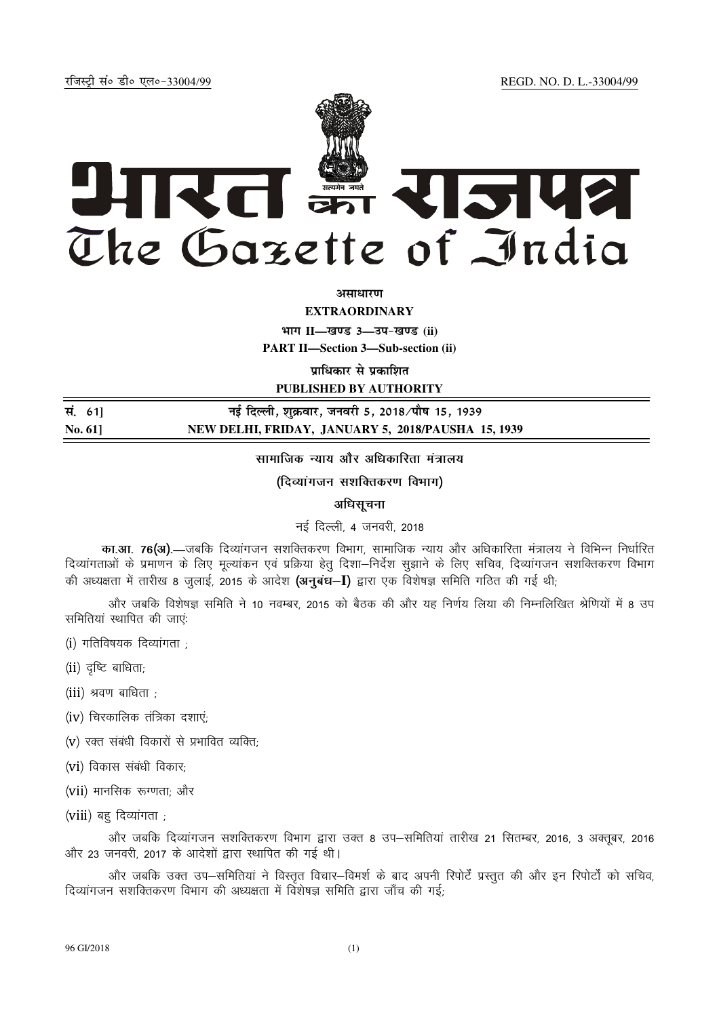jftLVªh laö Mhö ,yö&33004@99 REGD. NO. D. L.-33004/99



*<u>aman</u>* 

**EXTRAORDINARY**

**Hkkx II—[k.M 3—mi&[k.M (ii)**

**PART II—Section 3—Sub-section (ii)** 

**प्राधिकार से प्रकाशित** 

**PUBLISHED BY AUTHORITY**

| सं. 61]        | नई दिल्ली, शुक्रवार, जनवरी 5, 2018 ∕पौष 15, 1939   |
|----------------|----------------------------------------------------|
| <b>No. 611</b> | NEW DELHI, FRIDAY, JANUARY 5, 2018/PAUSHA 15, 1939 |

सामाजिक न्याय और अधिकारिता मंत्रालय

(दिव्यागजन सशक्तिकरण विभाग)

अधिसूचना

नई दिल्ली. 4 जनवरी. 2018

<mark>का.आ. 76(अ).—</mark>जबकि दिव्यांगजन सशक्तिकरण विभाग, सामाजिक न्याय और अधिकारिता मंत्रालय ने विभिन्न निर्धारित दिव्यांगताओं के प्रमाणन के लिए मूल्यांकन एवं प्रक्रिया हेतू दिशा–निर्देश सूझाने के लिए सचिव, दिव्यांगजन सशक्तिकरण विभाग की अध्यक्षता में तारीख 8 जुलाई, 2015 के आदेश (अनुबंध-I) द्वारा एक विशेषज्ञ समिति गठित की गई थी;

और जबकि विशेषज्ञ समिति ने 10 नवम्बर, 2015 को बैठक की और यह निर्णय लिया की निम्नलिखित श्रेणियों में 8 उप समितियां स्थापित की जाए.

 $(i)$  गतिविषयक दिव्यांगता :

 $(ii)$  दुष्टि बाधिता;

(iii) श्रवण बाधिता ;

 $(iv)$  चिरकालिक तंत्रिका दशाएं;

 $(v)$  रक्त संबंधी विकारों से प्रभावित व्यक्ति;

 $(vi)$  विकास संबंधी विकार:

 $(vii)$  मानसिक रूग्णता: और

(viii) बह दिव्यांगता ;

और जबकि दिव्यांगजन सशक्तिकरण विभाग द्वारा उक्त 8 उप–समितियां तारीख 21 सितम्बर, 2016, 3 अक्तूबर, 2016 और 23 जनवरी. 2017 के आदेशों द्वारा स्थापित की गई थी।

और जबकि उक्त उप-समितियां ने विस्तृत विचार–विमर्श के बाद अपनी रिपोर्टें प्रस्तुत की और इन रिपोर्टों को सचिव, दिव्यांगजन सशक्तिकरण विभाग की अध्यक्षता में विशेषज्ञ समिति द्वारा जाँच की गई;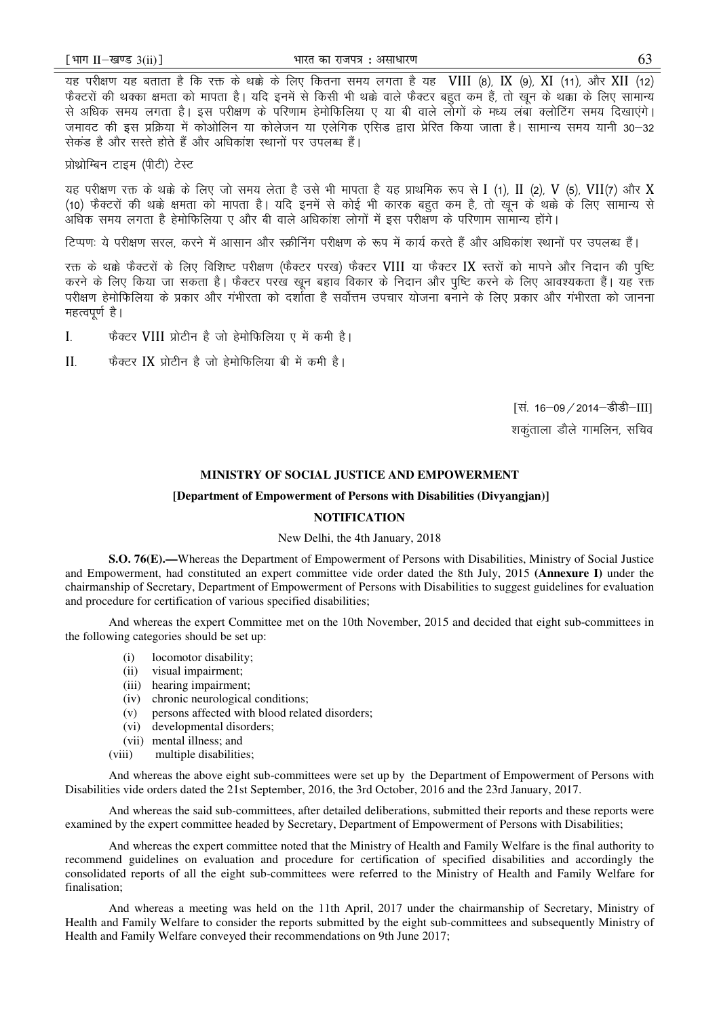यह परीक्षण यह बताता है कि रक्त के थक्के के लिए कितना समय लगता है यह VIII (8), IX (9), XI (11), और XII (12) फैक्टरों की थक्का क्षमता को मापता है। यदि इनमें से किसी भी थक्के वाले फैक्टर बहुत कम हैं, तो खून के थक्का के लिए सामान्य से अधिक समय लगता है। इस परीक्षण के परिणाम हेमोफिलिया ए या बी वाले लोगों के मध्य लंबा क्लोटिंग समय दिखाएंगे। जमावट की इस प्रक्रिया में कोओलिन या कोलेजन या एलेगिक एसिड द्वारा प्रेरित किया जाता है। सामान्य समय यानी 30–32 सेकड़ है और सस्ते होते हैं और अधिकांश स्थानों पर उपलब्ध हैं।

प्रोथ्रोम्बिन टाइम (पीटी) टेस्ट

यह परीक्षण रक्त के थक्के के लिए जो समय लेता है उसे भी मापता है यह प्राथमिक रूप से I (1), II (2), V (5), VII(7) और X (10) फैक्टरों की थक्के क्षमता को मापता है। यदि इनमें से कोई भी कारक बहुत कम है, तो खून के थक्के के लिए सामान्य से अधिक समय लगता है हेमोफिलिया ए और बी वाले अधिकांश लोगों में इस परीक्षण के परिणाम सामान्य होंगे।

दिप्पणः ये परीक्षण सरल, करने में आसान और स्क्रीनिंग परीक्षण के रूप में कार्य करते हैं और अधिकांश स्थानों पर उपलब्ध हैं।

रक्त के थक्के फैक्टरों के लिए विशिष्ट परीक्षण (फैक्टर परख) फैक्टर VIII या फैक्टर IX स्तरों को मापने और निदान की पुष्टि करने के लिए किया जा सकता है। फैक्टर परख खून बहाव विकार के निदान और पुष्टि करने के लिए आवश्यकता हैं। यह रक्त परीक्षण हेमोफिलिया के प्रकार और गंभीरता को दर्शाता है सर्वोत्तम उपचार योजना बनाने के लिए प्रकार और गंभीरता को जानना महत्वपूर्ण है।

I. कैक्टर VIII प्रोटीन है जो हेमोफिलिया ए में कमी है।

 $II$ - फैक्टर IX प्रोटीन है जो हेमोफिलिया बी में कमी है।

[सं. 16-09 / 2014-डीडी-III] शकताला डौले गामलिन, सचिव

## **MINISTRY OF SOCIAL JUSTICE AND EMPOWERMENT**

## **[Department of Empowerment of Persons with Disabilities (Divyangjan)]**

## **NOTIFICATION**

## New Delhi, the 4th January, 2018

**S.O. 76(E).—**Whereas the Department of Empowerment of Persons with Disabilities, Ministry of Social Justice and Empowerment, had constituted an expert committee vide order dated the 8th July, 2015 **(Annexure I)** under the chairmanship of Secretary, Department of Empowerment of Persons with Disabilities to suggest guidelines for evaluation and procedure for certification of various specified disabilities;

And whereas the expert Committee met on the 10th November, 2015 and decided that eight sub-committees in the following categories should be set up:

- (i) locomotor disability;
- (ii) visual impairment;
- (iii) hearing impairment;
- (iv) chronic neurological conditions;
- (v) persons affected with blood related disorders;
- (vi) developmental disorders;
- (vii) mental illness; and
- (viii) multiple disabilities;

And whereas the above eight sub-committees were set up by the Department of Empowerment of Persons with Disabilities vide orders dated the 21st September, 2016, the 3rd October, 2016 and the 23rd January, 2017.

And whereas the said sub-committees, after detailed deliberations, submitted their reports and these reports were examined by the expert committee headed by Secretary, Department of Empowerment of Persons with Disabilities;

And whereas the expert committee noted that the Ministry of Health and Family Welfare is the final authority to recommend guidelines on evaluation and procedure for certification of specified disabilities and accordingly the consolidated reports of all the eight sub-committees were referred to the Ministry of Health and Family Welfare for finalisation;

And whereas a meeting was held on the 11th April, 2017 under the chairmanship of Secretary, Ministry of Health and Family Welfare to consider the reports submitted by the eight sub-committees and subsequently Ministry of Health and Family Welfare conveyed their recommendations on 9th June 2017;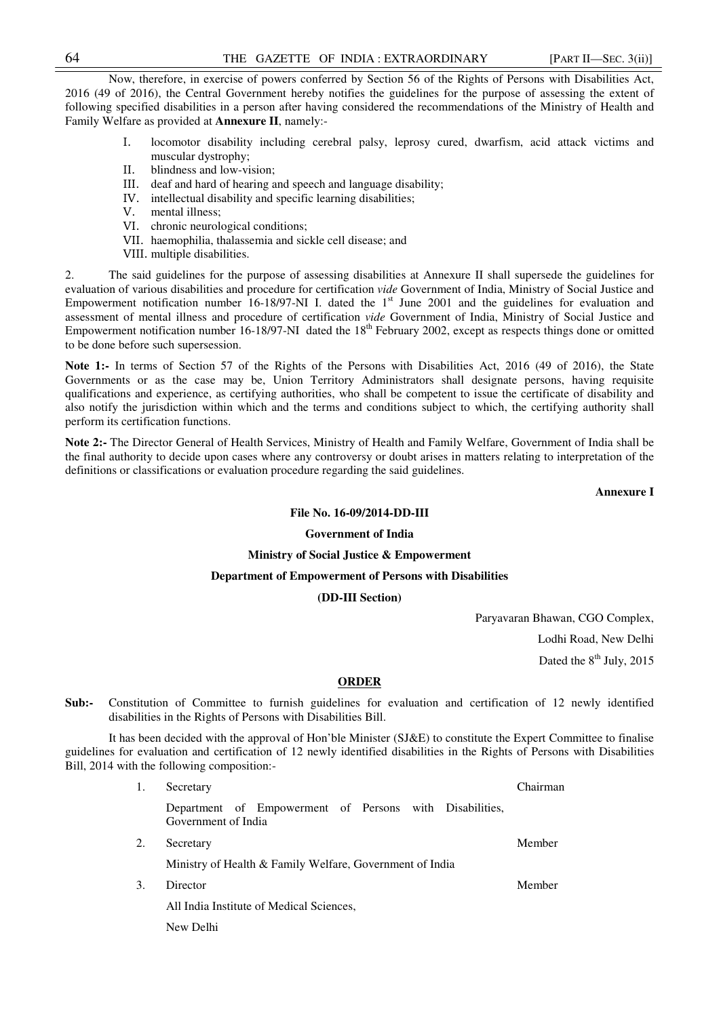Now, therefore, in exercise of powers conferred by Section 56 of the Rights of Persons with Disabilities Act, 2016 (49 of 2016), the Central Government hereby notifies the guidelines for the purpose of assessing the extent of following specified disabilities in a person after having considered the recommendations of the Ministry of Health and Family Welfare as provided at **Annexure II**, namely:-

- I. locomotor disability including cerebral palsy, leprosy cured, dwarfism, acid attack victims and muscular dystrophy;
- II. blindness and low-vision;<br>III. deaf and hard of hearing a
- deaf and hard of hearing and speech and language disability;
- IV. intellectual disability and specific learning disabilities;
- V. mental illness;
- VI. chronic neurological conditions;
- VII. haemophilia, thalassemia and sickle cell disease; and
- VIII. multiple disabilities.

2. The said guidelines for the purpose of assessing disabilities at Annexure II shall supersede the guidelines for evaluation of various disabilities and procedure for certification *vide* Government of India, Ministry of Social Justice and Empowerment notification number 16-18/97-NI I. dated the 1<sup>st</sup> June 2001 and the guidelines for evaluation and assessment of mental illness and procedure of certification *vide* Government of India, Ministry of Social Justice and Empowerment notification number 16-18/97-NI dated the 18<sup>th</sup> February 2002, except as respects things done or omitted to be done before such supersession.

Note 1:- In terms of Section 57 of the Rights of the Persons with Disabilities Act, 2016 (49 of 2016), the State Governments or as the case may be, Union Territory Administrators shall designate persons, having requisite qualifications and experience, as certifying authorities, who shall be competent to issue the certificate of disability and also notify the jurisdiction within which and the terms and conditions subject to which, the certifying authority shall perform its certification functions.

**Note 2:-** The Director General of Health Services, Ministry of Health and Family Welfare, Government of India shall be the final authority to decide upon cases where any controversy or doubt arises in matters relating to interpretation of the definitions or classifications or evaluation procedure regarding the said guidelines.

**Annexure I** 

## **File No. 16-09/2014-DD-III**

#### **Government of India**

#### **Ministry of Social Justice & Empowerment**

## **Department of Empowerment of Persons with Disabilities**

**(DD-III Section)** 

Paryavaran Bhawan, CGO Complex, Lodhi Road, New Delhi Dated the  $8<sup>th</sup>$  July, 2015

#### **ORDER**

**Sub:-** Constitution of Committee to furnish guidelines for evaluation and certification of 12 newly identified disabilities in the Rights of Persons with Disabilities Bill.

 It has been decided with the approval of Hon'ble Minister (SJ&E) to constitute the Expert Committee to finalise guidelines for evaluation and certification of 12 newly identified disabilities in the Rights of Persons with Disabilities Bill, 2014 with the following composition:-

> 1. Secretary Department of Empowerment of Persons with Disabilities, Government of India Chairman 2. Secretary Ministry of Health & Family Welfare, Government of India Member 3. Director All India Institute of Medical Sciences, New Delhi Member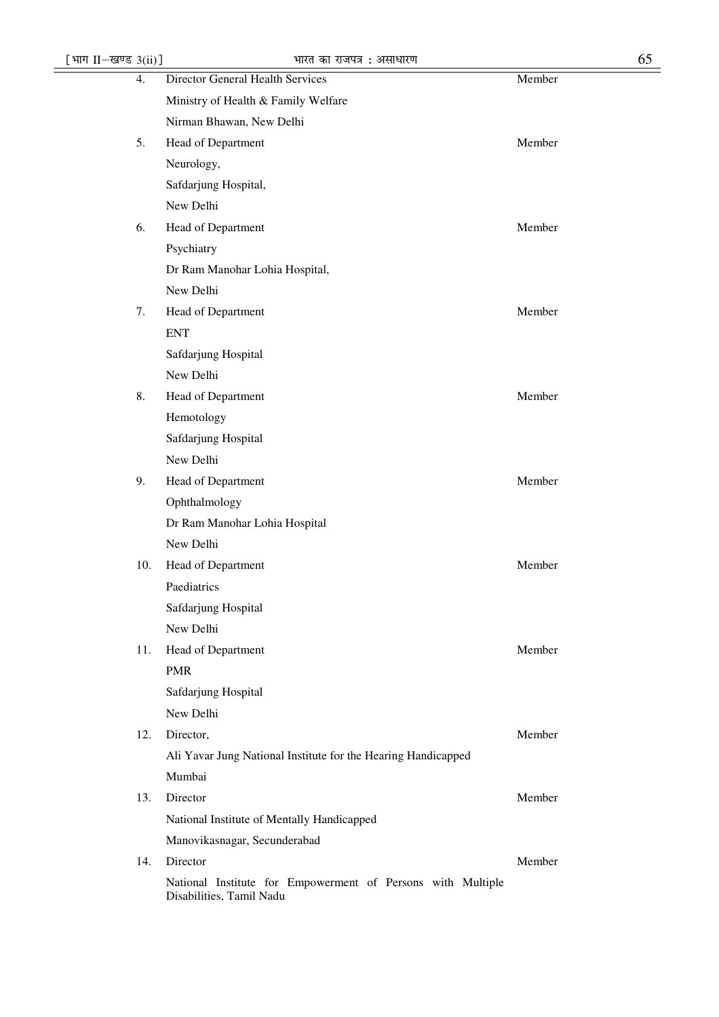| [भाग II-खण्ड $3(ii)$ ] | भारत का राजपत्र : असाधारण                                                               | 65     |
|------------------------|-----------------------------------------------------------------------------------------|--------|
| 4.                     | Director General Health Services                                                        | Member |
|                        | Ministry of Health & Family Welfare                                                     |        |
|                        | Nirman Bhawan, New Delhi                                                                |        |
| 5.                     | Head of Department                                                                      | Member |
|                        | Neurology,                                                                              |        |
|                        | Safdarjung Hospital,                                                                    |        |
|                        | New Delhi                                                                               |        |
| 6.                     | Head of Department                                                                      | Member |
|                        | Psychiatry                                                                              |        |
|                        | Dr Ram Manohar Lohia Hospital,                                                          |        |
|                        | New Delhi                                                                               |        |
| 7.                     | Head of Department                                                                      | Member |
|                        | <b>ENT</b>                                                                              |        |
|                        | Safdarjung Hospital                                                                     |        |
|                        | New Delhi                                                                               |        |
| 8.                     | Head of Department                                                                      | Member |
|                        | Hemotology                                                                              |        |
|                        | Safdarjung Hospital                                                                     |        |
|                        | New Delhi                                                                               |        |
| 9.                     | Head of Department                                                                      | Member |
|                        | Ophthalmology                                                                           |        |
|                        | Dr Ram Manohar Lohia Hospital                                                           |        |
|                        | New Delhi                                                                               |        |
| 10.                    | Head of Department                                                                      | Member |
|                        | Paediatrics                                                                             |        |
|                        | Safdarjung Hospital                                                                     |        |
|                        | New Delhi                                                                               |        |
| 11.                    | Head of Department                                                                      | Member |
|                        | <b>PMR</b>                                                                              |        |
|                        | Safdarjung Hospital                                                                     |        |
|                        | New Delhi                                                                               |        |
| 12.                    | Director,                                                                               | Member |
|                        | Ali Yavar Jung National Institute for the Hearing Handicapped                           |        |
|                        | Mumbai                                                                                  |        |
| 13.                    | Director                                                                                | Member |
|                        | National Institute of Mentally Handicapped                                              |        |
|                        | Manovikasnagar, Secunderabad                                                            |        |
| 14.                    | Director                                                                                | Member |
|                        | National Institute for Empowerment of Persons with Multiple<br>Disabilities, Tamil Nadu |        |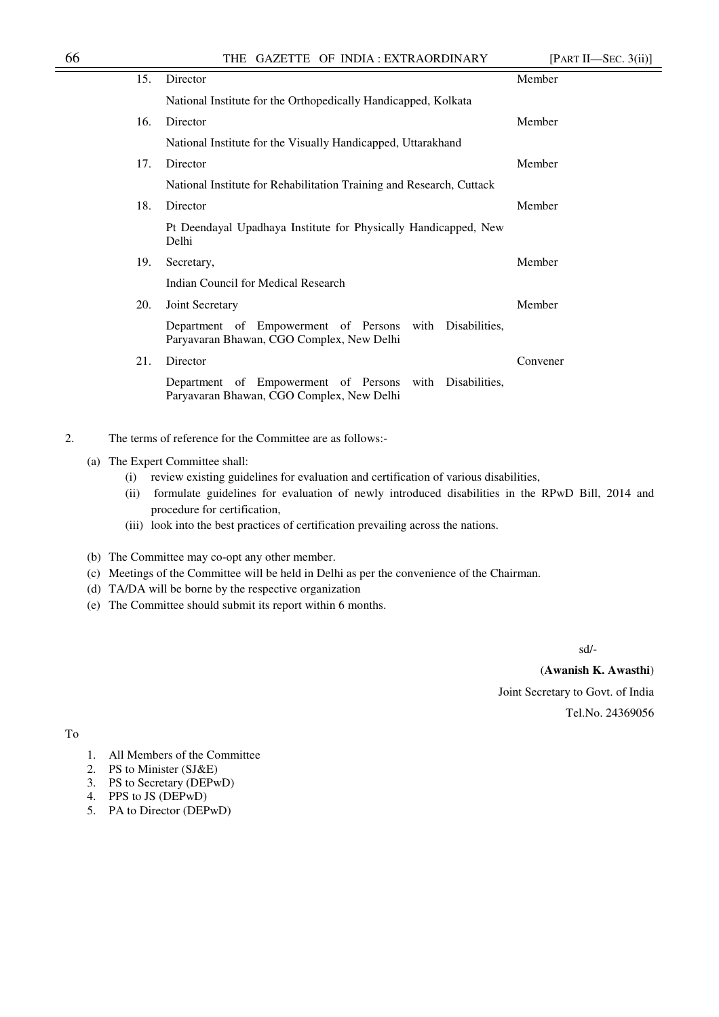| 15. | Director                                                                                             | Member   |
|-----|------------------------------------------------------------------------------------------------------|----------|
|     | National Institute for the Orthopedically Handicapped, Kolkata                                       |          |
| 16. | Director                                                                                             | Member   |
|     | National Institute for the Visually Handicapped, Uttarakhand                                         |          |
| 17. | Director                                                                                             | Member   |
|     | National Institute for Rehabilitation Training and Research, Cuttack                                 |          |
| 18. | Director                                                                                             | Member   |
|     | Pt Deendayal Upadhaya Institute for Physically Handicapped, New<br>Delhi                             |          |
| 19. | Secretary,                                                                                           | Member   |
|     | Indian Council for Medical Research                                                                  |          |
| 20. | Joint Secretary                                                                                      | Member   |
|     | Department of Empowerment of Persons with Disabilities,<br>Paryavaran Bhawan, CGO Complex, New Delhi |          |
| 21. | Director                                                                                             | Convener |
|     | Department of Empowerment of Persons with Disabilities,<br>Paryavaran Bhawan, CGO Complex, New Delhi |          |
|     |                                                                                                      |          |

- 2. The terms of reference for the Committee are as follows:-
	- (a) The Expert Committee shall:
		- (i) review existing guidelines for evaluation and certification of various disabilities,
		- (ii) formulate guidelines for evaluation of newly introduced disabilities in the RPwD Bill, 2014 and procedure for certification,
		- (iii) look into the best practices of certification prevailing across the nations.
	- (b) The Committee may co-opt any other member.
	- (c) Meetings of the Committee will be held in Delhi as per the convenience of the Chairman.
	- (d) TA/DA will be borne by the respective organization
	- (e) The Committee should submit its report within 6 months.

sd/-

(**Awanish K. Awasthi**) Joint Secretary to Govt. of India Tel.No. 24369056

To

- 1. All Members of the Committee
- 2. PS to Minister (SJ&E)
- 3. PS to Secretary (DEPwD)
- 4. PPS to JS (DEPwD)
- 5. PA to Director (DEPwD)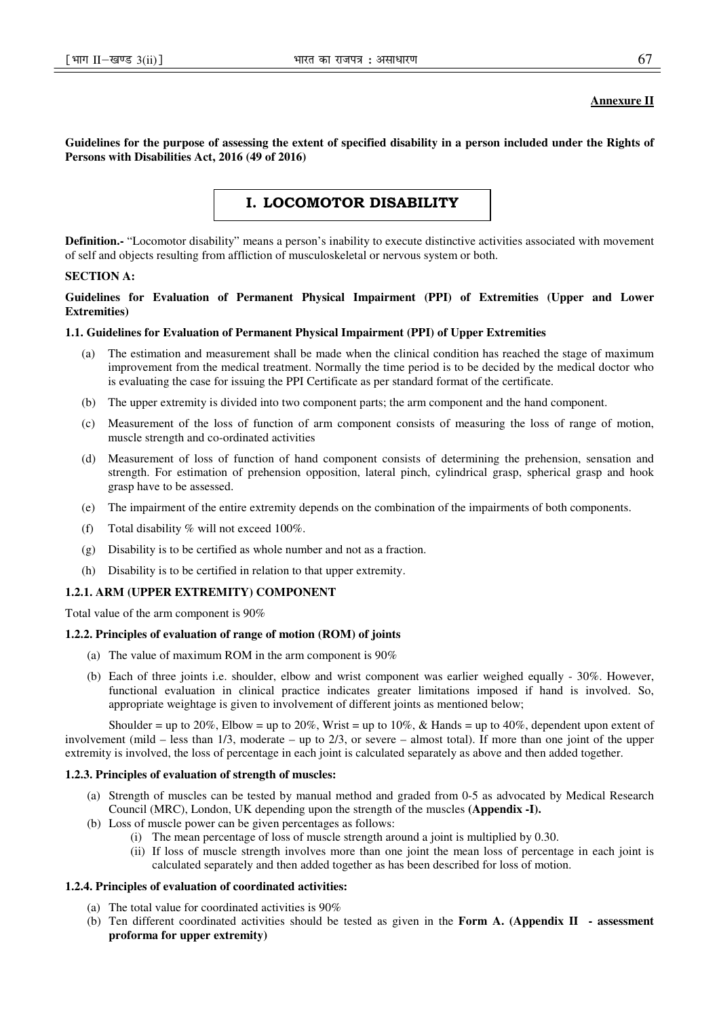# **Annexure II**

**Guidelines for the purpose of assessing the extent of specified disability in a person included under the Rights of Persons with Disabilities Act, 2016 (49 of 2016)** 

# I. LOCOMOTOR DISABILITY

**Definition.-** "Locomotor disability" means a person's inability to execute distinctive activities associated with movement of self and objects resulting from affliction of musculoskeletal or nervous system or both.

## **SECTION A:**

# **Guidelines for Evaluation of Permanent Physical Impairment (PPI) of Extremities (Upper and Lower Extremities)**

## **1.1. Guidelines for Evaluation of Permanent Physical Impairment (PPI) of Upper Extremities**

- (a) The estimation and measurement shall be made when the clinical condition has reached the stage of maximum improvement from the medical treatment. Normally the time period is to be decided by the medical doctor who is evaluating the case for issuing the PPI Certificate as per standard format of the certificate.
- (b) The upper extremity is divided into two component parts; the arm component and the hand component.
- (c) Measurement of the loss of function of arm component consists of measuring the loss of range of motion, muscle strength and co-ordinated activities
- (d) Measurement of loss of function of hand component consists of determining the prehension, sensation and strength. For estimation of prehension opposition, lateral pinch, cylindrical grasp, spherical grasp and hook grasp have to be assessed.
- (e) The impairment of the entire extremity depends on the combination of the impairments of both components.
- (f) Total disability  $\%$  will not exceed 100%.
- (g) Disability is to be certified as whole number and not as a fraction.
- (h) Disability is to be certified in relation to that upper extremity.

# **1.2.1. ARM (UPPER EXTREMITY) COMPONENT**

Total value of the arm component is 90%

#### **1.2.2. Principles of evaluation of range of motion (ROM) of joints**

- (a) The value of maximum ROM in the arm component is 90%
- (b) Each of three joints i.e. shoulder, elbow and wrist component was earlier weighed equally 30%. However, functional evaluation in clinical practice indicates greater limitations imposed if hand is involved. So, appropriate weightage is given to involvement of different joints as mentioned below;

Shoulder = up to 20%, Elbow = up to 20%, Wrist = up to 10%, & Hands = up to 40%, dependent upon extent of involvement (mild – less than 1/3, moderate – up to 2/3, or severe – almost total). If more than one joint of the upper extremity is involved, the loss of percentage in each joint is calculated separately as above and then added together.

## **1.2.3. Principles of evaluation of strength of muscles:**

- (a) Strength of muscles can be tested by manual method and graded from 0-5 as advocated by Medical Research Council (MRC), London, UK depending upon the strength of the muscles **(Appendix -I).**
- (b) Loss of muscle power can be given percentages as follows:
	- (i) The mean percentage of loss of muscle strength around a joint is multiplied by 0.30.
	- (ii) If loss of muscle strength involves more than one joint the mean loss of percentage in each joint is calculated separately and then added together as has been described for loss of motion.

#### **1.2.4. Principles of evaluation of coordinated activities:**

- (a) The total value for coordinated activities is 90%
- (b) Ten different coordinated activities should be tested as given in the **Form A. (Appendix II assessment proforma for upper extremity)**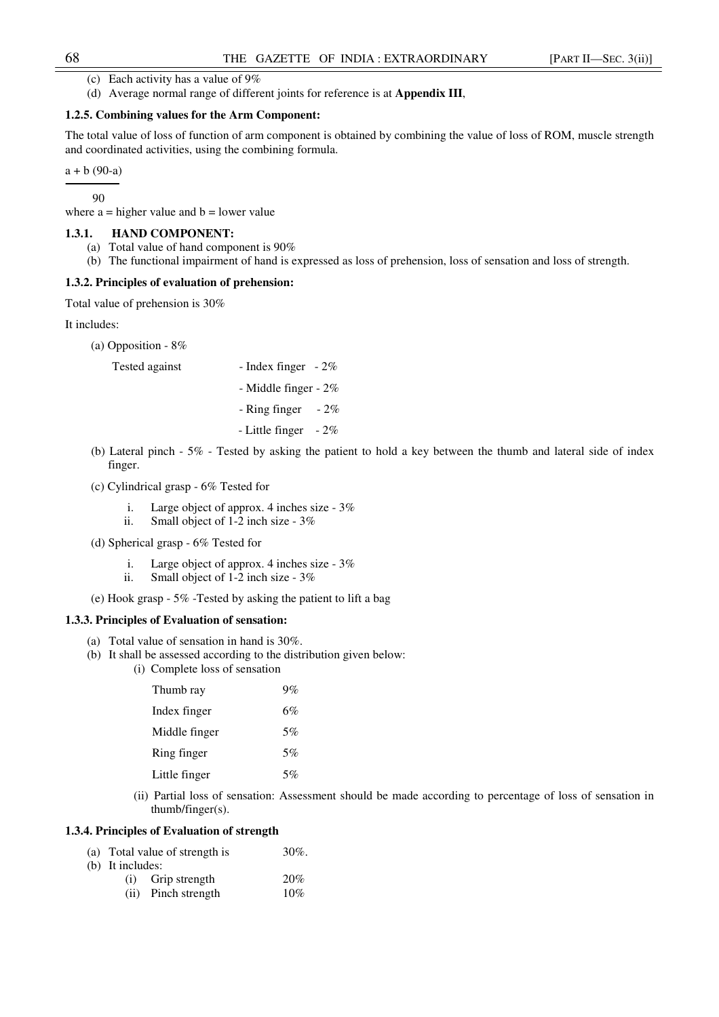- (c) Each activity has a value of  $9\%$
- (d) Average normal range of different joints for reference is at **Appendix III**,

## **1.2.5. Combining values for the Arm Component:**

The total value of loss of function of arm component is obtained by combining the value of loss of ROM, muscle strength and coordinated activities, using the combining formula.

 $a + b (90-a)$ 

90

where  $a =$  higher value and  $b =$  lower value

## **1.3.1. HAND COMPONENT:**

- (a) Total value of hand component is 90%
- (b) The functional impairment of hand is expressed as loss of prehension, loss of sensation and loss of strength.

## **1.3.2. Principles of evaluation of prehension:**

Total value of prehension is 30%

It includes:

(a) Opposition - 8%

Tested against - Index finger - 2%

- Middle finger - 2%

 $-$  Ring finger  $-2\%$ 

- Little finger - 2%

- (b) Lateral pinch 5% Tested by asking the patient to hold a key between the thumb and lateral side of index finger.
- (c) Cylindrical grasp 6% Tested for
	- i. Large object of approx. 4 inches size 3%
	- ii. Small object of 1-2 inch size 3%
- (d) Spherical grasp 6% Tested for
	- i. Large object of approx. 4 inches size 3%
	- ii. Small object of 1-2 inch size 3%
- (e) Hook grasp 5% -Tested by asking the patient to lift a bag

#### **1.3.3. Principles of Evaluation of sensation:**

- (a) Total value of sensation in hand is 30%.
- (b) It shall be assessed according to the distribution given below:
	- (i) Complete loss of sensation

| Thumb ray     | $9\%$ |
|---------------|-------|
| Index finger  | 6%    |
| Middle finger | 5%    |
| Ring finger   | 5%    |
| Little finger | 5%    |

(ii) Partial loss of sensation: Assessment should be made according to percentage of loss of sensation in thumb/finger(s).

# **1.3.4. Principles of Evaluation of strength**

- (a) Total value of strength is  $30\%$ .
- (b) It includes:
	- (i) Grip strength 20% (ii) Pinch strength 10%

<sup>-</sup>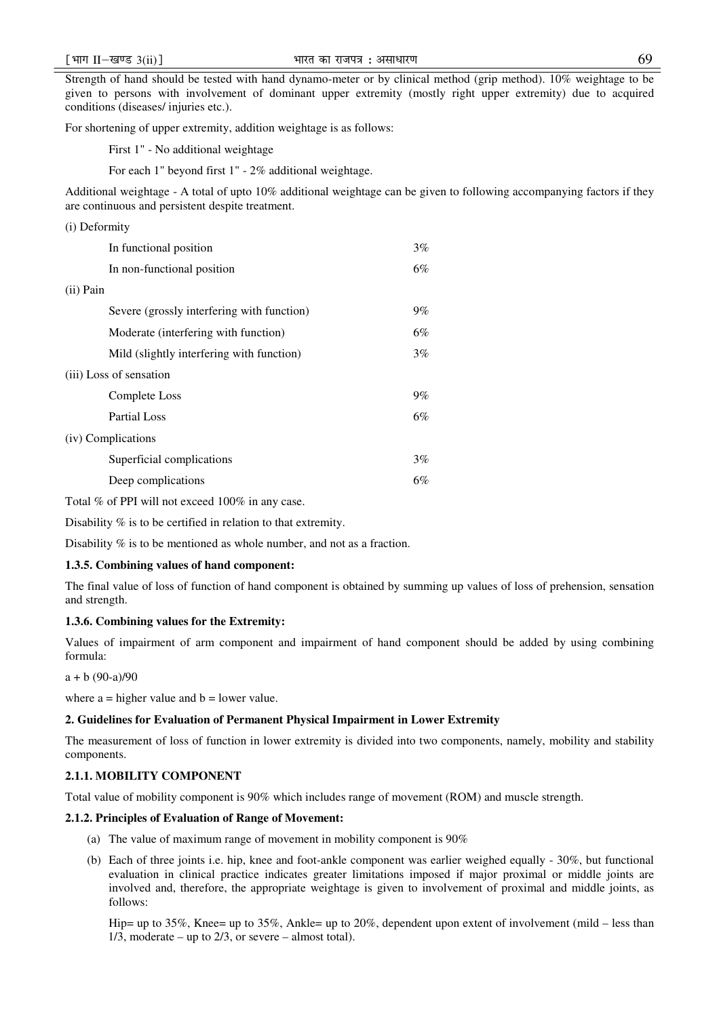Strength of hand should be tested with hand dynamo-meter or by clinical method (grip method). 10% weightage to be given to persons with involvement of dominant upper extremity (mostly right upper extremity) due to acquired conditions (diseases/ injuries etc.).

For shortening of upper extremity, addition weightage is as follows:

First 1" - No additional weightage

For each 1" beyond first 1" - 2% additional weightage.

Additional weightage - A total of upto 10% additional weightage can be given to following accompanying factors if they are continuous and persistent despite treatment.

| (i) Deformity                              |       |
|--------------------------------------------|-------|
| In functional position                     | $3\%$ |
| In non-functional position                 | 6%    |
| $(ii)$ Pain                                |       |
| Severe (grossly interfering with function) | $9\%$ |
| Moderate (interfering with function)       | 6%    |
| Mild (slightly interfering with function)  | $3\%$ |
| (iii) Loss of sensation                    |       |
| Complete Loss                              | $9\%$ |
| <b>Partial Loss</b>                        | 6%    |
| (iv) Complications                         |       |
| Superficial complications                  | $3\%$ |
| Deep complications                         | 6%    |

Total % of PPI will not exceed 100% in any case.

Disability % is to be certified in relation to that extremity.

Disability % is to be mentioned as whole number, and not as a fraction.

#### **1.3.5. Combining values of hand component:**

The final value of loss of function of hand component is obtained by summing up values of loss of prehension, sensation and strength.

## **1.3.6. Combining values for the Extremity:**

Values of impairment of arm component and impairment of hand component should be added by using combining formula:

 $a + b (90-a)/90$ 

where  $a =$  higher value and  $b =$  lower value.

# **2. Guidelines for Evaluation of Permanent Physical Impairment in Lower Extremity**

The measurement of loss of function in lower extremity is divided into two components, namely, mobility and stability components.

## **2.1.1. MOBILITY COMPONENT**

Total value of mobility component is 90% which includes range of movement (ROM) and muscle strength.

## **2.1.2. Principles of Evaluation of Range of Movement:**

- (a) The value of maximum range of movement in mobility component is 90%
- (b) Each of three joints i.e. hip, knee and foot-ankle component was earlier weighed equally 30%, but functional evaluation in clinical practice indicates greater limitations imposed if major proximal or middle joints are involved and, therefore, the appropriate weightage is given to involvement of proximal and middle joints, as follows:

Hip= up to 35%, Knee= up to 35%, Ankle= up to 20%, dependent upon extent of involvement (mild – less than  $1/3$ , moderate – up to  $2/3$ , or severe – almost total).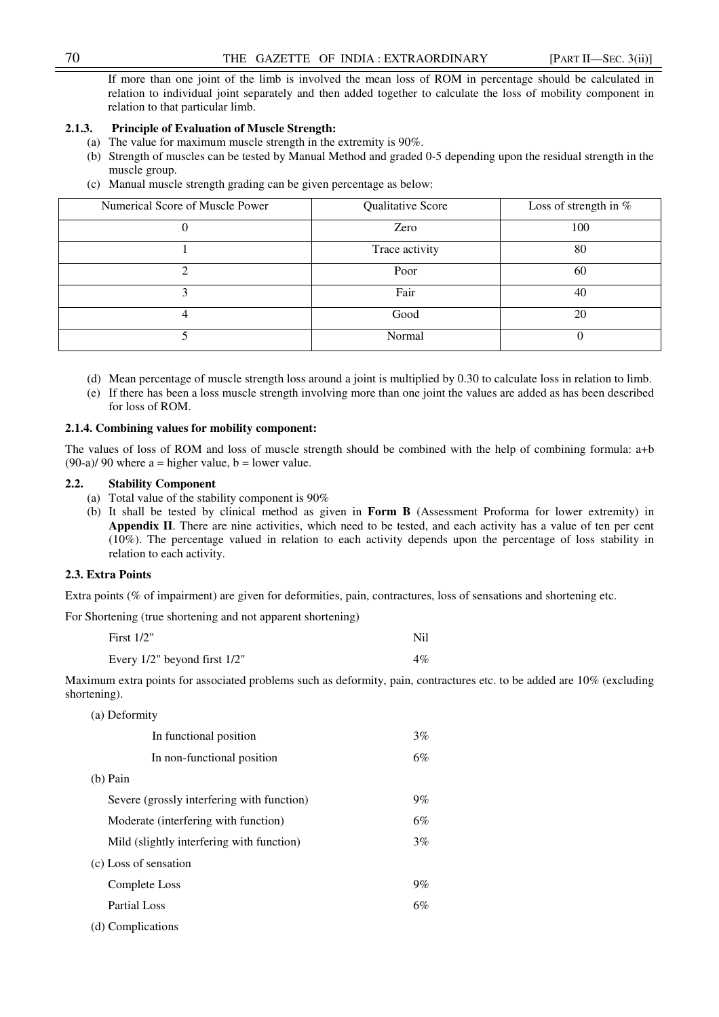If more than one joint of the limb is involved the mean loss of ROM in percentage should be calculated in relation to individual joint separately and then added together to calculate the loss of mobility component in relation to that particular limb.

## **2.1.3. Principle of Evaluation of Muscle Strength:**

- (a) The value for maximum muscle strength in the extremity is 90%.
- (b) Strength of muscles can be tested by Manual Method and graded 0-5 depending upon the residual strength in the muscle group.
- (c) Manual muscle strength grading can be given percentage as below:

| Numerical Score of Muscle Power | Qualitative Score | Loss of strength in % |
|---------------------------------|-------------------|-----------------------|
|                                 | Zero              | 100                   |
|                                 | Trace activity    | 80                    |
|                                 | Poor              | 60                    |
|                                 | Fair              | 40                    |
|                                 | Good              | 20                    |
|                                 | Normal            |                       |

- (d) Mean percentage of muscle strength loss around a joint is multiplied by 0.30 to calculate loss in relation to limb.
- (e) If there has been a loss muscle strength involving more than one joint the values are added as has been described for loss of ROM.

# **2.1.4. Combining values for mobility component:**

The values of loss of ROM and loss of muscle strength should be combined with the help of combining formula: a+b  $(90-a)/90$  where a = higher value, b = lower value.

#### **2.2. Stability Component**

- (a) Total value of the stability component is 90%
- (b) It shall be tested by clinical method as given in **Form B** (Assessment Proforma for lower extremity) in **Appendix II**. There are nine activities, which need to be tested, and each activity has a value of ten per cent (10%). The percentage valued in relation to each activity depends upon the percentage of loss stability in relation to each activity.

## **2.3. Extra Points**

Extra points (% of impairment) are given for deformities, pain, contractures, loss of sensations and shortening etc.

For Shortening (true shortening and not apparent shortening)

| First $1/2$ "                | Nil   |
|------------------------------|-------|
| Every 1/2" beyond first 1/2" | $4\%$ |

Maximum extra points for associated problems such as deformity, pain, contractures etc. to be added are 10% (excluding shortening).

| (a) Deformity                              |       |
|--------------------------------------------|-------|
| In functional position                     | $3\%$ |
| In non-functional position                 | 6%    |
| $(b)$ Pain                                 |       |
| Severe (grossly interfering with function) | $9\%$ |
| Moderate (interfering with function)       | 6%    |
| Mild (slightly interfering with function)  | 3%    |
| (c) Loss of sensation                      |       |
| Complete Loss                              | $9\%$ |
| Partial Loss                               | 6%    |
| (d) Complications                          |       |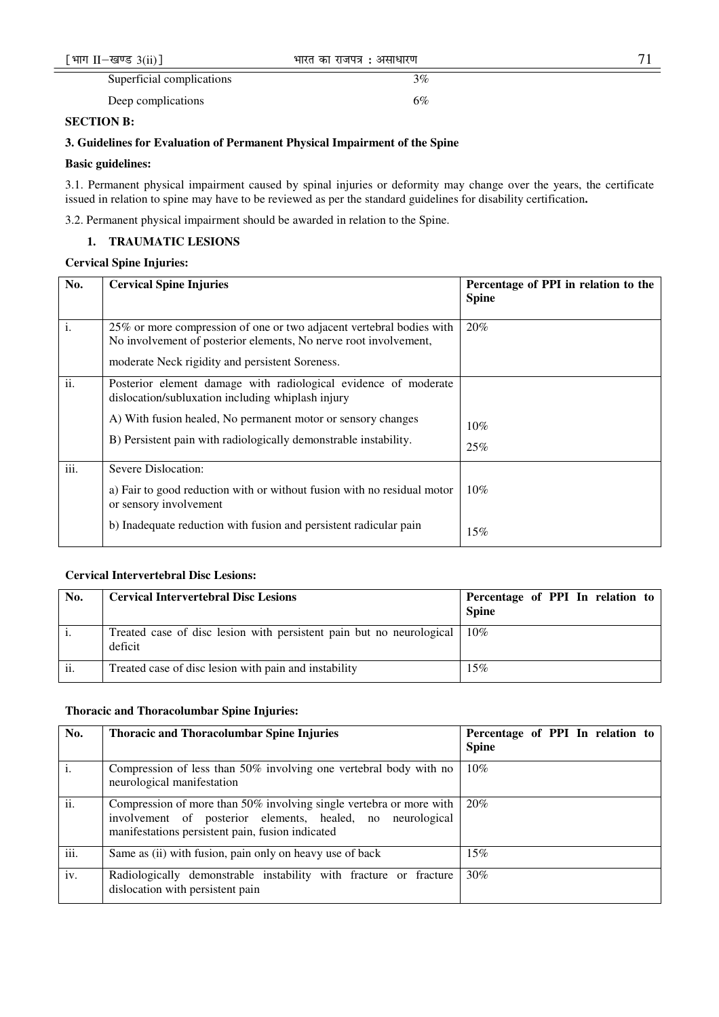| [भाग II-खण्ड $3(ii)$ ]    | भारत का राजपत्र : असाधारण |  |
|---------------------------|---------------------------|--|
| Superficial complications | 3%                        |  |
| Deep complications        | 6%                        |  |

# **SECTION B:**

# **3. Guidelines for Evaluation of Permanent Physical Impairment of the Spine**

# **Basic guidelines:**

3.1. Permanent physical impairment caused by spinal injuries or deformity may change over the years, the certificate issued in relation to spine may have to be reviewed as per the standard guidelines for disability certification**.** 

3.2. Permanent physical impairment should be awarded in relation to the Spine.

# **1. TRAUMATIC LESIONS**

# **Cervical Spine Injuries:**

| No.  | <b>Cervical Spine Injuries</b>                                                                                                                                                                | Percentage of PPI in relation to the<br><b>Spine</b> |
|------|-----------------------------------------------------------------------------------------------------------------------------------------------------------------------------------------------|------------------------------------------------------|
| i.   | 25% or more compression of one or two adjacent vertebral bodies with<br>No involvement of posterior elements, No nerve root involvement,<br>moderate Neck rigidity and persistent Soreness.   | 20%                                                  |
| ii.  | Posterior element damage with radiological evidence of moderate<br>dislocation/subluxation including whiplash injury                                                                          |                                                      |
|      | A) With fusion healed, No permanent motor or sensory changes<br>B) Persistent pain with radiologically demonstrable instability.                                                              | $10\%$<br>25%                                        |
| iii. | Severe Dislocation:<br>a) Fair to good reduction with or without fusion with no residual motor<br>or sensory involvement<br>b) Inadequate reduction with fusion and persistent radicular pain | 10%                                                  |
|      |                                                                                                                                                                                               | 15%                                                  |

# **Cervical Intervertebral Disc Lesions:**

| No. | <b>Cervical Intervertebral Disc Lesions</b>                                     | Percentage of PPI In relation to<br><b>Spine</b> |
|-----|---------------------------------------------------------------------------------|--------------------------------------------------|
|     | Treated case of disc lesion with persistent pain but no neurological<br>deficit | 10%                                              |
| ii. | Treated case of disc lesion with pain and instability                           | 15%                                              |

# **Thoracic and Thoracolumbar Spine Injuries:**

| No.  | <b>Thoracic and Thoracolumbar Spine Injuries</b>                                                                                                                                      | Percentage of PPI In relation to<br><b>Spine</b> |
|------|---------------------------------------------------------------------------------------------------------------------------------------------------------------------------------------|--------------------------------------------------|
|      | Compression of less than 50% involving one vertebral body with no<br>neurological manifestation                                                                                       | 10%                                              |
| ii.  | Compression of more than 50% involving single vertebra or more with<br>involvement of posterior elements, healed, no neurological<br>manifestations persistent pain, fusion indicated | 20%                                              |
| iii. | Same as (ii) with fusion, pain only on heavy use of back                                                                                                                              | 15%                                              |
| iv.  | Radiologically demonstrable instability with fracture or fracture<br>dislocation with persistent pain                                                                                 | 30%                                              |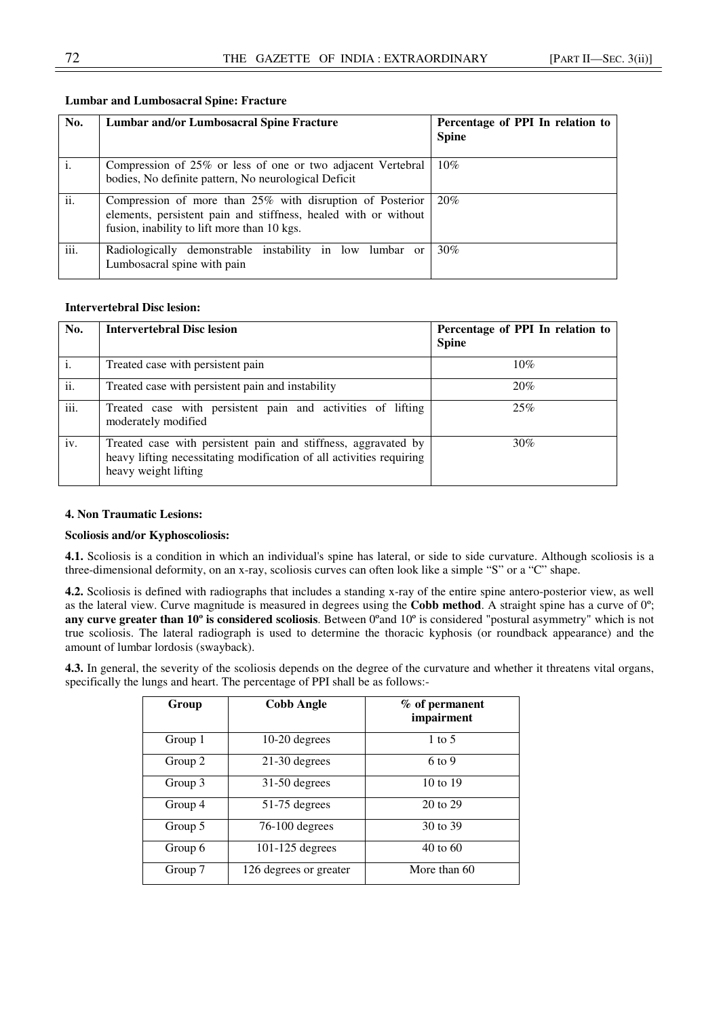| No.            | <b>Lumbar and/or Lumbosacral Spine Fracture</b>                                                                                                                             | Percentage of PPI In relation to<br><b>Spine</b> |
|----------------|-----------------------------------------------------------------------------------------------------------------------------------------------------------------------------|--------------------------------------------------|
| $\mathbf{i}$ . | Compression of 25% or less of one or two adjacent Vertebral<br>bodies, No definite pattern, No neurological Deficit                                                         | 10%                                              |
| ii.            | Compression of more than 25% with disruption of Posterior<br>elements, persistent pain and stiffness, healed with or without<br>fusion, inability to lift more than 10 kgs. | 20%                                              |
| iii.           | Radiologically demonstrable instability in low lumbar or<br>Lumbosacral spine with pain                                                                                     | 30%                                              |

# **Lumbar and Lumbosacral Spine: Fracture**

# **Intervertebral Disc lesion:**

| No.            | <b>Intervertebral Disc lesion</b>                                                                                                                              | Percentage of PPI In relation to<br><b>Spine</b> |
|----------------|----------------------------------------------------------------------------------------------------------------------------------------------------------------|--------------------------------------------------|
| $\mathbf{i}$ . | Treated case with persistent pain                                                                                                                              | 10%                                              |
| ii.            | Treated case with persistent pain and instability                                                                                                              | 20%                                              |
| iii.           | Treated case with persistent pain and activities of lifting<br>moderately modified                                                                             | 25%                                              |
| iv.            | Treated case with persistent pain and stiffness, aggravated by<br>heavy lifting necessitating modification of all activities requiring<br>heavy weight lifting | 30%                                              |

## **4. Non Traumatic Lesions:**

# **Scoliosis and/or Kyphoscoliosis:**

**4.1.** Scoliosis is a condition in which an individual's spine has lateral, or side to side curvature. Although scoliosis is a three-dimensional deformity, on an x-ray, scoliosis curves can often look like a simple "S" or a "C" shape.

**4.2.** Scoliosis is defined with radiographs that includes a standing x-ray of the entire spine antero-posterior view, as well as the lateral view. Curve magnitude is measured in degrees using the **Cobb method**. A straight spine has a curve of 0º; **any curve greater than 10<sup>°</sup> is considered scoliosis**. Between 0°and 10° is considered "postural asymmetry" which is not true scoliosis. The lateral radiograph is used to determine the thoracic kyphosis (or roundback appearance) and the amount of lumbar lordosis (swayback).

**4.3.** In general, the severity of the scoliosis depends on the degree of the curvature and whether it threatens vital organs, specifically the lungs and heart. The percentage of PPI shall be as follows:-

| Group   | <b>Cobb Angle</b>      | % of permanent<br>impairment |
|---------|------------------------|------------------------------|
| Group 1 | 10-20 degrees          | 1 to 5                       |
| Group 2 | $21-30$ degrees        | 6 to 9                       |
| Group 3 | $31-50$ degrees        | 10 to 19                     |
| Group 4 | $51-75$ degrees        | 20 to 29                     |
| Group 5 | $76-100$ degrees       | 30 to 39                     |
| Group 6 | $101-125$ degrees      | $40$ to $60$                 |
| Group 7 | 126 degrees or greater | More than 60                 |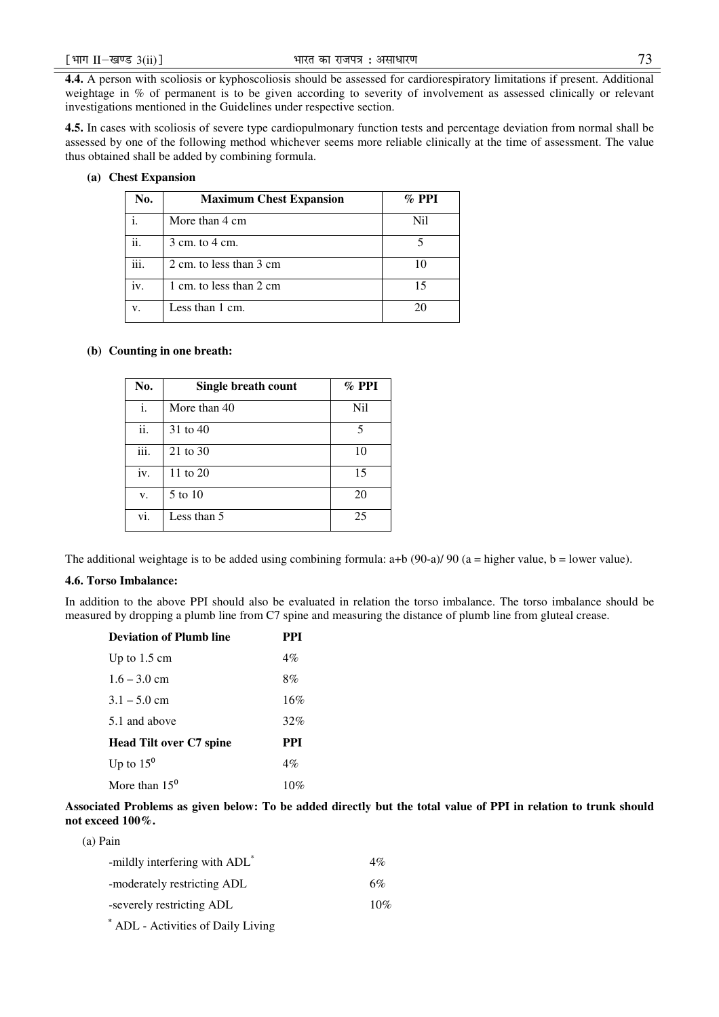**4.4.** A person with scoliosis or kyphoscoliosis should be assessed for cardiorespiratory limitations if present. Additional weightage in % of permanent is to be given according to severity of involvement as assessed clinically or relevant investigations mentioned in the Guidelines under respective section.

**4.5.** In cases with scoliosis of severe type cardiopulmonary function tests and percentage deviation from normal shall be assessed by one of the following method whichever seems more reliable clinically at the time of assessment. The value thus obtained shall be added by combining formula.

# **(a) Chest Expansion**

| No.  | <b>Maximum Chest Expansion</b> | $\%$ PPI |
|------|--------------------------------|----------|
|      | More than 4 cm                 | Nil      |
| ii.  | 3 cm. to 4 cm.                 |          |
| iii. | 2 cm, to less than 3 cm        | 10       |
| iv.  | 1 cm. to less than 2 cm.       | 15       |
| V.   | Less than 1 cm.                | 20       |

## **(b) Counting in one breath:**

| No.  | Single breath count | $\%$ PPI |
|------|---------------------|----------|
| i.   | More than 40        | Nil      |
| ii.  | 31 to 40            | 5        |
| iii. | 21 to 30            | 10       |
| iv.  | 11 to 20            | 15       |
| v.   | 5 to 10             | 20       |
| vi.  | Less than 5         | 25       |

The additional weightage is to be added using combining formula:  $a+b(90-a)/90$  ( $a =$  higher value,  $b =$  lower value).

## **4.6. Torso Imbalance:**

In addition to the above PPI should also be evaluated in relation the torso imbalance. The torso imbalance should be measured by dropping a plumb line from C7 spine and measuring the distance of plumb line from gluteal crease.

| <b>Deviation of Plumb line</b> | PPI        |
|--------------------------------|------------|
| Up to $1.5 \text{ cm}$         | $4\%$      |
| $1.6 - 3.0$ cm                 | 8%         |
| $3.1 - 5.0$ cm                 | 16%        |
| 5.1 and above                  | 32%        |
| <b>Head Tilt over C7 spine</b> | <b>PPI</b> |
| Up to $15^{\circ}$             | $4\%$      |
| More than $150$                | 10%        |

**Associated Problems as given below: To be added directly but the total value of PPI in relation to trunk should not exceed 100%.** 

(a) Pain

| -mildly interfering with ADL*      | 4%  |
|------------------------------------|-----|
| -moderately restricting ADL        | 6%  |
| -severely restricting ADL          | 10% |
| * ADL - Activities of Daily Living |     |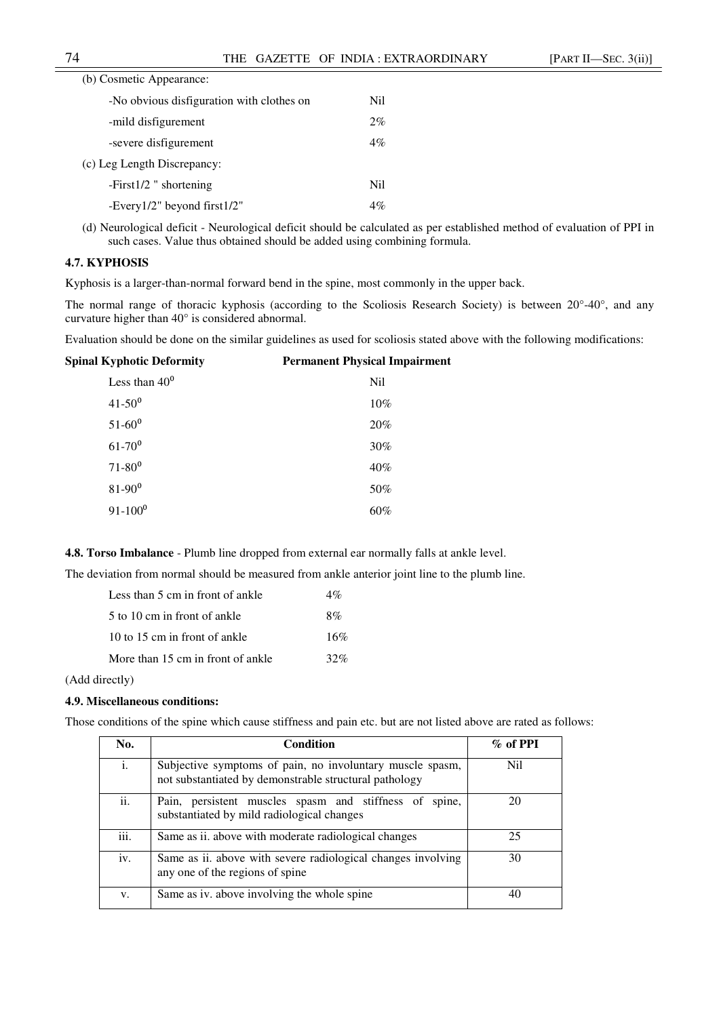| (b) Cosmetic Appearance:                  |       |
|-------------------------------------------|-------|
| -No obvious disfiguration with clothes on | Nil.  |
| -mild disfigurement                       | 2%    |
| -severe disfigurement                     | $4\%$ |
| (c) Leg Length Discrepancy:               |       |
| $-First1/2$ " shortening                  | Nil.  |
| -Every $1/2$ " beyond first $1/2$ "       | $4\%$ |
|                                           |       |

(d) Neurological deficit - Neurological deficit should be calculated as per established method of evaluation of PPI in such cases. Value thus obtained should be added using combining formula.

# **4.7. KYPHOSIS**

Kyphosis is a larger-than-normal forward bend in the spine, most commonly in the upper back.

The normal range of thoracic kyphosis (according to the Scoliosis Research Society) is between 20°-40°, and any curvature higher than 40° is considered abnormal.

Evaluation should be done on the similar guidelines as used for scoliosis stated above with the following modifications:

| <b>Spinal Kyphotic Deformity</b> | <b>Permanent Physical Impairment</b> |
|----------------------------------|--------------------------------------|
| Less than $40^0$                 | N <sub>il</sub>                      |
| $41 - 50^{0}$                    | $10\%$                               |
| $51 - 60^0$                      | 20%                                  |
| $61 - 70$ <sup>0</sup>           | 30%                                  |
| $71 - 80^0$                      | 40%                                  |
| $81 - 90^0$                      | 50%                                  |
| $91 - 100^0$                     | 60%                                  |
|                                  |                                      |

**4.8. Torso Imbalance** - Plumb line dropped from external ear normally falls at ankle level.

The deviation from normal should be measured from ankle anterior joint line to the plumb line.

| Less than 5 cm in front of ankle  | $4\%$ |
|-----------------------------------|-------|
| 5 to 10 cm in front of ankle      | 8%    |
| 10 to 15 cm in front of ankle     | 16%   |
| More than 15 cm in front of ankle | 32%   |

(Add directly)

#### **4.9. Miscellaneous conditions:**

Those conditions of the spine which cause stiffness and pain etc. but are not listed above are rated as follows:

| No.  | <b>Condition</b>                                                                                                    | $\%$ of PPI |
|------|---------------------------------------------------------------------------------------------------------------------|-------------|
| i.   | Subjective symptoms of pain, no involuntary muscle spasm,<br>not substantiated by demonstrable structural pathology | Nil         |
| ii.  | Pain, persistent muscles spasm and stiffness of spine,<br>substantiated by mild radiological changes                | 20          |
| iii. | Same as ii. above with moderate radiological changes                                                                | 25          |
| iv.  | Same as ii. above with severe radiological changes involving<br>any one of the regions of spine                     | 30          |
| V.   | Same as iv. above involving the whole spine                                                                         |             |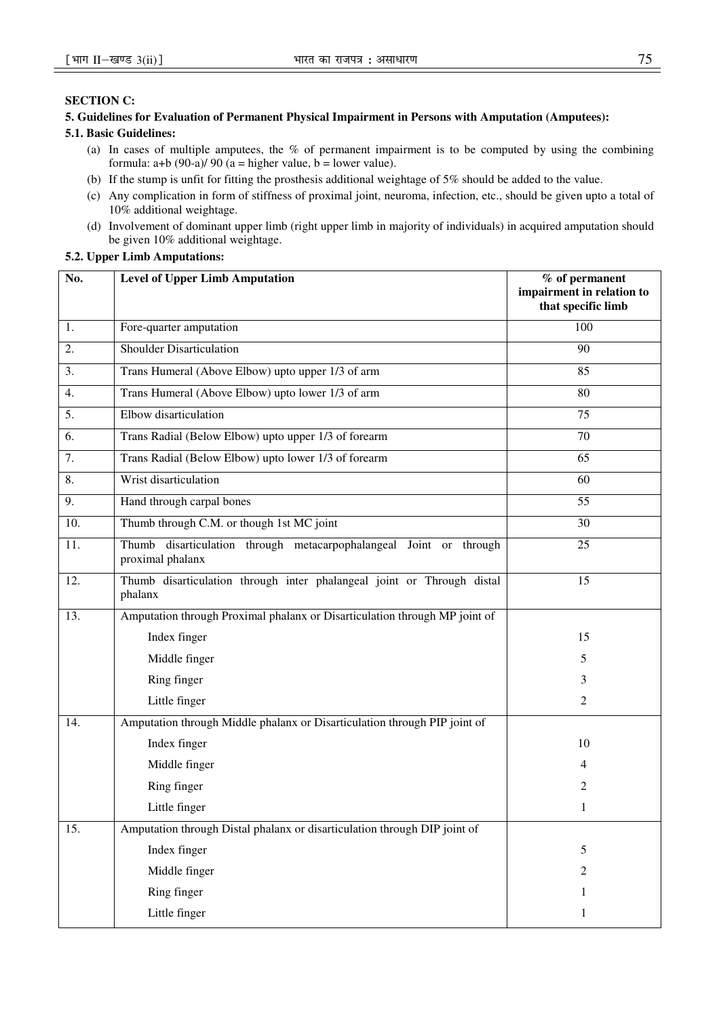# **SECTION C:**

# **5. Guidelines for Evaluation of Permanent Physical Impairment in Persons with Amputation (Amputees):**

# **5.1. Basic Guidelines:**

- (a) In cases of multiple amputees, the % of permanent impairment is to be computed by using the combining formula:  $a+b$  (90-a)/ 90 ( $a =$  higher value,  $b =$  lower value).
- (b) If the stump is unfit for fitting the prosthesis additional weightage of 5% should be added to the value.
- (c) Any complication in form of stiffness of proximal joint, neuroma, infection, etc., should be given upto a total of 10% additional weightage.
- (d) Involvement of dominant upper limb (right upper limb in majority of individuals) in acquired amputation should be given 10% additional weightage.

# **5.2. Upper Limb Amputations:**

| No. | <b>Level of Upper Limb Amputation</b>                                                  | % of permanent<br>impairment in relation to<br>that specific limb |
|-----|----------------------------------------------------------------------------------------|-------------------------------------------------------------------|
| 1.  | Fore-quarter amputation                                                                | 100                                                               |
| 2.  | <b>Shoulder Disarticulation</b>                                                        | 90                                                                |
| 3.  | Trans Humeral (Above Elbow) upto upper 1/3 of arm                                      | 85                                                                |
| 4.  | Trans Humeral (Above Elbow) upto lower 1/3 of arm                                      | 80                                                                |
| 5.  | Elbow disarticulation                                                                  | 75                                                                |
| 6.  | Trans Radial (Below Elbow) upto upper 1/3 of forearm                                   | 70                                                                |
| 7.  | Trans Radial (Below Elbow) upto lower 1/3 of forearm                                   | 65                                                                |
| 8.  | Wrist disarticulation                                                                  | 60                                                                |
| 9.  | Hand through carpal bones                                                              | 55                                                                |
| 10. | Thumb through C.M. or though 1st MC joint                                              | 30                                                                |
| 11. | Thumb disarticulation through metacarpophalangeal Joint or through<br>proximal phalanx | 25                                                                |
| 12. | Thumb disarticulation through inter phalangeal joint or Through distal<br>phalanx      | 15                                                                |
| 13. | Amputation through Proximal phalanx or Disarticulation through MP joint of             |                                                                   |
|     | Index finger                                                                           | 15                                                                |
|     | Middle finger                                                                          | 5                                                                 |
|     | Ring finger                                                                            | 3                                                                 |
|     | Little finger                                                                          | 2                                                                 |
| 14. | Amputation through Middle phalanx or Disarticulation through PIP joint of              |                                                                   |
|     | Index finger                                                                           | 10                                                                |
|     | Middle finger                                                                          | 4                                                                 |
|     | Ring finger                                                                            | 2                                                                 |
|     | Little finger                                                                          |                                                                   |
| 15. | Amputation through Distal phalanx or disarticulation through DIP joint of              |                                                                   |
|     | Index finger                                                                           | 5                                                                 |
|     | Middle finger                                                                          | 2                                                                 |
|     | Ring finger                                                                            | 1                                                                 |
|     | Little finger                                                                          | 1                                                                 |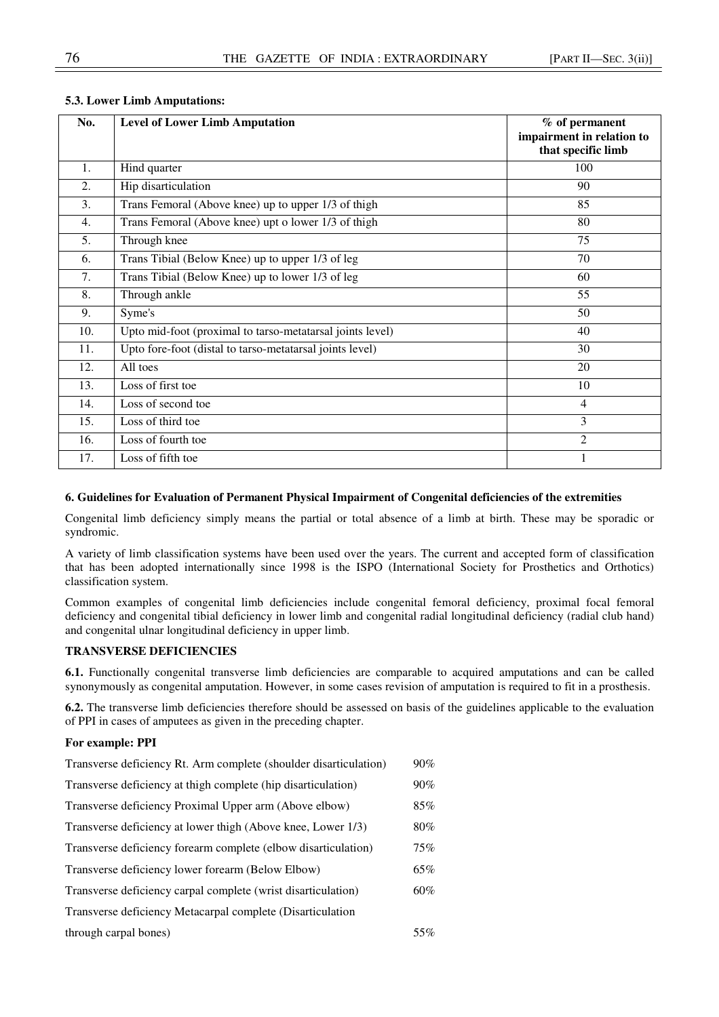| No.              | <b>Level of Lower Limb Amputation</b>                     | $%$ of permanent<br>impairment in relation to<br>that specific limb |
|------------------|-----------------------------------------------------------|---------------------------------------------------------------------|
| 1.               | Hind quarter                                              | 100                                                                 |
| 2.               | Hip disarticulation                                       | 90                                                                  |
| 3.               | Trans Femoral (Above knee) up to upper 1/3 of thigh       | 85                                                                  |
| $\overline{4}$ . | Trans Femoral (Above knee) upt o lower 1/3 of thigh       | 80                                                                  |
| 5.               | Through knee                                              | 75                                                                  |
| 6.               | Trans Tibial (Below Knee) up to upper 1/3 of leg          | 70                                                                  |
| 7.               | Trans Tibial (Below Knee) up to lower 1/3 of leg          | 60                                                                  |
| 8.               | Through ankle                                             | 55                                                                  |
| 9.               | Syme's                                                    | 50                                                                  |
| 10.              | Upto mid-foot (proximal to tarso-metatarsal joints level) | 40                                                                  |
| 11.              | Upto fore-foot (distal to tarso-metatarsal joints level)  | 30                                                                  |
| 12.              | All toes                                                  | 20                                                                  |
| 13.              | Loss of first toe                                         | 10                                                                  |
| 14.              | Loss of second toe                                        | $\overline{4}$                                                      |
| 15.              | Loss of third toe                                         | 3                                                                   |
| 16.              | Loss of fourth toe                                        | 2                                                                   |
| 17.              | Loss of fifth toe                                         |                                                                     |

# **5.3. Lower Limb Amputations:**

# **6. Guidelines for Evaluation of Permanent Physical Impairment of Congenital deficiencies of the extremities**

Congenital limb deficiency simply means the partial or total absence of a limb at birth. These may be sporadic or syndromic.

A variety of limb classification systems have been used over the years. The current and accepted form of classification that has been adopted internationally since 1998 is the ISPO (International Society for Prosthetics and Orthotics) classification system.

Common examples of congenital limb deficiencies include congenital femoral deficiency, proximal focal femoral deficiency and congenital tibial deficiency in lower limb and congenital radial longitudinal deficiency (radial club hand) and congenital ulnar longitudinal deficiency in upper limb.

## **TRANSVERSE DEFICIENCIES**

**6.1.** Functionally congenital transverse limb deficiencies are comparable to acquired amputations and can be called synonymously as congenital amputation. However, in some cases revision of amputation is required to fit in a prosthesis.

**6.2.** The transverse limb deficiencies therefore should be assessed on basis of the guidelines applicable to the evaluation of PPI in cases of amputees as given in the preceding chapter.

## **For example: PPI**

| Transverse deficiency Rt. Arm complete (shoulder disarticulation) | $90\%$ |
|-------------------------------------------------------------------|--------|
| Transverse deficiency at thigh complete (hip disarticulation)     | $90\%$ |
| Transverse deficiency Proximal Upper arm (Above elbow)            | 85%    |
| Transverse deficiency at lower thigh (Above knee, Lower 1/3)      | 80%    |
| Transverse deficiency forearm complete (elbow disarticulation)    | 75%    |
| Transverse deficiency lower forearm (Below Elbow)                 | 65%    |
| Transverse deficiency carpal complete (wrist disarticulation)     | 60%    |
| Transverse deficiency Metacarpal complete (Disarticulation        |        |
| through carpal bones)                                             | 55%    |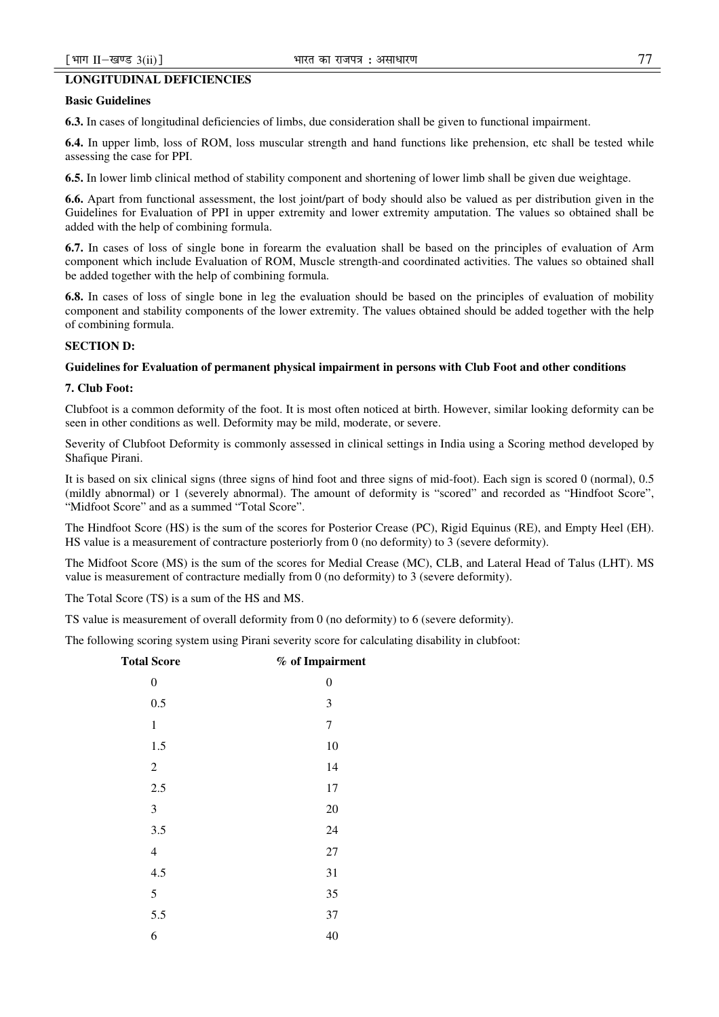# **LONGITUDINAL DEFICIENCIES**

## **Basic Guidelines**

**6.3.** In cases of longitudinal deficiencies of limbs, due consideration shall be given to functional impairment.

**6.4.** In upper limb, loss of ROM, loss muscular strength and hand functions like prehension, etc shall be tested while assessing the case for PPI.

**6.5.** In lower limb clinical method of stability component and shortening of lower limb shall be given due weightage.

**6.6.** Apart from functional assessment, the lost joint/part of body should also be valued as per distribution given in the Guidelines for Evaluation of PPI in upper extremity and lower extremity amputation. The values so obtained shall be added with the help of combining formula.

**6.7.** In cases of loss of single bone in forearm the evaluation shall be based on the principles of evaluation of Arm component which include Evaluation of ROM, Muscle strength-and coordinated activities. The values so obtained shall be added together with the help of combining formula.

**6.8.** In cases of loss of single bone in leg the evaluation should be based on the principles of evaluation of mobility component and stability components of the lower extremity. The values obtained should be added together with the help of combining formula.

## **SECTION D:**

## **Guidelines for Evaluation of permanent physical impairment in persons with Club Foot and other conditions**

#### **7. Club Foot:**

Clubfoot is a common deformity of the foot. It is most often noticed at birth. However, similar looking deformity can be seen in other conditions as well. Deformity may be mild, moderate, or severe.

Severity of Clubfoot Deformity is commonly assessed in clinical settings in India using a Scoring method developed by Shafique Pirani.

It is based on six clinical signs (three signs of hind foot and three signs of mid-foot). Each sign is scored 0 (normal), 0.5 (mildly abnormal) or 1 (severely abnormal). The amount of deformity is "scored" and recorded as "Hindfoot Score", "Midfoot Score" and as a summed "Total Score".

The Hindfoot Score (HS) is the sum of the scores for Posterior Crease (PC), Rigid Equinus (RE), and Empty Heel (EH). HS value is a measurement of contracture posteriorly from 0 (no deformity) to 3 (severe deformity).

The Midfoot Score (MS) is the sum of the scores for Medial Crease (MC), CLB, and Lateral Head of Talus (LHT). MS value is measurement of contracture medially from 0 (no deformity) to 3 (severe deformity).

The Total Score (TS) is a sum of the HS and MS.

TS value is measurement of overall deformity from 0 (no deformity) to 6 (severe deformity).

The following scoring system using Pirani severity score for calculating disability in clubfoot:

| <b>Total Score</b>       | % of Impairment  |
|--------------------------|------------------|
| $\boldsymbol{0}$         | $\boldsymbol{0}$ |
| 0.5                      | 3                |
| $\mathbf{1}$             | 7                |
| 1.5                      | 10               |
| $\mathfrak{2}$           | 14               |
| 2.5                      | 17               |
| $\mathfrak{Z}$           | 20               |
| 3.5                      | 24               |
| $\overline{\mathcal{A}}$ | $27\,$           |
| 4.5                      | 31               |
| 5                        | 35               |
| 5.5                      | 37               |
| 6                        | 40               |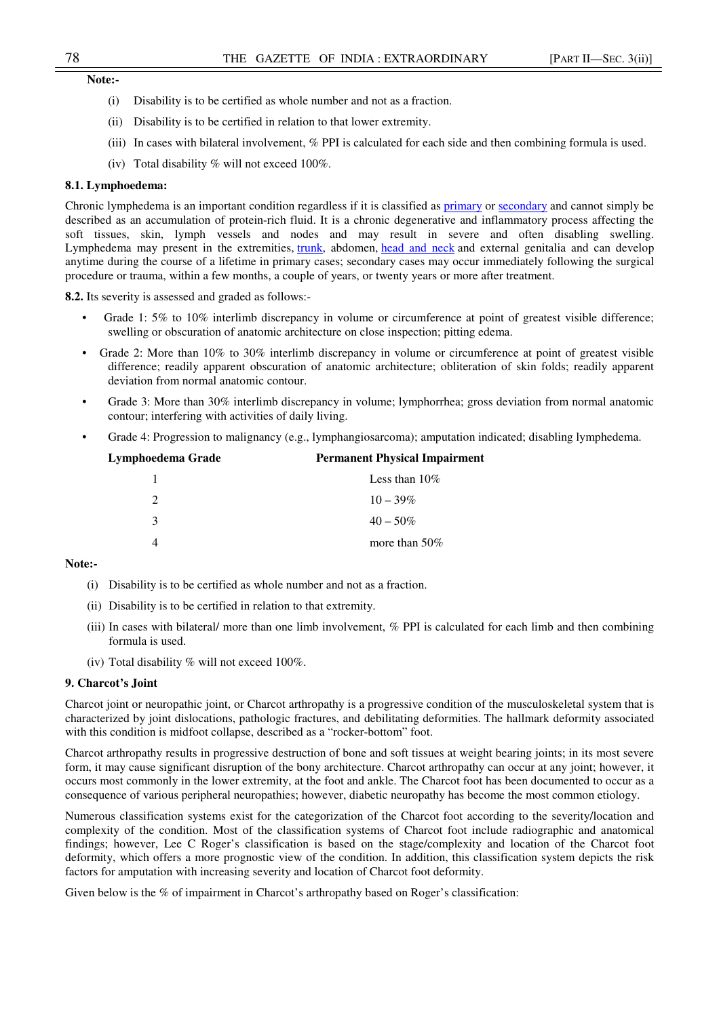# **Note:-**

- (i) Disability is to be certified as whole number and not as a fraction.
- (ii) Disability is to be certified in relation to that lower extremity.
- (iii) In cases with bilateral involvement, % PPI is calculated for each side and then combining formula is used.
- (iv) Total disability % will not exceed 100%.

#### **8.1. Lymphoedema:**

Chronic lymphedema is an important condition regardless if it is classified as primary or secondary and cannot simply be described as an accumulation of protein-rich fluid. It is a chronic degenerative and inflammatory process affecting the soft tissues, skin, lymph vessels and nodes and may result in severe and often disabling swelling. Lymphedema may present in the extremities, trunk, abdomen, head and neck and external genitalia and can develop anytime during the course of a lifetime in primary cases; secondary cases may occur immediately following the surgical procedure or trauma, within a few months, a couple of years, or twenty years or more after treatment.

**8.2.** Its severity is assessed and graded as follows:-

- Grade 1: 5% to 10% interlimb discrepancy in volume or circumference at point of greatest visible difference; swelling or obscuration of anatomic architecture on close inspection; pitting edema.
- Grade 2: More than 10% to 30% interlimb discrepancy in volume or circumference at point of greatest visible difference; readily apparent obscuration of anatomic architecture; obliteration of skin folds; readily apparent deviation from normal anatomic contour.
- Grade 3: More than 30% interlimb discrepancy in volume; lymphorrhea; gross deviation from normal anatomic contour; interfering with activities of daily living.
- Grade 4: Progression to malignancy (e.g., lymphangiosarcoma); amputation indicated; disabling lymphedema.

| Lymphoedema Grade | <b>Permanent Physical Impairment</b> |
|-------------------|--------------------------------------|
|                   | Less than $10\%$                     |
|                   | $10 - 39\%$                          |
| 3                 | $40 - 50\%$                          |
|                   | more than $50\%$                     |
|                   |                                      |

# **Note:-**

- (i) Disability is to be certified as whole number and not as a fraction.
- (ii) Disability is to be certified in relation to that extremity.
- (iii) In cases with bilateral/ more than one limb involvement, % PPI is calculated for each limb and then combining formula is used.
- (iv) Total disability % will not exceed 100%.

## **9. Charcot's Joint**

Charcot joint or neuropathic joint, or Charcot arthropathy is a progressive condition of the musculoskeletal system that is characterized by joint dislocations, pathologic fractures, and debilitating deformities. The hallmark deformity associated with this condition is midfoot collapse, described as a "rocker-bottom" foot.

Charcot arthropathy results in progressive destruction of bone and soft tissues at weight bearing joints; in its most severe form, it may cause significant disruption of the bony architecture. Charcot arthropathy can occur at any joint; however, it occurs most commonly in the lower extremity, at the foot and ankle. The Charcot foot has been documented to occur as a consequence of various peripheral neuropathies; however, diabetic neuropathy has become the most common etiology.

Numerous classification systems exist for the categorization of the Charcot foot according to the severity/location and complexity of the condition. Most of the classification systems of Charcot foot include radiographic and anatomical findings; however, Lee C Roger's classification is based on the stage/complexity and location of the Charcot foot deformity, which offers a more prognostic view of the condition. In addition, this classification system depicts the risk factors for amputation with increasing severity and location of Charcot foot deformity.

Given below is the % of impairment in Charcot's arthropathy based on Roger's classification: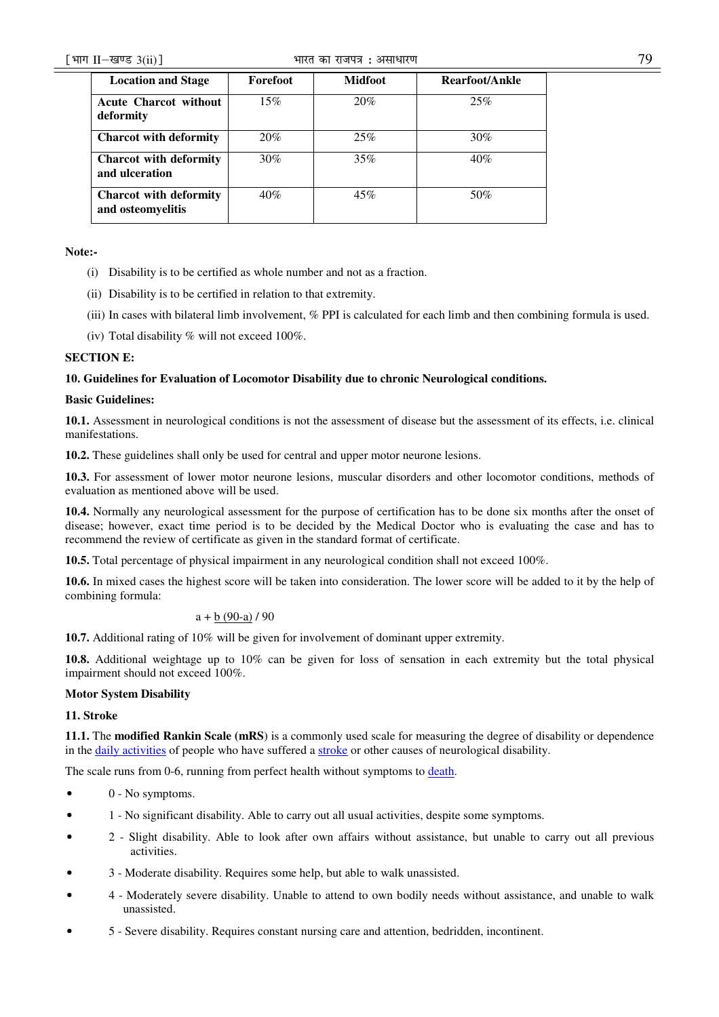## ¹Hkkx IIµ[k.M 3(ii)º Hkkjr dk jkti=k % vlk/kj.k 79

| <b>Location and Stage</b>                          | Forefoot | <b>Midfoot</b> | Rearfoot/Ankle |
|----------------------------------------------------|----------|----------------|----------------|
| <b>Acute Charcot without</b><br>deformity          | 15%      | 20%            | 25%            |
| <b>Charcot with deformity</b>                      | 20%      | 25%            | 30%            |
| <b>Charcot</b> with deformity<br>and ulceration    | 30%      | 35%            | 40%            |
| <b>Charcot</b> with deformity<br>and osteomyelitis | 40%      | 45%            | 50%            |

## **Note:-**

- (i) Disability is to be certified as whole number and not as a fraction.
- (ii) Disability is to be certified in relation to that extremity.
- (iii) In cases with bilateral limb involvement, % PPI is calculated for each limb and then combining formula is used.
- (iv) Total disability % will not exceed 100%.

# **SECTION E:**

# **10. Guidelines for Evaluation of Locomotor Disability due to chronic Neurological conditions.**

# **Basic Guidelines:**

**10.1.** Assessment in neurological conditions is not the assessment of disease but the assessment of its effects, i.e. clinical manifestations.

**10.2.** These guidelines shall only be used for central and upper motor neurone lesions.

**10.3.** For assessment of lower motor neurone lesions, muscular disorders and other locomotor conditions, methods of evaluation as mentioned above will be used.

**10.4.** Normally any neurological assessment for the purpose of certification has to be done six months after the onset of disease; however, exact time period is to be decided by the Medical Doctor who is evaluating the case and has to recommend the review of certificate as given in the standard format of certificate.

**10.5.** Total percentage of physical impairment in any neurological condition shall not exceed 100%.

**10.6.** In mixed cases the highest score will be taken into consideration. The lower score will be added to it by the help of combining formula:

# $a + b (90-a) / 90$

**10.7.** Additional rating of 10% will be given for involvement of dominant upper extremity.

**10.8.** Additional weightage up to 10% can be given for loss of sensation in each extremity but the total physical impairment should not exceed 100%.

# **Motor System Disability**

# **11. Stroke**

**11.1.** The **modified Rankin Scale (mRS**) is a commonly used scale for measuring the degree of disability or dependence in the daily activities of people who have suffered a stroke or other causes of neurological disability.

The scale runs from 0-6, running from perfect health without symptoms to death.

- $\bullet$  0 No symptoms.
- 1 No significant disability. Able to carry out all usual activities, despite some symptoms.
- 2 Slight disability. Able to look after own affairs without assistance, but unable to carry out all previous activities.
- 3 Moderate disability. Requires some help, but able to walk unassisted.
- 4 Moderately severe disability. Unable to attend to own bodily needs without assistance, and unable to walk unassisted.
- 5 Severe disability. Requires constant nursing care and attention, bedridden, incontinent.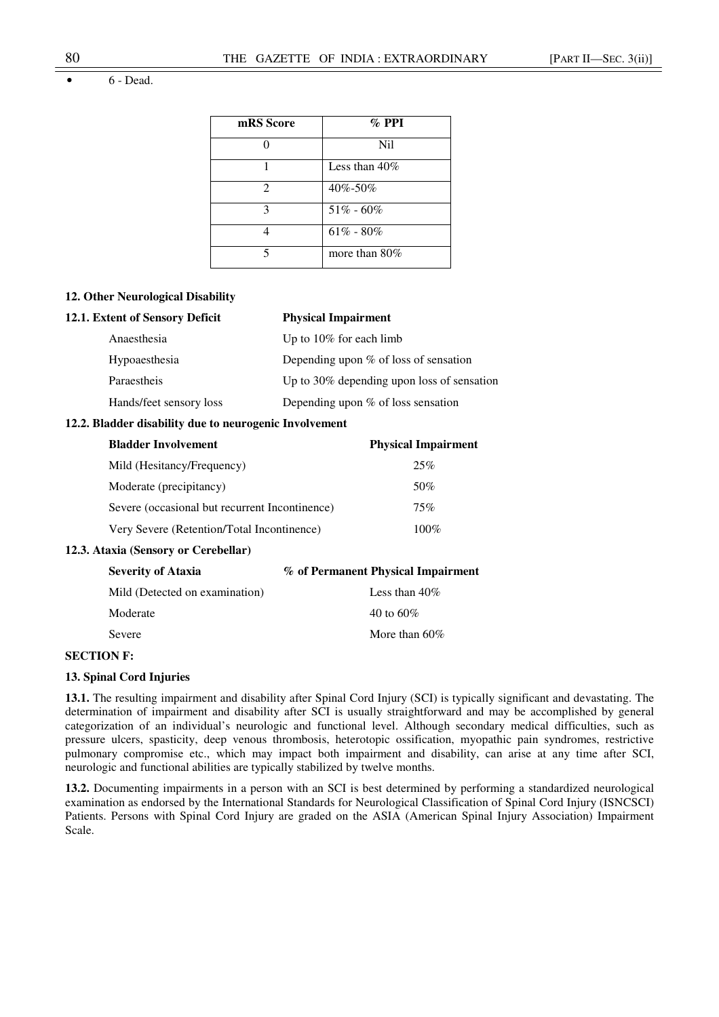• 6 - Dead.

| mRS Score      | $\%$ PPI         |
|----------------|------------------|
|                | Nil              |
|                | Less than $40\%$ |
| $\mathfrak{D}$ | 40%-50%          |
| 3              | $51\% - 60\%$    |
|                | $61\% - 80\%$    |
| 5              | more than $80\%$ |

# **12. Other Neurological Disability**

| 12.1. Extent of Sensory Deficit | <b>Physical Impairment</b>                    |  |
|---------------------------------|-----------------------------------------------|--|
| Anaesthesia                     | Up to $10\%$ for each limb                    |  |
| Hypoaesthesia                   | Depending upon $%$ of loss of sensation       |  |
| Paraestheis                     | Up to $30\%$ depending upon loss of sensation |  |
| Hands/feet sensory loss         | Depending upon $%$ of loss sensation          |  |

# **12.2. Bladder disability due to neurogenic Involvement**

| <b>Bladder Involvement</b>                     | <b>Physical Impairment</b> |
|------------------------------------------------|----------------------------|
| Mild (Hesitancy/Frequency)                     | 25%                        |
| Moderate (precipitancy)                        | 50%                        |
| Severe (occasional but recurrent Incontinence) | 75%                        |
| Very Severe (Retention/Total Incontinence)     | $100\%$                    |

# **12.3. Ataxia (Sensory or Cerebellar)**

| <b>Severity of Ataxia</b>      | % of Permanent Physical Impairment |
|--------------------------------|------------------------------------|
| Mild (Detected on examination) | Less than $40\%$                   |
| Moderate                       | 40 to 60\%                         |
| Severe                         | More than $60\%$                   |

# **SECTION F:**

## **13. Spinal Cord Injuries**

**13.1.** The resulting impairment and disability after Spinal Cord Injury (SCI) is typically significant and devastating. The determination of impairment and disability after SCI is usually straightforward and may be accomplished by general categorization of an individual's neurologic and functional level. Although secondary medical difficulties, such as pressure ulcers, spasticity, deep venous thrombosis, heterotopic ossification, myopathic pain syndromes, restrictive pulmonary compromise etc., which may impact both impairment and disability, can arise at any time after SCI, neurologic and functional abilities are typically stabilized by twelve months.

**13.2.** Documenting impairments in a person with an SCI is best determined by performing a standardized neurological examination as endorsed by the International Standards for Neurological Classification of Spinal Cord Injury (ISNCSCI) Patients. Persons with Spinal Cord Injury are graded on the ASIA (American Spinal Injury Association) Impairment Scale.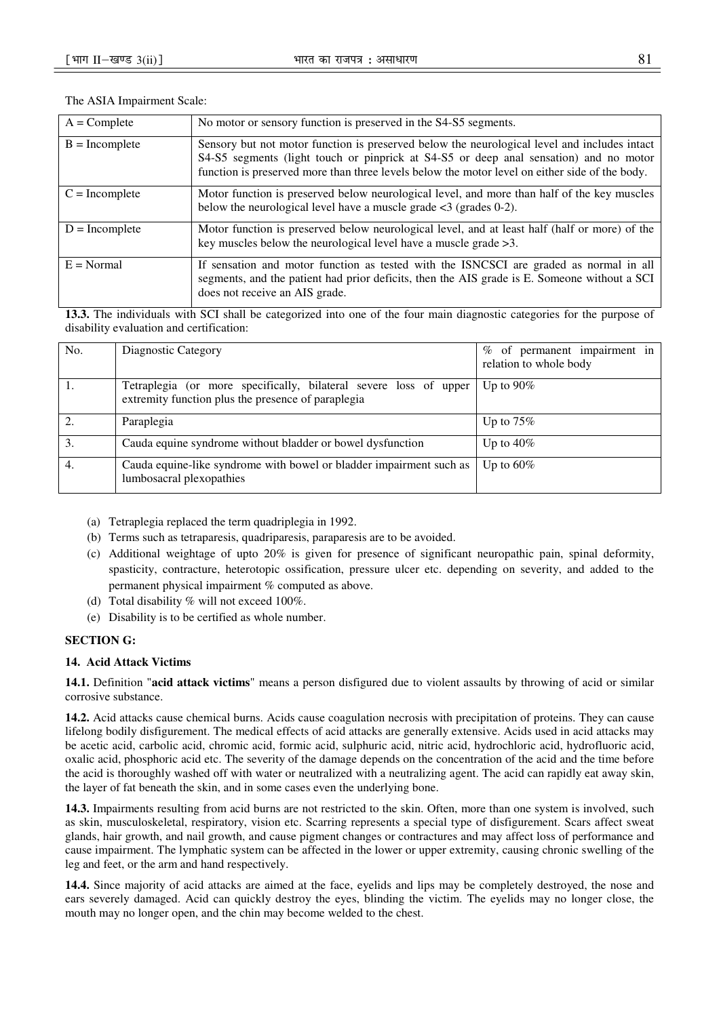| $A = Complete$   | No motor or sensory function is preserved in the S4-S5 segments.                                                                                                                                                                                                                        |
|------------------|-----------------------------------------------------------------------------------------------------------------------------------------------------------------------------------------------------------------------------------------------------------------------------------------|
| $B = Incomplete$ | Sensory but not motor function is preserved below the neurological level and includes intact<br>S4-S5 segments (light touch or pinprick at S4-S5 or deep anal sensation) and no motor<br>function is preserved more than three levels below the motor level on either side of the body. |
| $C = Incomplete$ | Motor function is preserved below neurological level, and more than half of the key muscles<br>below the neurological level have a muscle grade $\lt3$ (grades 0-2).                                                                                                                    |
| $D = Incomplete$ | Motor function is preserved below neurological level, and at least half (half or more) of the<br>key muscles below the neurological level have a muscle grade $>3$ .                                                                                                                    |
| $E = Normal$     | If sensation and motor function as tested with the ISNCSCI are graded as normal in all<br>segments, and the patient had prior deficits, then the AIS grade is E. Someone without a SCI<br>does not receive an AIS grade.                                                                |

## The ASIA Impairment Scale:

**13.3.** The individuals with SCI shall be categorized into one of the four main diagnostic categories for the purpose of disability evaluation and certification:

| No. | Diagnostic Category                                                                                                     | of permanent impairment in<br>%<br>relation to whole body |
|-----|-------------------------------------------------------------------------------------------------------------------------|-----------------------------------------------------------|
|     | Tetraplegia (or more specifically, bilateral severe loss of upper<br>extremity function plus the presence of paraplegia | Up to $90\%$                                              |
|     | Paraplegia                                                                                                              | Up to $75\%$                                              |
| 3.  | Cauda equine syndrome without bladder or bowel dysfunction                                                              | Up to $40\%$                                              |
| -4. | Cauda equine-like syndrome with bowel or bladder impairment such as<br>lumbosacral plexopathies                         | Up to $60\%$                                              |

- (a) Tetraplegia replaced the term quadriplegia in 1992.
- (b) Terms such as tetraparesis, quadriparesis, paraparesis are to be avoided.
- (c) Additional weightage of upto 20% is given for presence of significant neuropathic pain, spinal deformity, spasticity, contracture, heterotopic ossification, pressure ulcer etc. depending on severity, and added to the permanent physical impairment % computed as above.
- (d) Total disability % will not exceed 100%.
- (e) Disability is to be certified as whole number.

# **SECTION G:**

## **14. Acid Attack Victims**

**14.1.** Definition "**acid attack victims**" means a person disfigured due to violent assaults by throwing of acid or similar corrosive substance.

**14.2.** Acid attacks cause chemical burns. Acids cause coagulation necrosis with precipitation of proteins. They can cause lifelong bodily disfigurement. The medical effects of acid attacks are generally extensive. Acids used in acid attacks may be acetic acid, carbolic acid, chromic acid, formic acid, sulphuric acid, nitric acid, hydrochloric acid, hydrofluoric acid, oxalic acid, phosphoric acid etc. The severity of the damage depends on the concentration of the acid and the time before the acid is thoroughly washed off with water or neutralized with a neutralizing agent. The acid can rapidly eat away skin, the layer of fat beneath the skin, and in some cases even the underlying bone.

**14.3.** Impairments resulting from acid burns are not restricted to the skin. Often, more than one system is involved, such as skin, musculoskeletal, respiratory, vision etc. Scarring represents a special type of disfigurement. Scars affect sweat glands, hair growth, and nail growth, and cause pigment changes or contractures and may affect loss of performance and cause impairment. The lymphatic system can be affected in the lower or upper extremity, causing chronic swelling of the leg and feet, or the arm and hand respectively.

**14.4.** Since majority of acid attacks are aimed at the face, eyelids and lips may be completely destroyed, the nose and ears severely damaged. Acid can quickly destroy the eyes, blinding the victim. The eyelids may no longer close, the mouth may no longer open, and the chin may become welded to the chest.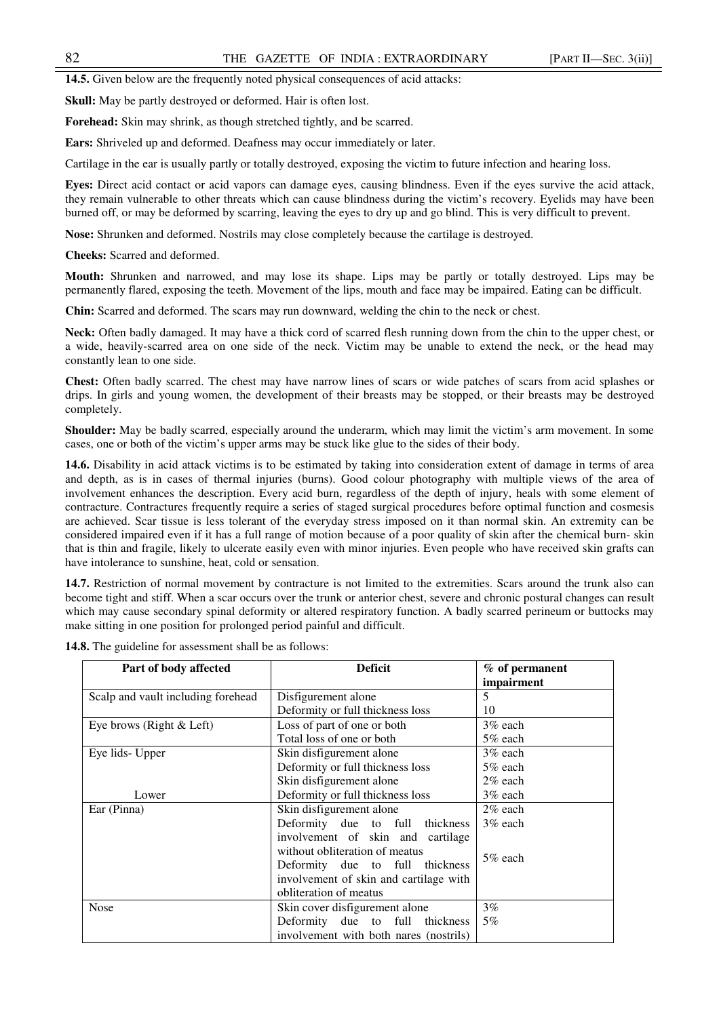**14.5.** Given below are the frequently noted physical consequences of acid attacks:

**Skull:** May be partly destroyed or deformed. Hair is often lost.

**Forehead:** Skin may shrink, as though stretched tightly, and be scarred.

**Ears:** Shriveled up and deformed. Deafness may occur immediately or later.

Cartilage in the ear is usually partly or totally destroyed, exposing the victim to future infection and hearing loss.

**Eyes:** Direct acid contact or acid vapors can damage eyes, causing blindness. Even if the eyes survive the acid attack, they remain vulnerable to other threats which can cause blindness during the victim's recovery. Eyelids may have been burned off, or may be deformed by scarring, leaving the eyes to dry up and go blind. This is very difficult to prevent.

**Nose:** Shrunken and deformed. Nostrils may close completely because the cartilage is destroyed.

**Cheeks:** Scarred and deformed.

**Mouth:** Shrunken and narrowed, and may lose its shape. Lips may be partly or totally destroyed. Lips may be permanently flared, exposing the teeth. Movement of the lips, mouth and face may be impaired. Eating can be difficult.

**Chin:** Scarred and deformed. The scars may run downward, welding the chin to the neck or chest.

**Neck:** Often badly damaged. It may have a thick cord of scarred flesh running down from the chin to the upper chest, or a wide, heavily-scarred area on one side of the neck. Victim may be unable to extend the neck, or the head may constantly lean to one side.

**Chest:** Often badly scarred. The chest may have narrow lines of scars or wide patches of scars from acid splashes or drips. In girls and young women, the development of their breasts may be stopped, or their breasts may be destroyed completely.

**Shoulder:** May be badly scarred, especially around the underarm, which may limit the victim's arm movement. In some cases, one or both of the victim's upper arms may be stuck like glue to the sides of their body.

**14.6.** Disability in acid attack victims is to be estimated by taking into consideration extent of damage in terms of area and depth, as is in cases of thermal injuries (burns). Good colour photography with multiple views of the area of involvement enhances the description. Every acid burn, regardless of the depth of injury, heals with some element of contracture. Contractures frequently require a series of staged surgical procedures before optimal function and cosmesis are achieved. Scar tissue is less tolerant of the everyday stress imposed on it than normal skin. An extremity can be considered impaired even if it has a full range of motion because of a poor quality of skin after the chemical burn- skin that is thin and fragile, likely to ulcerate easily even with minor injuries. Even people who have received skin grafts can have intolerance to sunshine, heat, cold or sensation.

**14.7.** Restriction of normal movement by contracture is not limited to the extremities. Scars around the trunk also can become tight and stiff. When a scar occurs over the trunk or anterior chest, severe and chronic postural changes can result which may cause secondary spinal deformity or altered respiratory function. A badly scarred perineum or buttocks may make sitting in one position for prolonged period painful and difficult.

| Part of body affected              | <b>Deficit</b>                         | $%$ of permanent |  |
|------------------------------------|----------------------------------------|------------------|--|
|                                    |                                        | impairment       |  |
| Scalp and vault including forehead | Disfigurement alone                    | 5                |  |
|                                    | Deformity or full thickness loss       | 10               |  |
| Eye brows (Right $& Left$ )        | Loss of part of one or both            | $3\%$ each       |  |
|                                    | Total loss of one or both              | 5% each          |  |
| Eye lids- Upper                    | Skin disfigurement alone               | $3\%$ each       |  |
|                                    | Deformity or full thickness loss       | $5\%$ each       |  |
|                                    | Skin disfigurement alone               | $2\%$ each       |  |
| Lower                              | Deformity or full thickness loss       | $3\%$ each       |  |
| Ear (Pinna)                        | Skin disfigurement alone               | $2\%$ each       |  |
|                                    | Deformity due to full thickness        | $3\%$ each       |  |
|                                    | involvement of skin and cartilage      |                  |  |
|                                    | without obliteration of meatus         |                  |  |
|                                    | Deformity due to full thickness        | 5% each          |  |
|                                    | involvement of skin and cartilage with |                  |  |
|                                    | obliteration of meatus                 |                  |  |
| <b>Nose</b>                        | Skin cover disfigurement alone         | $3\%$            |  |
|                                    | Deformity due to full thickness        | 5%               |  |
|                                    | involvement with both nares (nostrils) |                  |  |

**14.8.** The guideline for assessment shall be as follows: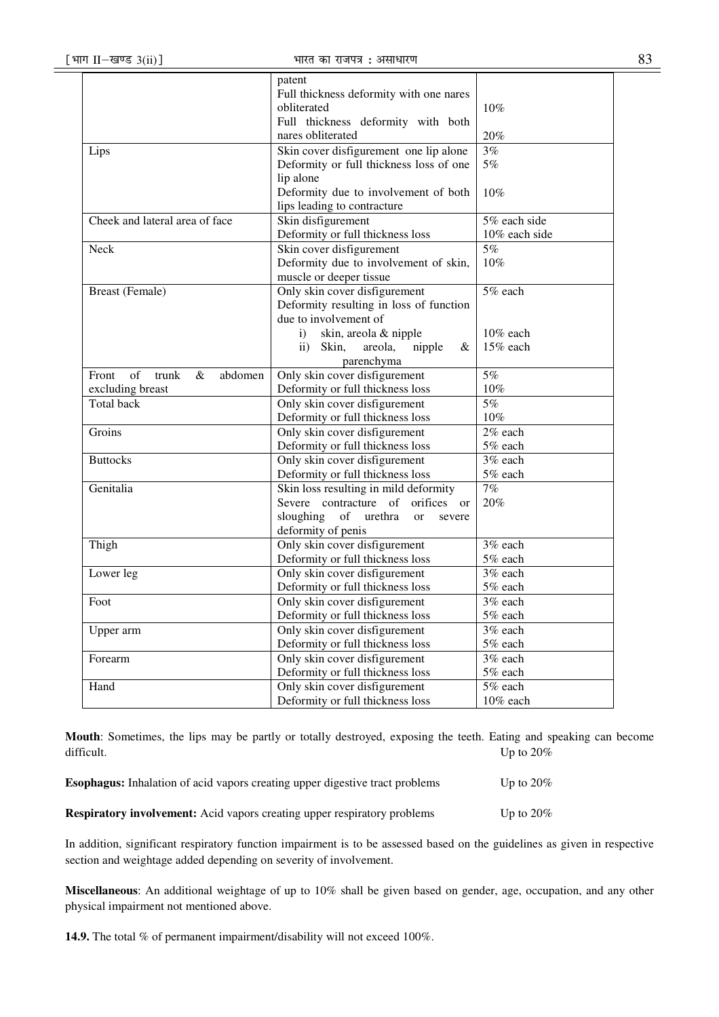| ٠                          |  |
|----------------------------|--|
| ۹<br>I<br>×<br>×<br>۹<br>v |  |

|                                         | patent                                                |                       |
|-----------------------------------------|-------------------------------------------------------|-----------------------|
|                                         | Full thickness deformity with one nares               |                       |
|                                         | obliterated                                           | 10%                   |
|                                         | Full thickness deformity with both                    |                       |
|                                         | nares obliterated                                     | 20%                   |
| Lips                                    | Skin cover disfigurement one lip alone                | 3%                    |
|                                         | Deformity or full thickness loss of one               | 5%                    |
|                                         | lip alone                                             |                       |
|                                         | Deformity due to involvement of both                  | 10%                   |
|                                         | lips leading to contracture                           |                       |
| Cheek and lateral area of face          | Skin disfigurement                                    | 5% each side          |
|                                         | Deformity or full thickness loss                      | 10% each side         |
| Neck                                    | Skin cover disfigurement                              | 5%                    |
|                                         | Deformity due to involvement of skin,                 | 10%                   |
|                                         | muscle or deeper tissue                               |                       |
| <b>Breast (Female)</b>                  | Only skin cover disfigurement                         | $\overline{5\%}$ each |
|                                         | Deformity resulting in loss of function               |                       |
|                                         | due to involvement of                                 |                       |
|                                         | skin, areola & nipple<br>i)                           | 10% each              |
|                                         | $\mathbf{ii}$ )<br>Skin,<br>areola,<br>nipple<br>&    | 15% each              |
|                                         | parenchyma                                            |                       |
| Front<br>of<br>trunk<br>$\&$<br>abdomen | Only skin cover disfigurement                         | 5%                    |
| excluding breast                        | Deformity or full thickness loss                      | 10%                   |
| <b>Total back</b>                       | Only skin cover disfigurement                         | 5%                    |
|                                         | Deformity or full thickness loss                      | 10%                   |
| Groins                                  | Only skin cover disfigurement                         | 2% each               |
|                                         | Deformity or full thickness loss                      | 5% each               |
| <b>Buttocks</b>                         | Only skin cover disfigurement                         | 3% each               |
|                                         | Deformity or full thickness loss                      | 5% each               |
| Genitalia                               | Skin loss resulting in mild deformity                 | 7%                    |
|                                         | Severe contracture of<br>orifices or                  | 20%                   |
|                                         | sloughing<br>of<br>urethra<br><sub>or</sub><br>severe |                       |
|                                         | deformity of penis                                    |                       |
| Thigh                                   | Only skin cover disfigurement                         | $3%$ each             |
|                                         | Deformity or full thickness loss                      | $5\%$ each            |
| Lower leg                               | Only skin cover disfigurement                         | 3% each               |
|                                         | Deformity or full thickness loss                      | 5% each               |
| Foot                                    | Only skin cover disfigurement                         | 3% each               |
|                                         | Deformity or full thickness loss                      | 5% each               |
| Upper arm                               | Only skin cover disfigurement                         | 3% each               |
|                                         | Deformity or full thickness loss                      | $5\%$ each            |
| Forearm                                 | Only skin cover disfigurement                         | 3% each               |
|                                         | Deformity or full thickness loss                      | 5% each               |
| Hand                                    | Only skin cover disfigurement                         | 5% each               |
|                                         | Deformity or full thickness loss                      | 10% each              |
|                                         |                                                       |                       |

**Mouth**: Sometimes, the lips may be partly or totally destroyed, exposing the teeth. Eating and speaking can become difficult. Up to 20%

| <b>Esophagus:</b> Inhalation of acid vapors creating upper digestive tract problems | Up to $20\%$ |
|-------------------------------------------------------------------------------------|--------------|
| <b>Respiratory involvement:</b> Acid vapors creating upper respiratory problems     | Up to $20\%$ |

In addition, significant respiratory function impairment is to be assessed based on the guidelines as given in respective section and weightage added depending on severity of involvement.

**Miscellaneous**: An additional weightage of up to 10% shall be given based on gender, age, occupation, and any other physical impairment not mentioned above.

**14.9.** The total % of permanent impairment/disability will not exceed 100%.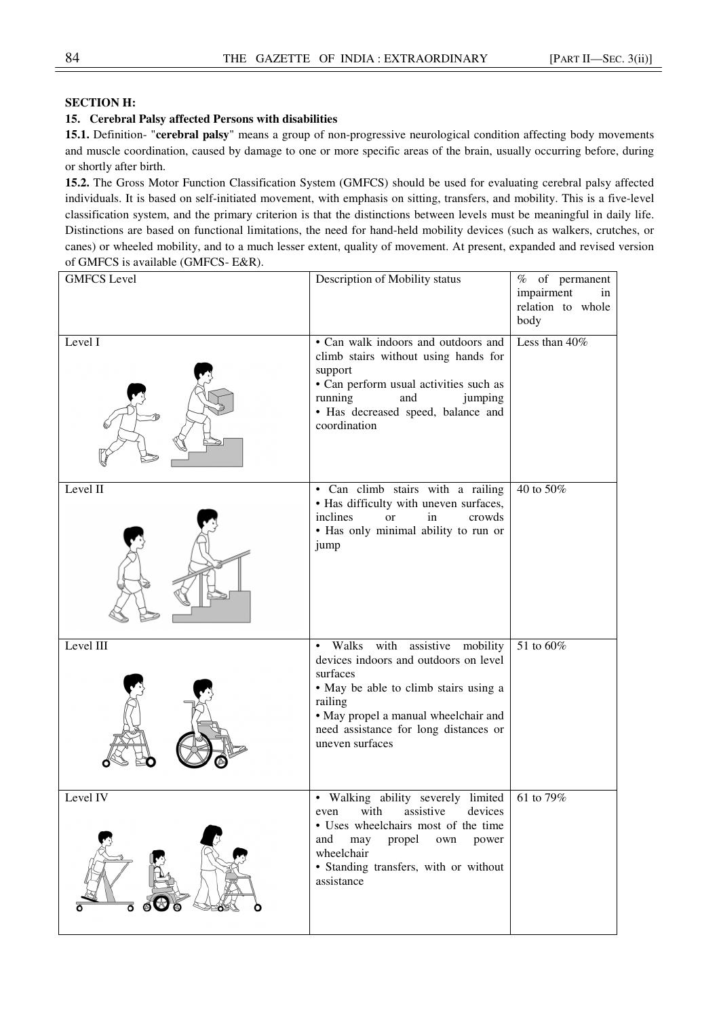# **SECTION H:**

# **15. Cerebral Palsy affected Persons with disabilities**

**15.1.** Definition- "**cerebral palsy**" means a group of non-progressive neurological condition affecting body movements and muscle coordination, caused by damage to one or more specific areas of the brain, usually occurring before, during or shortly after birth.

**15.2.** The Gross Motor Function Classification System (GMFCS) should be used for evaluating cerebral palsy affected individuals. It is based on self-initiated movement, with emphasis on sitting, transfers, and mobility. This is a five-level classification system, and the primary criterion is that the distinctions between levels must be meaningful in daily life. Distinctions are based on functional limitations, the need for hand-held mobility devices (such as walkers, crutches, or canes) or wheeled mobility, and to a much lesser extent, quality of movement. At present, expanded and revised version of GMFCS is available (GMFCS- E&R).

| <b>GMFCS</b> Level | Description of Mobility status                                                                                                                                                                                                                   | $%$ of permanent<br>impairment<br>in<br>relation to whole<br>body |
|--------------------|--------------------------------------------------------------------------------------------------------------------------------------------------------------------------------------------------------------------------------------------------|-------------------------------------------------------------------|
| Level I            | • Can walk indoors and outdoors and<br>climb stairs without using hands for<br>support<br>• Can perform usual activities such as<br>running<br>and<br>jumping<br>• Has decreased speed, balance and<br>coordination                              | Less than 40%                                                     |
| Level II           | · Can climb stairs with a railing<br>• Has difficulty with uneven surfaces,<br>inclines<br>in<br>crowds<br>$\alpha$<br>• Has only minimal ability to run or<br>jump                                                                              | 40 to 50%                                                         |
| Level III          | with<br>assistive mobility<br>Walks<br>devices indoors and outdoors on level<br>surfaces<br>• May be able to climb stairs using a<br>railing<br>• May propel a manual wheelchair and<br>need assistance for long distances or<br>uneven surfaces | 51 to 60%                                                         |
| Level IV<br>ᅙ      | • Walking ability severely limited<br>even with assistive devices<br>• Uses wheelchairs most of the time<br>may<br>propel<br>and<br>own<br>power<br>wheelchair<br>· Standing transfers, with or without<br>assistance                            | 61 to 79%                                                         |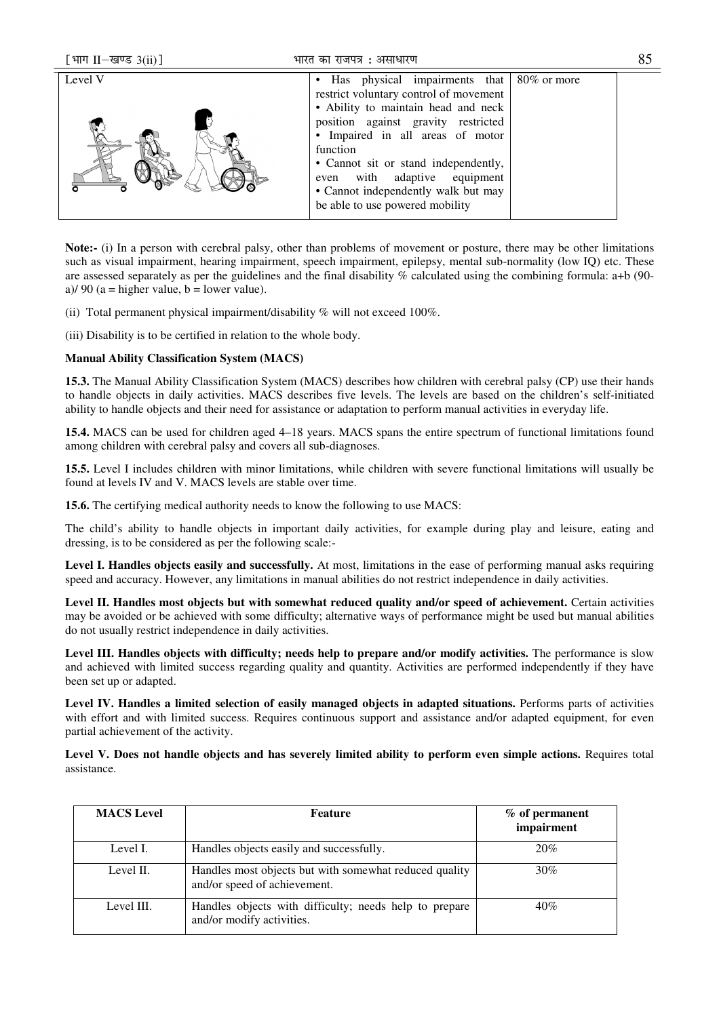| [भाग II-खण्ड 3(ii)] | भारत का राजपत्र : असाधारण                                                                                                                                                                                                                                                                                                                                                   | 85 |
|---------------------|-----------------------------------------------------------------------------------------------------------------------------------------------------------------------------------------------------------------------------------------------------------------------------------------------------------------------------------------------------------------------------|----|
| Level V             | • Has physical impairments that<br>$80\%$ or more<br>restrict voluntary control of movement<br>• Ability to maintain head and neck<br>position against gravity restricted<br>• Impaired in all areas of motor<br>function<br>• Cannot sit or stand independently,<br>even with adaptive equipment<br>• Cannot independently walk but may<br>be able to use powered mobility |    |

**Note:-** (i) In a person with cerebral palsy, other than problems of movement or posture, there may be other limitations such as visual impairment, hearing impairment, speech impairment, epilepsy, mental sub-normality (low IQ) etc. These are assessed separately as per the guidelines and the final disability % calculated using the combining formula: a+b (90 a)/ 90 (a = higher value, b = lower value).

(ii) Total permanent physical impairment/disability % will not exceed 100%.

(iii) Disability is to be certified in relation to the whole body.

# **Manual Ability Classification System (MACS)**

**15.3.** The Manual Ability Classification System (MACS) describes how children with cerebral palsy (CP) use their hands to handle objects in daily activities. MACS describes five levels. The levels are based on the children's self-initiated ability to handle objects and their need for assistance or adaptation to perform manual activities in everyday life.

**15.4.** MACS can be used for children aged 4–18 years. MACS spans the entire spectrum of functional limitations found among children with cerebral palsy and covers all sub-diagnoses.

**15.5.** Level I includes children with minor limitations, while children with severe functional limitations will usually be found at levels IV and V. MACS levels are stable over time.

**15.6.** The certifying medical authority needs to know the following to use MACS:

The child's ability to handle objects in important daily activities, for example during play and leisure, eating and dressing, is to be considered as per the following scale:-

**Level I. Handles objects easily and successfully.** At most, limitations in the ease of performing manual asks requiring speed and accuracy. However, any limitations in manual abilities do not restrict independence in daily activities.

**Level II. Handles most objects but with somewhat reduced quality and/or speed of achievement.** Certain activities may be avoided or be achieved with some difficulty; alternative ways of performance might be used but manual abilities do not usually restrict independence in daily activities.

**Level III. Handles objects with difficulty; needs help to prepare and/or modify activities.** The performance is slow and achieved with limited success regarding quality and quantity. Activities are performed independently if they have been set up or adapted.

**Level IV. Handles a limited selection of easily managed objects in adapted situations.** Performs parts of activities with effort and with limited success. Requires continuous support and assistance and/or adapted equipment, for even partial achievement of the activity.

**Level V. Does not handle objects and has severely limited ability to perform even simple actions.** Requires total assistance.

| <b>MACS</b> Level | <b>Feature</b>                                                                         | $%$ of permanent<br>impairment |
|-------------------|----------------------------------------------------------------------------------------|--------------------------------|
| Level I.          | Handles objects easily and successfully.                                               | 20%                            |
| Level II.         | Handles most objects but with somewhat reduced quality<br>and/or speed of achievement. | 30%                            |
| Level III.        | Handles objects with difficulty; needs help to prepare<br>and/or modify activities.    | 40%                            |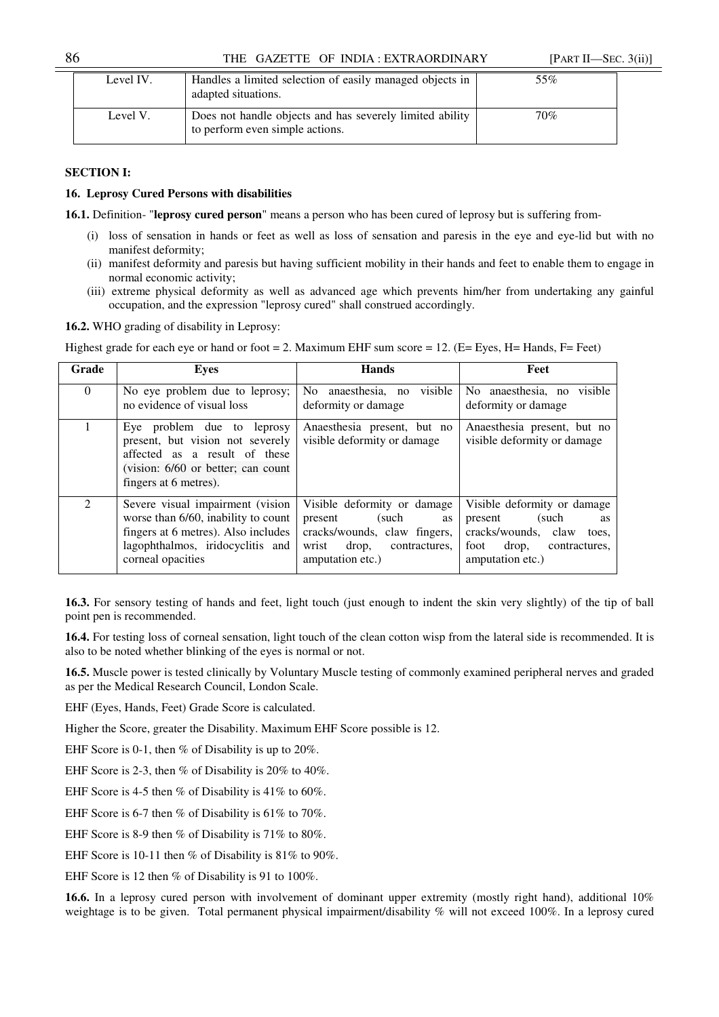# 86 THE GAZETTE OF INDIA : EXTRAORDINARY [PART II—SEC. 3(ii)]

| Level IV. | Handles a limited selection of easily managed objects in<br>adapted situations.             | 55% |
|-----------|---------------------------------------------------------------------------------------------|-----|
| Level V.  | Does not handle objects and has severely limited ability<br>to perform even simple actions. | 70% |

# **SECTION I:**

## **16. Leprosy Cured Persons with disabilities**

**16.1.** Definition- "**leprosy cured person**" means a person who has been cured of leprosy but is suffering from-

- (i) loss of sensation in hands or feet as well as loss of sensation and paresis in the eye and eye-lid but with no manifest deformity;
- (ii) manifest deformity and paresis but having sufficient mobility in their hands and feet to enable them to engage in normal economic activity;
- (iii) extreme physical deformity as well as advanced age which prevents him/her from undertaking any gainful occupation, and the expression "leprosy cured" shall construed accordingly.

**16.2.** WHO grading of disability in Leprosy:

Highest grade for each eye or hand or foot = 2. Maximum EHF sum score = 12. (E= Eyes, H= Hands, F= Feet)

| Grade         | Eves                                                                                                                                                                    | <b>Hands</b>                                                                                                                                         | Feet                                                                                                                                               |
|---------------|-------------------------------------------------------------------------------------------------------------------------------------------------------------------------|------------------------------------------------------------------------------------------------------------------------------------------------------|----------------------------------------------------------------------------------------------------------------------------------------------------|
| $\Omega$      | No eye problem due to leprosy;<br>no evidence of visual loss                                                                                                            | visible<br>anaesthesia, no<br>No.<br>deformity or damage                                                                                             | No anaesthesia, no visible<br>deformity or damage                                                                                                  |
|               | Eye problem due to leprosy<br>present, but vision not severely<br>affected as a result of these<br>(vision: 6/60 or better; can count<br>fingers at 6 metres).          | Anaesthesia present, but no<br>visible deformity or damage                                                                                           | Anaesthesia present, but no<br>visible deformity or damage                                                                                         |
| $\mathcal{L}$ | Severe visual impairment (vision<br>worse than 6/60, inability to count<br>fingers at 6 metres). Also includes<br>lagophthalmos, iridocyclitis and<br>corneal opacities | Visible deformity or damage<br>present<br>(such)<br><b>as</b><br>cracks/wounds, claw fingers,<br>drop,<br>wrist<br>contractures,<br>amputation etc.) | Visible deformity or damage<br>present<br>(such<br><b>as</b><br>cracks/wounds, claw<br>toes,<br>drop,<br>foot<br>contractures.<br>amputation etc.) |

**16.3.** For sensory testing of hands and feet, light touch (just enough to indent the skin very slightly) of the tip of ball point pen is recommended.

**16.4.** For testing loss of corneal sensation, light touch of the clean cotton wisp from the lateral side is recommended. It is also to be noted whether blinking of the eyes is normal or not.

**16.5.** Muscle power is tested clinically by Voluntary Muscle testing of commonly examined peripheral nerves and graded as per the Medical Research Council, London Scale.

EHF (Eyes, Hands, Feet) Grade Score is calculated.

Higher the Score, greater the Disability. Maximum EHF Score possible is 12.

EHF Score is 0-1, then % of Disability is up to 20%.

EHF Score is 2-3, then % of Disability is 20% to 40%.

EHF Score is 4-5 then % of Disability is 41% to 60%.

EHF Score is 6-7 then % of Disability is 61% to 70%.

EHF Score is 8-9 then % of Disability is 71% to 80%.

EHF Score is 10-11 then % of Disability is 81% to 90%.

EHF Score is 12 then % of Disability is 91 to 100%.

**16.6.** In a leprosy cured person with involvement of dominant upper extremity (mostly right hand), additional 10% weightage is to be given. Total permanent physical impairment/disability % will not exceed 100%. In a leprosy cured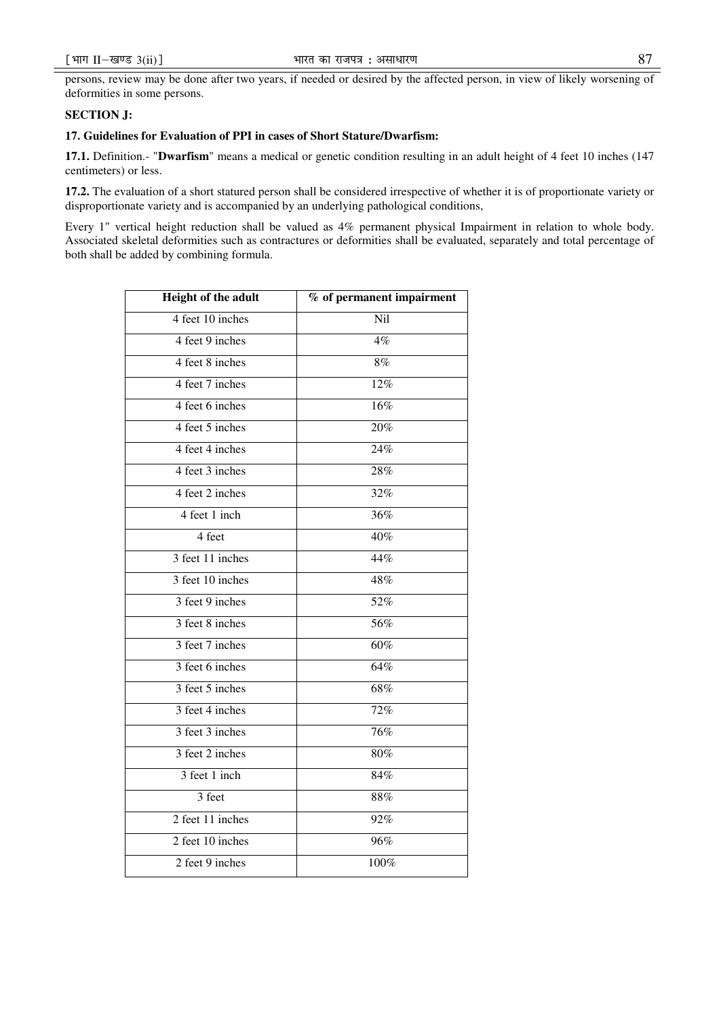persons, review may be done after two years, if needed or desired by the affected person, in view of likely worsening of deformities in some persons.

## **SECTION J:**

# **17. Guidelines for Evaluation of PPI in cases of Short Stature/Dwarfism:**

**17.1.** Definition.- "**Dwarfism**" means a medical or genetic condition resulting in an adult height of 4 feet 10 inches (147 centimeters) or less.

**17.2.** The evaluation of a short statured person shall be considered irrespective of whether it is of proportionate variety or disproportionate variety and is accompanied by an underlying pathological conditions,

Every 1" vertical height reduction shall be valued as 4% permanent physical Impairment in relation to whole body. Associated skeletal deformities such as contractures or deformities shall be evaluated, separately and total percentage of both shall be added by combining formula.

| Height of the adult                                                         | $\overline{\%}$ of permanent impairment |
|-----------------------------------------------------------------------------|-----------------------------------------|
| 4 feet 10 inches                                                            | Nil                                     |
| 4 feet 9 inches                                                             | 4%                                      |
| 4 feet 8 inches                                                             | 8%                                      |
| 4 feet 7 inches                                                             | 12%                                     |
| 4 feet 6 inches                                                             | $\overline{16\%}$                       |
| 4 feet 5 inches                                                             | 20%                                     |
| 4 feet 4 inches                                                             | 24%                                     |
| 4 feet 3 inches                                                             | 28%                                     |
| 4 feet 2 inches                                                             | 32%                                     |
| 4 feet 1 inch                                                               | 36%                                     |
| 4 feet                                                                      | 40%                                     |
| 3 feet 11 inches                                                            | 44%                                     |
| 3 feet 10 inches                                                            | 48%                                     |
| $\frac{3 \text{ feet } 9 \text{ inches}}{3 \text{ feet } 9 \text{ inches}}$ | 52%                                     |
| 3 feet 8 inches                                                             | 56%                                     |
| 3 feet 7 inches                                                             | 60%                                     |
| 3 feet 6 inches                                                             | 64%                                     |
| 3 feet 5 inches                                                             | 68%                                     |
| 3 feet 4 inches                                                             | 72%                                     |
| 3 feet 3 inches                                                             | 76%                                     |
| 3 feet 2 inches                                                             | 80%                                     |
| 3 feet 1 inch                                                               | 84%                                     |
| 3 feet                                                                      | 88%                                     |
| 2 feet 11 inches                                                            | 92%                                     |
| 2 feet 10 inches                                                            | 96%                                     |
| 2 feet 9 inches                                                             | 100%                                    |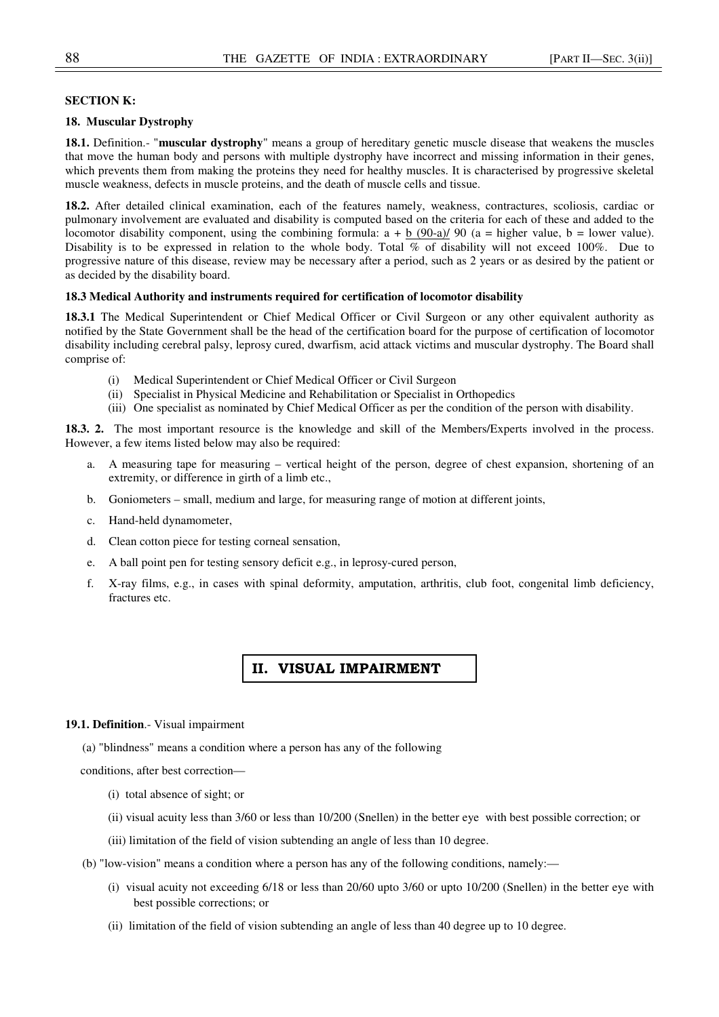## **SECTION K:**

## **18. Muscular Dystrophy**

**18.1.** Definition.- "**muscular dystrophy**" means a group of hereditary genetic muscle disease that weakens the muscles that move the human body and persons with multiple dystrophy have incorrect and missing information in their genes, which prevents them from making the proteins they need for healthy muscles. It is characterised by progressive skeletal muscle weakness, defects in muscle proteins, and the death of muscle cells and tissue.

**18.2.** After detailed clinical examination, each of the features namely, weakness, contractures, scoliosis, cardiac or pulmonary involvement are evaluated and disability is computed based on the criteria for each of these and added to the locomotor disability component, using the combining formula:  $a + b$  (90-a)/ 90 ( $a =$  higher value,  $b =$  lower value). Disability is to be expressed in relation to the whole body. Total % of disability will not exceed 100%. Due to progressive nature of this disease, review may be necessary after a period, such as 2 years or as desired by the patient or as decided by the disability board.

## **18.3 Medical Authority and instruments required for certification of locomotor disability**

**18.3.1** The Medical Superintendent or Chief Medical Officer or Civil Surgeon or any other equivalent authority as notified by the State Government shall be the head of the certification board for the purpose of certification of locomotor disability including cerebral palsy, leprosy cured, dwarfism, acid attack victims and muscular dystrophy. The Board shall comprise of:

- (i) Medical Superintendent or Chief Medical Officer or Civil Surgeon
- (ii) Specialist in Physical Medicine and Rehabilitation or Specialist in Orthopedics
- (iii) One specialist as nominated by Chief Medical Officer as per the condition of the person with disability.

**18.3. 2.** The most important resource is the knowledge and skill of the Members/Experts involved in the process. However, a few items listed below may also be required:

- a. A measuring tape for measuring vertical height of the person, degree of chest expansion, shortening of an extremity, or difference in girth of a limb etc.,
- b. Goniometers small, medium and large, for measuring range of motion at different joints,
- c. Hand-held dynamometer,
- d. Clean cotton piece for testing corneal sensation,
- e. A ball point pen for testing sensory deficit e.g., in leprosy-cured person,
- f. X-ray films, e.g., in cases with spinal deformity, amputation, arthritis, club foot, congenital limb deficiency, fractures etc.

# II. VISUAL IMPAIRMENT

#### **19.1. Definition**.- Visual impairment

(a) "blindness" means a condition where a person has any of the following

conditions, after best correction—

- (i) total absence of sight; or
- (ii) visual acuity less than 3/60 or less than 10/200 (Snellen) in the better eye with best possible correction; or
- (iii) limitation of the field of vision subtending an angle of less than 10 degree.
- (b) "low-vision" means a condition where a person has any of the following conditions, namely:—
	- (i) visual acuity not exceeding 6/18 or less than 20/60 upto 3/60 or upto 10/200 (Snellen) in the better eye with best possible corrections; or
	- (ii) limitation of the field of vision subtending an angle of less than 40 degree up to 10 degree.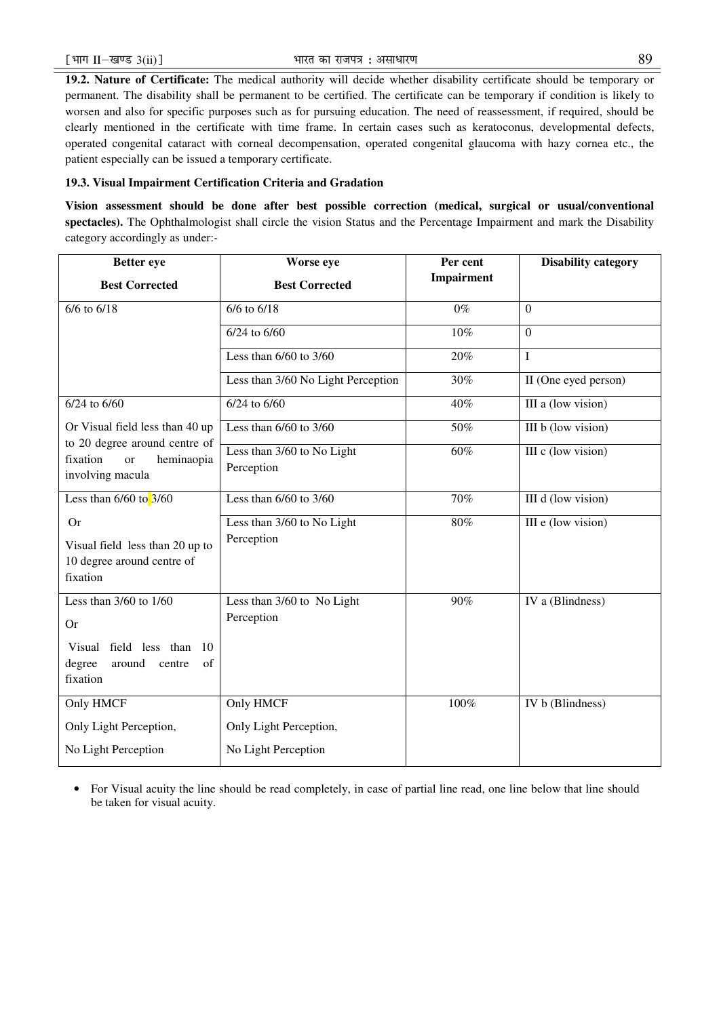**19.2. Nature of Certificate:** The medical authority will decide whether disability certificate should be temporary or permanent. The disability shall be permanent to be certified. The certificate can be temporary if condition is likely to worsen and also for specific purposes such as for pursuing education. The need of reassessment, if required, should be clearly mentioned in the certificate with time frame. In certain cases such as keratoconus, developmental defects, operated congenital cataract with corneal decompensation, operated congenital glaucoma with hazy cornea etc., the patient especially can be issued a temporary certificate.

# **19.3. Visual Impairment Certification Criteria and Gradation**

**Vision assessment should be done after best possible correction (medical, surgical or usual/conventional spectacles).** The Ophthalmologist shall circle the vision Status and the Percentage Impairment and mark the Disability category accordingly as under:-

| <b>Better</b> eye                                                                                                    | Worse eye                                | Per cent          | <b>Disability category</b> |  |
|----------------------------------------------------------------------------------------------------------------------|------------------------------------------|-------------------|----------------------------|--|
| <b>Best Corrected</b>                                                                                                | <b>Best Corrected</b>                    | Impairment        |                            |  |
| $6/6$ to $6/18$                                                                                                      | $6/6$ to $6/18$                          | $0\%$             | $\boldsymbol{0}$           |  |
|                                                                                                                      | $6/24$ to $6/60$                         | $\overline{10\%}$ | $\mathbf{0}$               |  |
|                                                                                                                      | Less than $6/60$ to $3/60$               | 20%               | I                          |  |
|                                                                                                                      | Less than 3/60 No Light Perception       | 30%               | II (One eyed person)       |  |
| $6/24$ to $6/60$                                                                                                     | 6/24 to 6/60                             | 40%               | III a (low vision)         |  |
| Or Visual field less than 40 up<br>to 20 degree around centre of                                                     | Less than $6/60$ to $3/60$               | 50%               | III b (low vision)         |  |
| fixation<br>heminaopia<br><sub>or</sub><br>involving macula                                                          | Less than 3/60 to No Light<br>Perception | 60%               | III c (low vision)         |  |
| Less than $6/60$ to $3/60$                                                                                           | Less than $6/60$ to $3/60$               | 70%               | III d (low vision)         |  |
| <b>Or</b><br>Visual field less than 20 up to<br>10 degree around centre of<br>fixation                               | Less than 3/60 to No Light<br>Perception | 80%               | III e (low vision)         |  |
| Less than $3/60$ to $1/60$<br><b>Or</b><br>Visual field less than 10<br>degree<br>of<br>around<br>centre<br>fixation | Less than 3/60 to No Light<br>Perception | 90%               | IV a (Blindness)           |  |
| Only HMCF                                                                                                            | Only HMCF                                | 100%              | IV b (Blindness)           |  |
| Only Light Perception,                                                                                               | Only Light Perception,                   |                   |                            |  |
| No Light Perception                                                                                                  | No Light Perception                      |                   |                            |  |

• For Visual acuity the line should be read completely, in case of partial line read, one line below that line should be taken for visual acuity.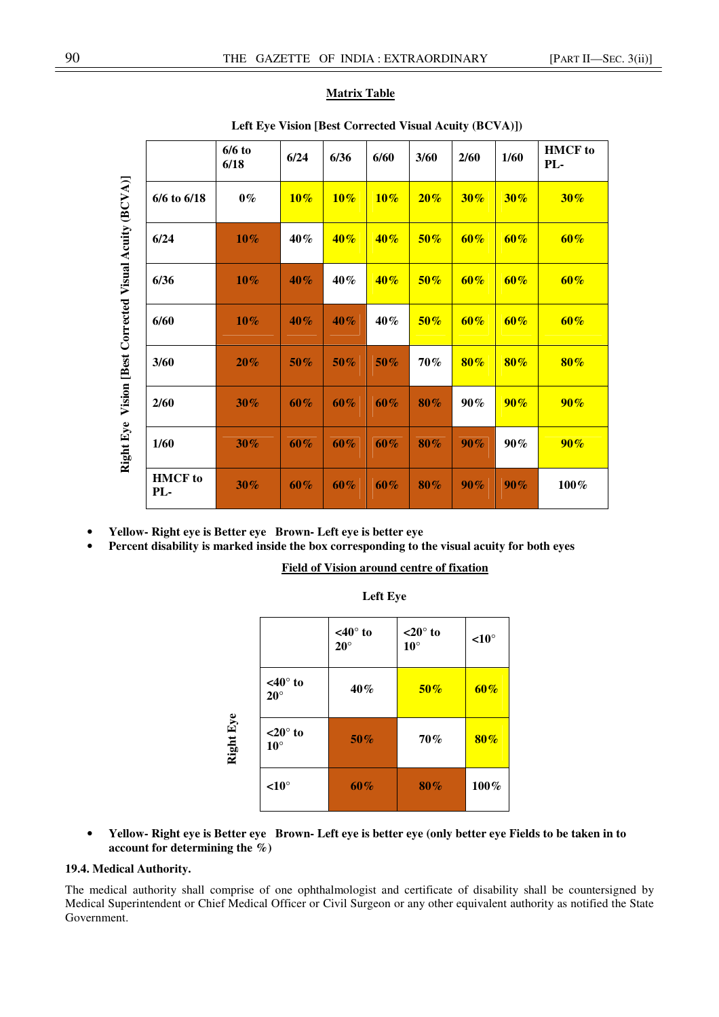# **Matrix Table**

|                       | $6/6$ to<br>6/18 | 6/24   | 6/36   | 6/60   | 3/60   | 2/60   | 1/60   | <b>HMCF</b> to<br>PL- |  |
|-----------------------|------------------|--------|--------|--------|--------|--------|--------|-----------------------|--|
| $6/6$ to $6/18$       | $0\%$            | $10\%$ | $10\%$ | $10\%$ | $20\%$ | $30\%$ | $30\%$ | $30\%$                |  |
| 6/24                  | $10\%$           | $40\%$ | $40\%$ | $40\%$ | $50\%$ | $60\%$ | $60\%$ | $60\%$                |  |
| 6/36                  | $10\%$           | $40\%$ | 40%    | $40\%$ | $50\%$ | $60\%$ | $60\%$ | $60\%$                |  |
| 6/60                  | $10\%$           | 40%    | $40\%$ | 40%    | $50\%$ | $60\%$ | $60\%$ | $60\%$                |  |
| 3/60                  | $20\%$           | $50\%$ | $50\%$ | $50\%$ | 70%    | $80\%$ | $80\%$ | $80\%$                |  |
| 2/60                  | $30\%$           | $60\%$ | $60\%$ | 60%    | $80\%$ | $90\%$ | $90\%$ | $90\%$                |  |
| 1/60                  | $30\%$           | $60\%$ | 60%    | 60%    | 80%    | $90\%$ | $90\%$ | $90\%$                |  |
| <b>HMCF</b> to<br>PL- | $30\%$           | $60\%$ | $60\%$ | 60%    | 80%    | $90\%$ | $90\%$ | 100%                  |  |
|                       |                  |        |        |        |        |        |        |                       |  |

# **Left Eye Vision [Best Corrected Visual Acuity (BCVA)])**

- **Yellow- Right eye is Better eye Brown- Left eye is better eye**
- **Percent disability is marked inside the box corresponding to the visual acuity for both eyes**

 **Field of Vision around centre of fixation** 

|           |                                      | $<40^\circ$ to<br>$20^\circ$ | $<$ 20 $^{\circ}$ to<br>$10^{\circ}$ | $\leq 10^{\circ}$ |
|-----------|--------------------------------------|------------------------------|--------------------------------------|-------------------|
|           | $<40^\circ$ to<br>$20^\circ$         | 40%                          | $50\%$                               | $60\%$            |
| Right Eye | $<$ 20 $^{\circ}$ to<br>$10^{\circ}$ | $50\%$                       | 70%                                  | $80\%$            |
|           | $\leq 10^{\circ}$                    | $60\%$                       | $80\%$                               | 100%              |

| Left Eve |  |
|----------|--|
|----------|--|

• **Yellow- Right eye is Better eye Brown- Left eye is better eye (only better eye Fields to be taken in to account for determining the %)** 

# **19.4. Medical Authority.**

The medical authority shall comprise of one ophthalmologist and certificate of disability shall be countersigned by Medical Superintendent or Chief Medical Officer or Civil Surgeon or any other equivalent authority as notified the State Government.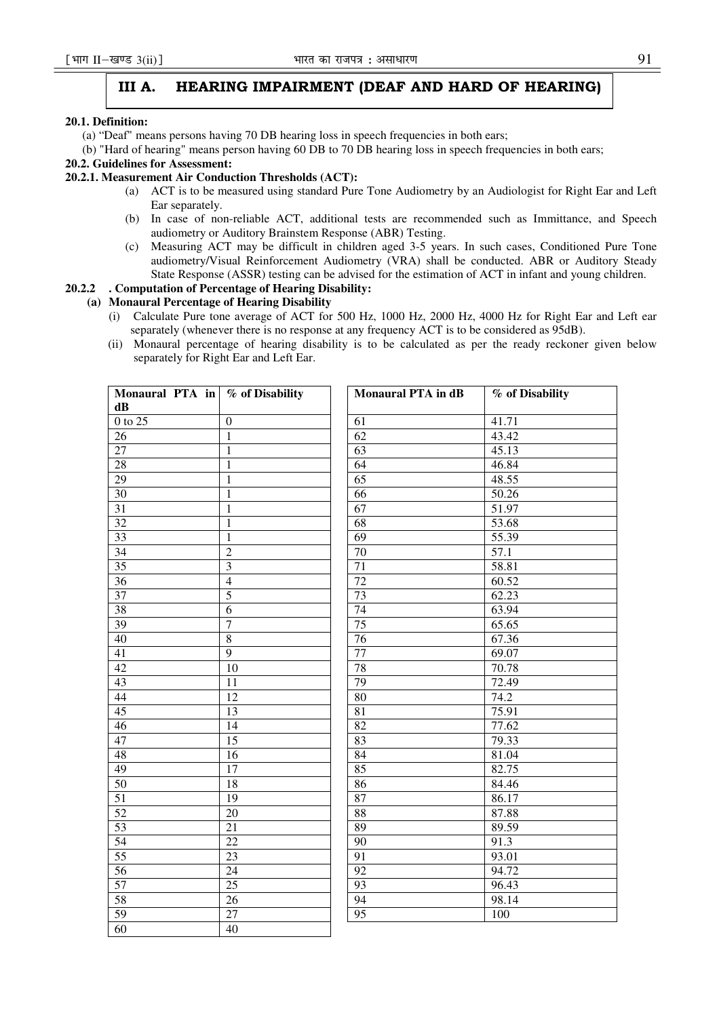# III A. HEARING IMPAIRMENT (DEAF AND HARD OF HEARING)

## **20.1. Definition:**

- (a) "Deaf" means persons having 70 DB hearing loss in speech frequencies in both ears;
- (b) "Hard of hearing" means person having 60 DB to 70 DB hearing loss in speech frequencies in both ears;

# **20.2. Guidelines for Assessment:**

# **20.2.1. Measurement Air Conduction Thresholds (ACT):**

- (a) ACT is to be measured using standard Pure Tone Audiometry by an Audiologist for Right Ear and Left Ear separately.
- (b) In case of non-reliable ACT, additional tests are recommended such as Immittance, and Speech audiometry or Auditory Brainstem Response (ABR) Testing.
- (c) Measuring ACT may be difficult in children aged 3-5 years. In such cases, Conditioned Pure Tone audiometry/Visual Reinforcement Audiometry (VRA) shall be conducted. ABR or Auditory Steady State Response (ASSR) testing can be advised for the estimation of ACT in infant and young children.

# **20.2.2 . Computation of Percentage of Hearing Disability:**

# **(a) Monaural Percentage of Hearing Disability**

- (i) Calculate Pure tone average of ACT for 500 Hz, 1000 Hz, 2000 Hz, 4000 Hz for Right Ear and Left ear separately (whenever there is no response at any frequency ACT is to be considered as 95dB).
- (ii) Monaural percentage of hearing disability is to be calculated as per the ready reckoner given below separately for Right Ear and Left Ear.

| Monaural PTA in \% of Disability |                  | <b>Monaural PTA</b> in dB | % of Disability |
|----------------------------------|------------------|---------------------------|-----------------|
| dB                               |                  |                           |                 |
| $0$ to 25                        | $\boldsymbol{0}$ | 61                        | 41.71           |
| 26                               | $\mathbf{1}$     | $\overline{62}$           | 43.42           |
| $\overline{27}$                  | 1                | 63                        | 45.13           |
| 28                               | $\mathbf{1}$     | 64                        | 46.84           |
| 29                               | 1                | 65                        | 48.55           |
| 30                               | $\mathbf{1}$     | $\overline{66}$           | 50.26           |
| $\overline{31}$                  | 1                | $\overline{67}$           | 51.97           |
| $\overline{32}$                  | $\mathbf{1}$     | $\overline{68}$           | 53.68           |
| 33                               | $\mathbf{1}$     | 69                        | 55.39           |
| 34                               | $\overline{2}$   | $\overline{70}$           | 57.1            |
| 35                               | $\overline{3}$   | $\overline{71}$           | 58.81           |
| 36                               | $\overline{4}$   | $\overline{72}$           | 60.52           |
| 37                               | $\overline{5}$   | 73                        | 62.23           |
| 38                               | $\overline{6}$   | 74                        | 63.94           |
| 39                               | $\overline{7}$   | $\overline{75}$           | 65.65           |
| 40                               | $\overline{8}$   | $\overline{76}$           | 67.36           |
| $\overline{41}$                  | $\overline{9}$   | $\overline{77}$           | 69.07           |
| $\overline{42}$                  | $\overline{10}$  | 78                        | 70.78           |
| 43                               | 11               | 79                        | 72.49           |
| $\overline{44}$                  | $\overline{12}$  | 80                        | 74.2            |
| 45                               | 13               | $\overline{81}$           | 75.91           |
| 46                               | 14               | $\overline{82}$           | 77.62           |
| 47                               | $\overline{15}$  | 83                        | 79.33           |
| 48                               | 16               | 84                        | 81.04           |
| 49                               | $\overline{17}$  | 85                        | 82.75           |
| 50                               | $\overline{18}$  | 86                        | 84.46           |
| 51                               | $\overline{19}$  | 87                        | 86.17           |
| 52                               | $\overline{20}$  | 88                        | 87.88           |
| 53                               | $\overline{21}$  | 89                        | 89.59           |
| 54                               | $\overline{22}$  | $\overline{90}$           | 91.3            |
| 55                               | 23               | $\overline{91}$           | 93.01           |
| 56                               | $\overline{24}$  | 92                        | 94.72           |
| 57                               | $\overline{25}$  | 93                        | 96.43           |
| 58                               | 26               | 94                        | 98.14           |
| 59                               | $\overline{27}$  | 95                        | 100             |
| $\overline{60}$                  | $\overline{40}$  |                           |                 |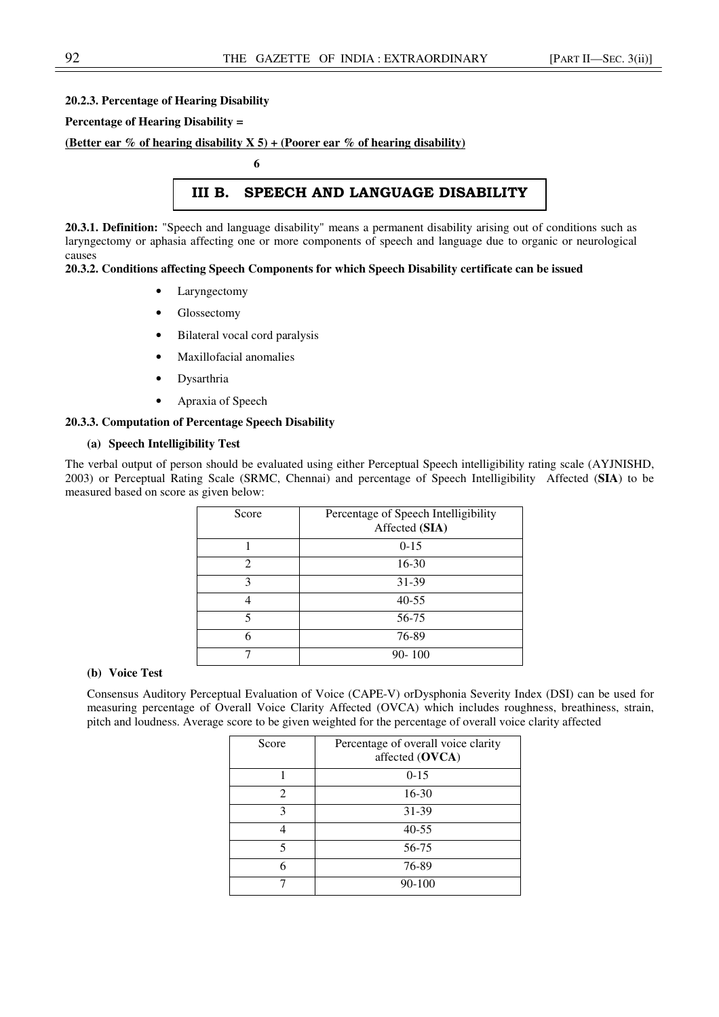# **20.2.3. Percentage of Hearing Disability**

## **Percentage of Hearing Disability =**

# **(Better ear % of hearing disability X 5) + (Poorer ear % of hearing disability)**

 **6** 

# III B. SPEECH AND LANGUAGE DISABILITY

**20.3.1. Definition:** "Speech and language disability" means a permanent disability arising out of conditions such as laryngectomy or aphasia affecting one or more components of speech and language due to organic or neurological causes

# **20.3.2. Conditions affecting Speech Components for which Speech Disability certificate can be issued**

- **Laryngectomy**
- Glossectomy
- Bilateral vocal cord paralysis
- Maxillofacial anomalies
- Dysarthria
- Apraxia of Speech

## **20.3.3. Computation of Percentage Speech Disability**

# **(a) Speech Intelligibility Test**

The verbal output of person should be evaluated using either Perceptual Speech intelligibility rating scale (AYJNISHD, 2003) or Perceptual Rating Scale (SRMC, Chennai) and percentage of Speech Intelligibility Affected (**SIA**) to be measured based on score as given below:

| Score          | Percentage of Speech Intelligibility<br>Affected (SIA) |
|----------------|--------------------------------------------------------|
|                | $0-15$                                                 |
| $\mathfrak{D}$ | 16-30                                                  |
| 3              | 31-39                                                  |
|                | $40 - 55$                                              |
| 5              | 56-75                                                  |
| 6              | 76-89                                                  |
|                | $90 - 100$                                             |

## **(b) Voice Test**

Consensus Auditory Perceptual Evaluation of Voice (CAPE-V) orDysphonia Severity Index (DSI) can be used for measuring percentage of Overall Voice Clarity Affected (OVCA) which includes roughness, breathiness, strain, pitch and loudness. Average score to be given weighted for the percentage of overall voice clarity affected

| Score                       | Percentage of overall voice clarity<br>affected (OVCA) |
|-----------------------------|--------------------------------------------------------|
|                             | $0 - 15$                                               |
| $\mathcal{D}_{\mathcal{L}}$ | $16 - 30$                                              |
| 3                           | 31-39                                                  |
|                             | $40 - 55$                                              |
| 5                           | 56-75                                                  |
| 6                           | 76-89                                                  |
|                             | 90-100                                                 |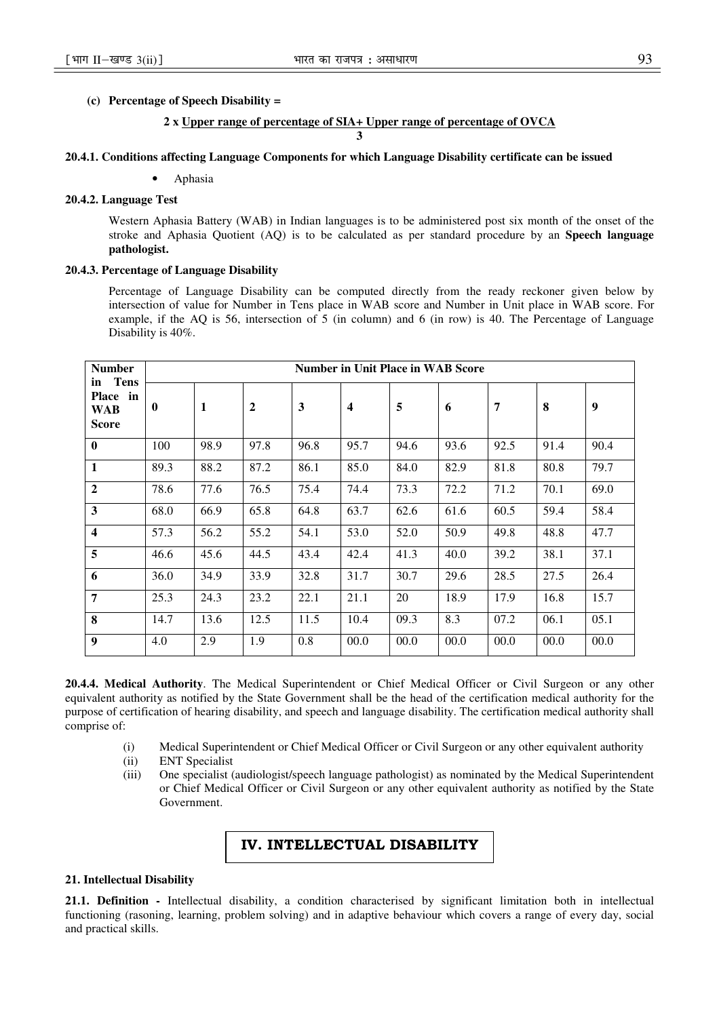## **(c) Percentage of Speech Disability =**

## **2 x Upper range of percentage of SIA+ Upper range of percentage of OVCA**

## **3**

# **20.4.1. Conditions affecting Language Components for which Language Disability certificate can be issued**

## • Aphasia

# **20.4.2. Language Test**

Western Aphasia Battery (WAB) in Indian languages is to be administered post six month of the onset of the stroke and Aphasia Quotient (AQ) is to be calculated as per standard procedure by an **Speech language pathologist.** 

## **20.4.3. Percentage of Language Disability**

Percentage of Language Disability can be computed directly from the ready reckoner given below by intersection of value for Number in Tens place in WAB score and Number in Unit place in WAB score. For example, if the AQ is 56, intersection of 5 (in column) and 6 (in row) is 40. The Percentage of Language Disability is 40%.

| <b>Number</b><br>Tens                 | <b>Number in Unit Place in WAB Score</b> |              |      |      |                         |      |      |      |      |      |
|---------------------------------------|------------------------------------------|--------------|------|------|-------------------------|------|------|------|------|------|
| in<br>Place in<br><b>WAB</b><br>Score | $\bf{0}$                                 | $\mathbf{1}$ | 2    | 3    | $\overline{\mathbf{4}}$ | 5    | 6    | 7    | 8    | 9    |
| $\bf{0}$                              | 100                                      | 98.9         | 97.8 | 96.8 | 95.7                    | 94.6 | 93.6 | 92.5 | 91.4 | 90.4 |
| $\mathbf{1}$                          | 89.3                                     | 88.2         | 87.2 | 86.1 | 85.0                    | 84.0 | 82.9 | 81.8 | 80.8 | 79.7 |
| $\overline{2}$                        | 78.6                                     | 77.6         | 76.5 | 75.4 | 74.4                    | 73.3 | 72.2 | 71.2 | 70.1 | 69.0 |
| $\overline{\mathbf{3}}$               | 68.0                                     | 66.9         | 65.8 | 64.8 | 63.7                    | 62.6 | 61.6 | 60.5 | 59.4 | 58.4 |
| $\overline{\mathbf{4}}$               | 57.3                                     | 56.2         | 55.2 | 54.1 | 53.0                    | 52.0 | 50.9 | 49.8 | 48.8 | 47.7 |
| 5                                     | 46.6                                     | 45.6         | 44.5 | 43.4 | 42.4                    | 41.3 | 40.0 | 39.2 | 38.1 | 37.1 |
| 6                                     | 36.0                                     | 34.9         | 33.9 | 32.8 | 31.7                    | 30.7 | 29.6 | 28.5 | 27.5 | 26.4 |
| 7                                     | 25.3                                     | 24.3         | 23.2 | 22.1 | 21.1                    | 20   | 18.9 | 17.9 | 16.8 | 15.7 |
| 8                                     | 14.7                                     | 13.6         | 12.5 | 11.5 | 10.4                    | 09.3 | 8.3  | 07.2 | 06.1 | 05.1 |
| 9                                     | 4.0                                      | 2.9          | 1.9  | 0.8  | 00.0                    | 00.0 | 00.0 | 00.0 | 00.0 | 00.0 |

**20.4.4. Medical Authority**. The Medical Superintendent or Chief Medical Officer or Civil Surgeon or any other equivalent authority as notified by the State Government shall be the head of the certification medical authority for the purpose of certification of hearing disability, and speech and language disability. The certification medical authority shall comprise of:

- (i) Medical Superintendent or Chief Medical Officer or Civil Surgeon or any other equivalent authority
- (ii) ENT Specialist
- (iii) One specialist (audiologist/speech language pathologist) as nominated by the Medical Superintendent or Chief Medical Officer or Civil Surgeon or any other equivalent authority as notified by the State Government.

# IV. INTELLECTUAL DISABILITY

## **21. Intellectual Disability**

**21.1. Definition -** Intellectual disability, a condition characterised by significant limitation both in intellectual functioning (rasoning, learning, problem solving) and in adaptive behaviour which covers a range of every day, social and practical skills.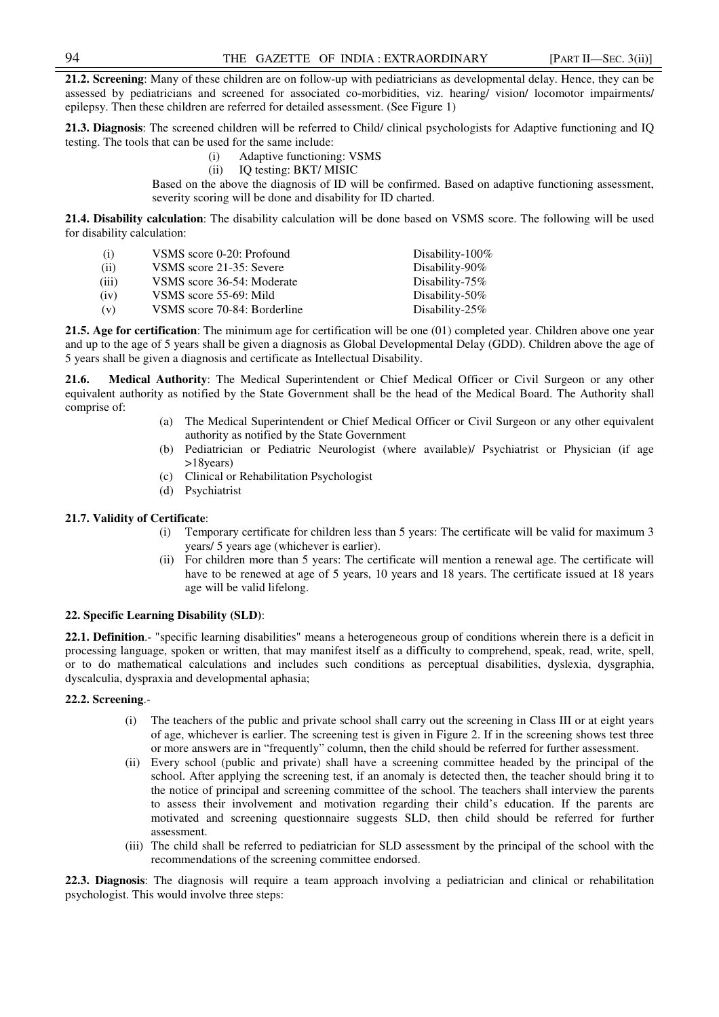**21.2. Screening**: Many of these children are on follow-up with pediatricians as developmental delay. Hence, they can be assessed by pediatricians and screened for associated co-morbidities, viz. hearing/ vision/ locomotor impairments/ epilepsy. Then these children are referred for detailed assessment. (See Figure 1)

**21.3. Diagnosis**: The screened children will be referred to Child/ clinical psychologists for Adaptive functioning and IQ testing. The tools that can be used for the same include:

- (i) Adaptive functioning: VSMS
- (ii) IQ testing: BKT/ MISIC

Based on the above the diagnosis of ID will be confirmed. Based on adaptive functioning assessment, severity scoring will be done and disability for ID charted.

**21.4. Disability calculation**: The disability calculation will be done based on VSMS score. The following will be used for disability calculation:

| (i)   | VSMS score 0-20: Profound    | Disability- $100\%$ |
|-------|------------------------------|---------------------|
| (ii)  | VSMS score 21-35: Severe     | Disability-90 $%$   |
| (iii) | VSMS score 36-54: Moderate   | Disability- $75\%$  |
| (iv)  | VSMS score 55-69: Mild       | Disability- $50\%$  |
| (v)   | VSMS score 70-84: Borderline | Disability- $25\%$  |

**21.5. Age for certification**: The minimum age for certification will be one (01) completed year. Children above one year and up to the age of 5 years shall be given a diagnosis as Global Developmental Delay (GDD). Children above the age of 5 years shall be given a diagnosis and certificate as Intellectual Disability.

**21.6. Medical Authority**: The Medical Superintendent or Chief Medical Officer or Civil Surgeon or any other equivalent authority as notified by the State Government shall be the head of the Medical Board. The Authority shall comprise of:

- (a) The Medical Superintendent or Chief Medical Officer or Civil Surgeon or any other equivalent authority as notified by the State Government
- (b) Pediatrician or Pediatric Neurologist (where available)/ Psychiatrist or Physician (if age >18years)
- (c) Clinical or Rehabilitation Psychologist
- (d) Psychiatrist

## **21.7. Validity of Certificate**:

- (i) Temporary certificate for children less than 5 years: The certificate will be valid for maximum 3 years/ 5 years age (whichever is earlier).
- (ii) For children more than 5 years: The certificate will mention a renewal age. The certificate will have to be renewed at age of 5 years, 10 years and 18 years. The certificate issued at 18 years age will be valid lifelong.

# **22. Specific Learning Disability (SLD)**:

**22.1. Definition**.- "specific learning disabilities" means a heterogeneous group of conditions wherein there is a deficit in processing language, spoken or written, that may manifest itself as a difficulty to comprehend, speak, read, write, spell, or to do mathematical calculations and includes such conditions as perceptual disabilities, dyslexia, dysgraphia, dyscalculia, dyspraxia and developmental aphasia;

# **22.2. Screening**.-

- (i) The teachers of the public and private school shall carry out the screening in Class III or at eight years of age, whichever is earlier. The screening test is given in Figure 2. If in the screening shows test three or more answers are in "frequently" column, then the child should be referred for further assessment.
- (ii) Every school (public and private) shall have a screening committee headed by the principal of the school. After applying the screening test, if an anomaly is detected then, the teacher should bring it to the notice of principal and screening committee of the school. The teachers shall interview the parents to assess their involvement and motivation regarding their child's education. If the parents are motivated and screening questionnaire suggests SLD, then child should be referred for further assessment.
- (iii) The child shall be referred to pediatrician for SLD assessment by the principal of the school with the recommendations of the screening committee endorsed.

**22.3. Diagnosis**: The diagnosis will require a team approach involving a pediatrician and clinical or rehabilitation psychologist. This would involve three steps: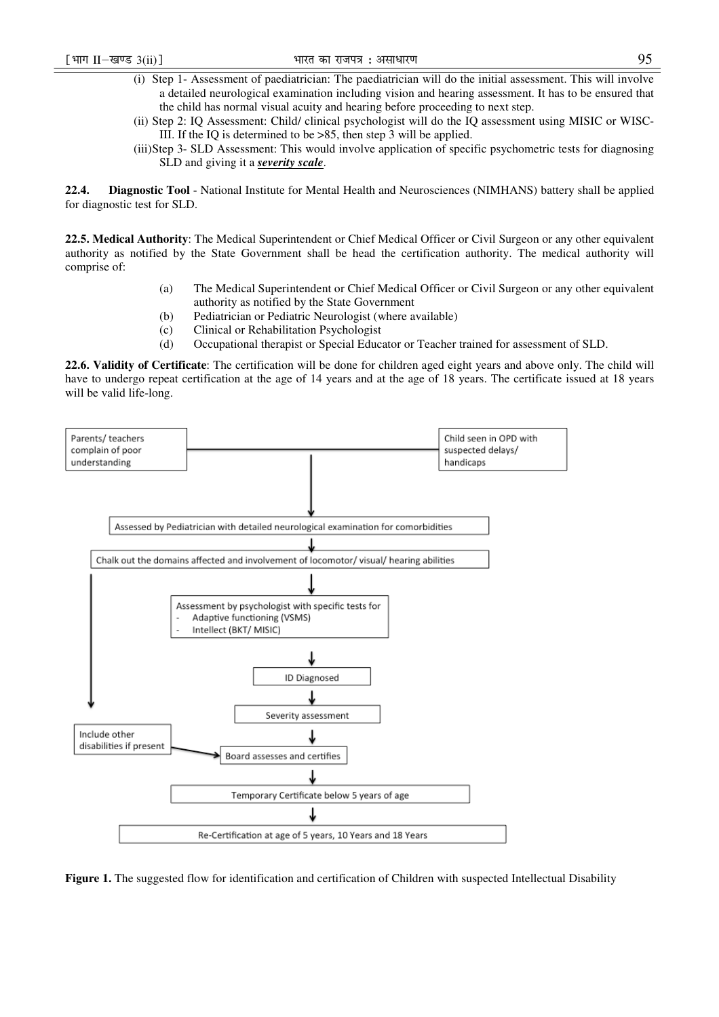- (i) Step 1- Assessment of paediatrician: The paediatrician will do the initial assessment. This will involve a detailed neurological examination including vision and hearing assessment. It has to be ensured that the child has normal visual acuity and hearing before proceeding to next step.
- (ii) Step 2: IQ Assessment: Child/ clinical psychologist will do the IQ assessment using MISIC or WISC-III. If the IQ is determined to be >85, then step 3 will be applied.
- (iii)Step 3- SLD Assessment: This would involve application of specific psychometric tests for diagnosing SLD and giving it a *severity scale*.

**22.4. Diagnostic Tool** - National Institute for Mental Health and Neurosciences (NIMHANS) battery shall be applied for diagnostic test for SLD.

**22.5. Medical Authority**: The Medical Superintendent or Chief Medical Officer or Civil Surgeon or any other equivalent authority as notified by the State Government shall be head the certification authority. The medical authority will comprise of:

- (a) The Medical Superintendent or Chief Medical Officer or Civil Surgeon or any other equivalent authority as notified by the State Government
- (b) Pediatrician or Pediatric Neurologist (where available)
- (c) Clinical or Rehabilitation Psychologist
- (d) Occupational therapist or Special Educator or Teacher trained for assessment of SLD.

**22.6. Validity of Certificate**: The certification will be done for children aged eight years and above only. The child will have to undergo repeat certification at the age of 14 years and at the age of 18 years. The certificate issued at 18 years will be valid life-long.



**Figure 1.** The suggested flow for identification and certification of Children with suspected Intellectual Disability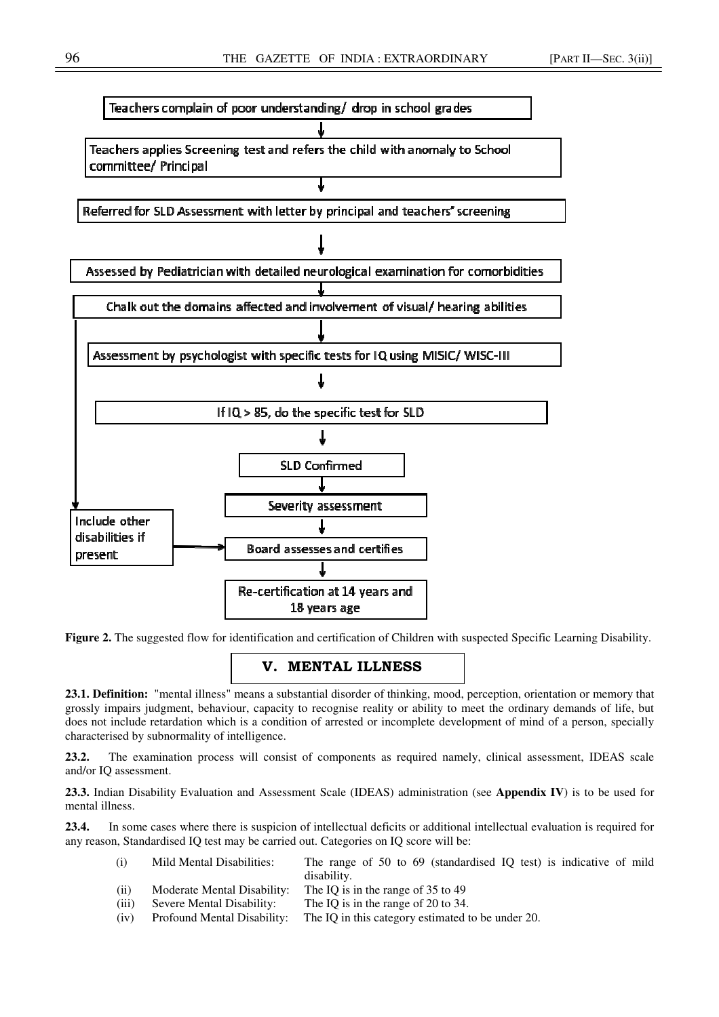

**Figure 2.** The suggested flow for identification and certification of Children with suspected Specific Learning Disability.

# V. MENTAL ILLNESS

**23.1. Definition:** "mental illness" means a substantial disorder of thinking, mood, perception, orientation or memory that grossly impairs judgment, behaviour, capacity to recognise reality or ability to meet the ordinary demands of life, but does not include retardation which is a condition of arrested or incomplete development of mind of a person, specially characterised by subnormality of intelligence.

**23.2.** The examination process will consist of components as required namely, clinical assessment, IDEAS scale and/or IQ assessment.

**23.3.** Indian Disability Evaluation and Assessment Scale (IDEAS) administration (see **Appendix IV**) is to be used for mental illness.

**23.4.** In some cases where there is suspicion of intellectual deficits or additional intellectual evaluation is required for any reason, Standardised IQ test may be carried out. Categories on IQ score will be:

| (i)   | Mild Mental Disabilities:   | The range of 50 to 69 (standardised IQ test) is indicative of mild<br>disability. |
|-------|-----------------------------|-----------------------------------------------------------------------------------|
| (ii)  | Moderate Mental Disability: | The IQ is in the range of 35 to 49                                                |
| (iii) | Severe Mental Disability:   | The IQ is in the range of 20 to 34.                                               |
| (iv)  | Profound Mental Disability: | The IQ in this category estimated to be under 20.                                 |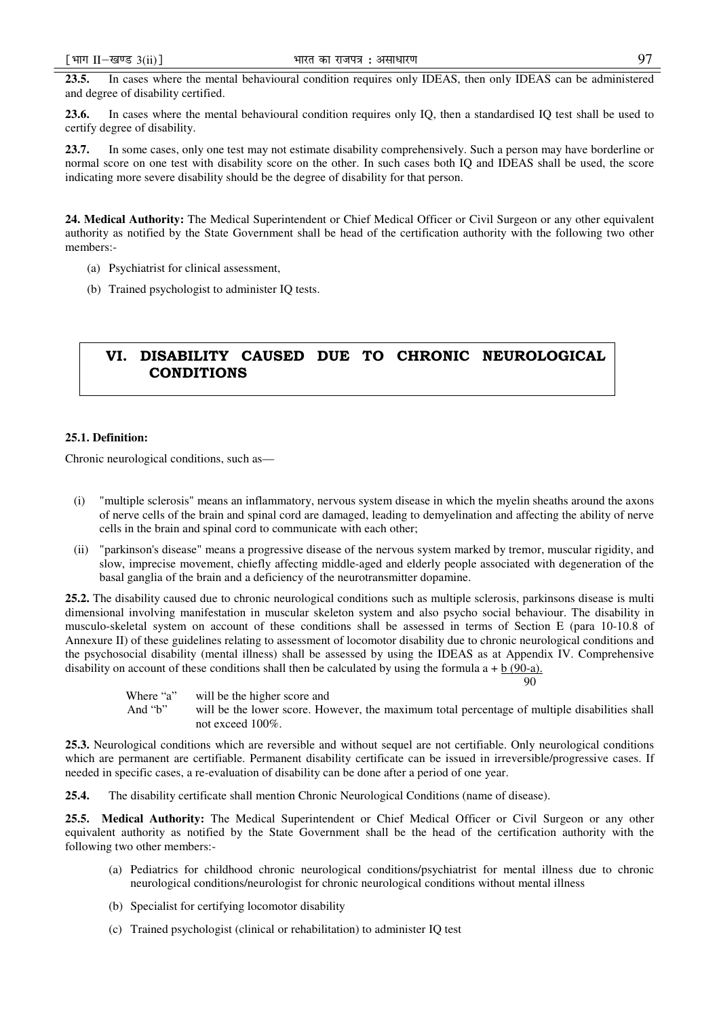**23.5.** In cases where the mental behavioural condition requires only IDEAS, then only IDEAS can be administered and degree of disability certified.

**23.6.** In cases where the mental behavioural condition requires only IQ, then a standardised IQ test shall be used to certify degree of disability.

**23.7.** In some cases, only one test may not estimate disability comprehensively. Such a person may have borderline or normal score on one test with disability score on the other. In such cases both IQ and IDEAS shall be used, the score indicating more severe disability should be the degree of disability for that person.

**24. Medical Authority:** The Medical Superintendent or Chief Medical Officer or Civil Surgeon or any other equivalent authority as notified by the State Government shall be head of the certification authority with the following two other members:-

- (a) Psychiatrist for clinical assessment,
- (b) Trained psychologist to administer IQ tests.

# VI. DISABILITY CAUSED DUE TO CHRONIC NEUROLOGICAL **CONDITIONS**

## **25.1. Definition:**

Chronic neurological conditions, such as—

- (i) "multiple sclerosis" means an inflammatory, nervous system disease in which the myelin sheaths around the axons of nerve cells of the brain and spinal cord are damaged, leading to demyelination and affecting the ability of nerve cells in the brain and spinal cord to communicate with each other;
- (ii) "parkinson's disease" means a progressive disease of the nervous system marked by tremor, muscular rigidity, and slow, imprecise movement, chiefly affecting middle-aged and elderly people associated with degeneration of the basal ganglia of the brain and a deficiency of the neurotransmitter dopamine.

**25.2.** The disability caused due to chronic neurological conditions such as multiple sclerosis, parkinsons disease is multi dimensional involving manifestation in muscular skeleton system and also psycho social behaviour. The disability in musculo-skeletal system on account of these conditions shall be assessed in terms of Section E (para 10-10.8 of Annexure II) of these guidelines relating to assessment of locomotor disability due to chronic neurological conditions and the psychosocial disability (mental illness) shall be assessed by using the IDEAS as at Appendix IV. Comprehensive disability on account of these conditions shall then be calculated by using the formula  $a + b$  (90-a).

Where "a" will be the higher score and<br>And "b" will be the lower score Ho

90

will be the lower score. However, the maximum total percentage of multiple disabilities shall not exceed 100%.

**25.3.** Neurological conditions which are reversible and without sequel are not certifiable. Only neurological conditions which are permanent are certifiable. Permanent disability certificate can be issued in irreversible/progressive cases. If needed in specific cases, a re-evaluation of disability can be done after a period of one year.

**25.4.** The disability certificate shall mention Chronic Neurological Conditions (name of disease).

**25.5. Medical Authority:** The Medical Superintendent or Chief Medical Officer or Civil Surgeon or any other equivalent authority as notified by the State Government shall be the head of the certification authority with the following two other members:-

- (a) Pediatrics for childhood chronic neurological conditions/psychiatrist for mental illness due to chronic neurological conditions/neurologist for chronic neurological conditions without mental illness
- (b) Specialist for certifying locomotor disability
- (c) Trained psychologist (clinical or rehabilitation) to administer IQ test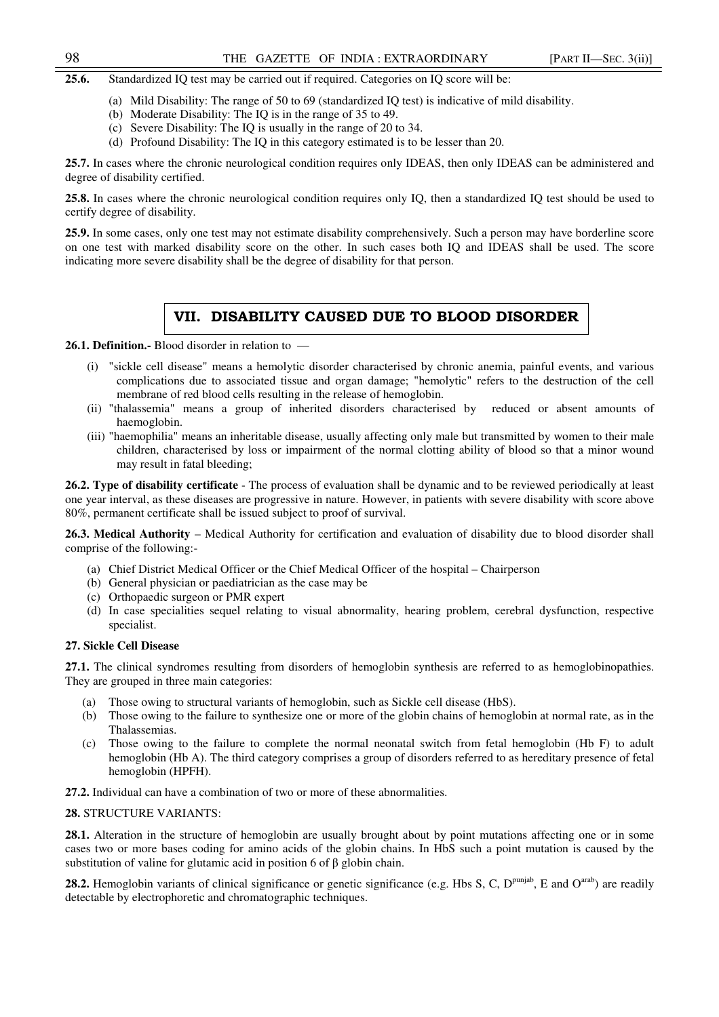## 98 THE GAZETTE OF INDIA : EXTRAORDINARY [PART II—SEC. 3(ii)]

**25.6.** Standardized IQ test may be carried out if required. Categories on IQ score will be:

- (a) Mild Disability: The range of 50 to 69 (standardized IQ test) is indicative of mild disability.
- (b) Moderate Disability: The IQ is in the range of 35 to 49.
- (c) Severe Disability: The IQ is usually in the range of 20 to 34.
- (d) Profound Disability: The IQ in this category estimated is to be lesser than 20.

**25.7.** In cases where the chronic neurological condition requires only IDEAS, then only IDEAS can be administered and degree of disability certified.

**25.8.** In cases where the chronic neurological condition requires only IQ, then a standardized IQ test should be used to certify degree of disability.

**25.9.** In some cases, only one test may not estimate disability comprehensively. Such a person may have borderline score on one test with marked disability score on the other. In such cases both IQ and IDEAS shall be used. The score indicating more severe disability shall be the degree of disability for that person.

# VII. DISABILITY CAUSED DUE TO BLOOD DISORDER

**26.1. Definition.-** Blood disorder in relation to —

- (i) "sickle cell disease" means a hemolytic disorder characterised by chronic anemia, painful events, and various complications due to associated tissue and organ damage; "hemolytic" refers to the destruction of the cell membrane of red blood cells resulting in the release of hemoglobin.
- (ii) "thalassemia" means a group of inherited disorders characterised by reduced or absent amounts of haemoglobin.
- (iii) "haemophilia" means an inheritable disease, usually affecting only male but transmitted by women to their male children, characterised by loss or impairment of the normal clotting ability of blood so that a minor wound may result in fatal bleeding;

**26.2. Type of disability certificate** - The process of evaluation shall be dynamic and to be reviewed periodically at least one year interval, as these diseases are progressive in nature. However, in patients with severe disability with score above 80%, permanent certificate shall be issued subject to proof of survival.

**26.3. Medical Authority** – Medical Authority for certification and evaluation of disability due to blood disorder shall comprise of the following:-

- (a) Chief District Medical Officer or the Chief Medical Officer of the hospital Chairperson
- (b) General physician or paediatrician as the case may be
- (c) Orthopaedic surgeon or PMR expert
- (d) In case specialities sequel relating to visual abnormality, hearing problem, cerebral dysfunction, respective specialist.

## **27. Sickle Cell Disease**

**27.1.** The clinical syndromes resulting from disorders of hemoglobin synthesis are referred to as hemoglobinopathies. They are grouped in three main categories:

- (a) Those owing to structural variants of hemoglobin, such as Sickle cell disease (HbS).
- (b) Those owing to the failure to synthesize one or more of the globin chains of hemoglobin at normal rate, as in the Thalassemias.
- (c) Those owing to the failure to complete the normal neonatal switch from fetal hemoglobin (Hb F) to adult hemoglobin (Hb A). The third category comprises a group of disorders referred to as hereditary presence of fetal hemoglobin (HPFH).

**27.2.** Individual can have a combination of two or more of these abnormalities.

# **28.** STRUCTURE VARIANTS:

**28.1.** Alteration in the structure of hemoglobin are usually brought about by point mutations affecting one or in some cases two or more bases coding for amino acids of the globin chains. In HbS such a point mutation is caused by the substitution of valine for glutamic acid in position 6 of β globin chain.

**28.2.** Hemoglobin variants of clinical significance or genetic significance (e.g. Hbs S, C, D<sup>punjab</sup>, E and O<sup>arab</sup>) are readily detectable by electrophoretic and chromatographic techniques.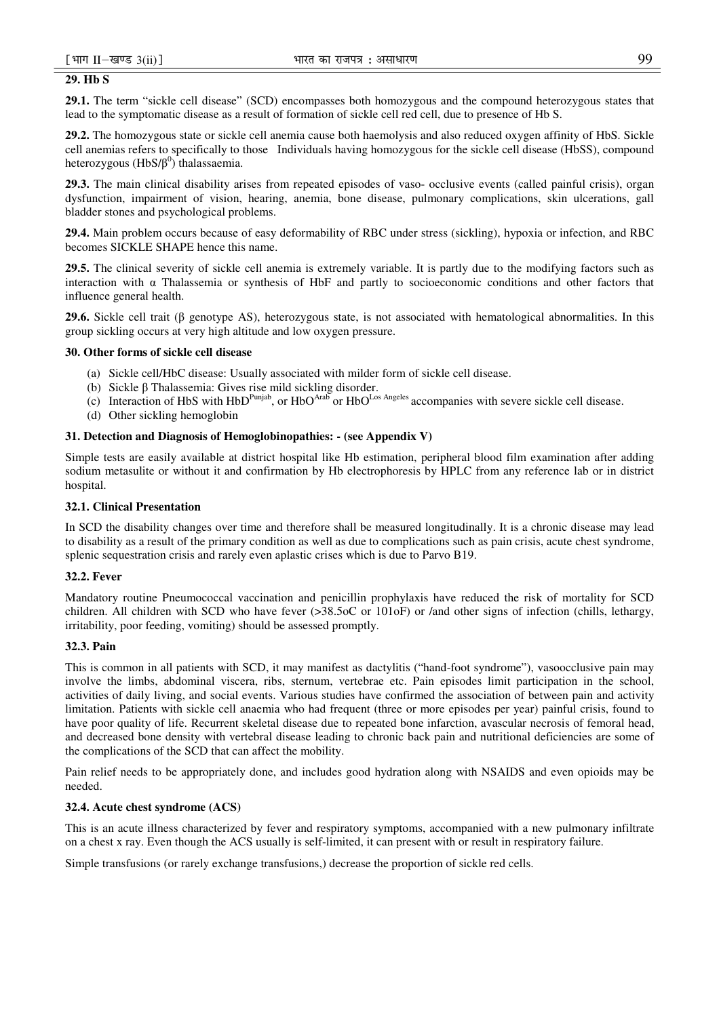# **29. Hb S**

**29.1.** The term "sickle cell disease" (SCD) encompasses both homozygous and the compound heterozygous states that lead to the symptomatic disease as a result of formation of sickle cell red cell, due to presence of Hb S.

**29.2.** The homozygous state or sickle cell anemia cause both haemolysis and also reduced oxygen affinity of HbS. Sickle cell anemias refers to specifically to those Individuals having homozygous for the sickle cell disease (HbSS), compound heterozygous (HbS/β<sup>0</sup>) thalassaemia.

**29.3.** The main clinical disability arises from repeated episodes of vaso- occlusive events (called painful crisis), organ dysfunction, impairment of vision, hearing, anemia, bone disease, pulmonary complications, skin ulcerations, gall bladder stones and psychological problems.

**29.4.** Main problem occurs because of easy deformability of RBC under stress (sickling), hypoxia or infection, and RBC becomes SICKLE SHAPE hence this name.

**29.5.** The clinical severity of sickle cell anemia is extremely variable. It is partly due to the modifying factors such as interaction with α Thalassemia or synthesis of HbF and partly to socioeconomic conditions and other factors that influence general health.

**29.6.** Sickle cell trait (β genotype AS), heterozygous state, is not associated with hematological abnormalities. In this group sickling occurs at very high altitude and low oxygen pressure.

## **30. Other forms of sickle cell disease**

- (a) Sickle cell/HbC disease: Usually associated with milder form of sickle cell disease.
- (b) Sickle β Thalassemia: Gives rise mild sickling disorder.
- (c) Interaction of HbS with  $HbD^{Punjab}$ , or  $HbO^{Arab}$  or  $HbO^{Los}$  Angeles accompanies with severe sickle cell disease.
- (d) Other sickling hemoglobin

## **31. Detection and Diagnosis of Hemoglobinopathies: - (see Appendix V)**

Simple tests are easily available at district hospital like Hb estimation, peripheral blood film examination after adding sodium metasulite or without it and confirmation by Hb electrophoresis by HPLC from any reference lab or in district hospital.

#### **32.1. Clinical Presentation**

In SCD the disability changes over time and therefore shall be measured longitudinally. It is a chronic disease may lead to disability as a result of the primary condition as well as due to complications such as pain crisis, acute chest syndrome, splenic sequestration crisis and rarely even aplastic crises which is due to Parvo B19.

## **32.2. Fever**

Mandatory routine Pneumococcal vaccination and penicillin prophylaxis have reduced the risk of mortality for SCD children. All children with SCD who have fever (>38.5oC or 101oF) or /and other signs of infection (chills, lethargy, irritability, poor feeding, vomiting) should be assessed promptly.

## **32.3. Pain**

This is common in all patients with SCD, it may manifest as dactylitis ("hand-foot syndrome"), vasoocclusive pain may involve the limbs, abdominal viscera, ribs, sternum, vertebrae etc. Pain episodes limit participation in the school, activities of daily living, and social events. Various studies have confirmed the association of between pain and activity limitation. Patients with sickle cell anaemia who had frequent (three or more episodes per year) painful crisis, found to have poor quality of life. Recurrent skeletal disease due to repeated bone infarction, avascular necrosis of femoral head, and decreased bone density with vertebral disease leading to chronic back pain and nutritional deficiencies are some of the complications of the SCD that can affect the mobility.

Pain relief needs to be appropriately done, and includes good hydration along with NSAIDS and even opioids may be needed.

## **32.4. Acute chest syndrome (ACS)**

This is an acute illness characterized by fever and respiratory symptoms, accompanied with a new pulmonary infiltrate on a chest x ray. Even though the ACS usually is self-limited, it can present with or result in respiratory failure.

Simple transfusions (or rarely exchange transfusions,) decrease the proportion of sickle red cells.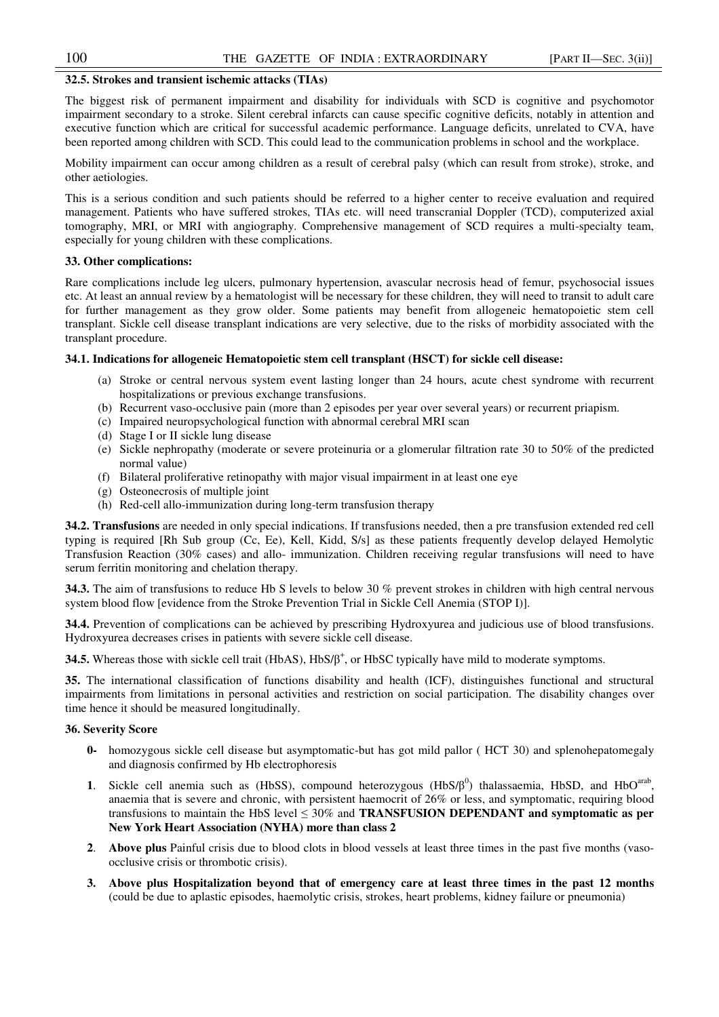## **32.5. Strokes and transient ischemic attacks (TIAs)**

The biggest risk of permanent impairment and disability for individuals with SCD is cognitive and psychomotor impairment secondary to a stroke. Silent cerebral infarcts can cause specific cognitive deficits, notably in attention and executive function which are critical for successful academic performance. Language deficits, unrelated to CVA, have been reported among children with SCD. This could lead to the communication problems in school and the workplace.

Mobility impairment can occur among children as a result of cerebral palsy (which can result from stroke), stroke, and other aetiologies.

This is a serious condition and such patients should be referred to a higher center to receive evaluation and required management. Patients who have suffered strokes, TIAs etc. will need transcranial Doppler (TCD), computerized axial tomography, MRI, or MRI with angiography. Comprehensive management of SCD requires a multi-specialty team, especially for young children with these complications.

## **33. Other complications:**

Rare complications include leg ulcers, pulmonary hypertension, avascular necrosis head of femur, psychosocial issues etc. At least an annual review by a hematologist will be necessary for these children, they will need to transit to adult care for further management as they grow older. Some patients may benefit from allogeneic hematopoietic stem cell transplant. Sickle cell disease transplant indications are very selective, due to the risks of morbidity associated with the transplant procedure.

## **34.1. Indications for allogeneic Hematopoietic stem cell transplant (HSCT) for sickle cell disease:**

- (a) Stroke or central nervous system event lasting longer than 24 hours, acute chest syndrome with recurrent hospitalizations or previous exchange transfusions.
- (b) Recurrent vaso-occlusive pain (more than 2 episodes per year over several years) or recurrent priapism.
- (c) Impaired neuropsychological function with abnormal cerebral MRI scan
- (d) Stage I or II sickle lung disease
- (e) Sickle nephropathy (moderate or severe proteinuria or a glomerular filtration rate 30 to 50% of the predicted normal value)
- (f) Bilateral proliferative retinopathy with major visual impairment in at least one eye
- (g) Osteonecrosis of multiple joint
- (h) Red-cell allo-immunization during long-term transfusion therapy

**34.2. Transfusions** are needed in only special indications. If transfusions needed, then a pre transfusion extended red cell typing is required [Rh Sub group (Cc, Ee), Kell, Kidd, S/s] as these patients frequently develop delayed Hemolytic Transfusion Reaction (30% cases) and allo- immunization. Children receiving regular transfusions will need to have serum ferritin monitoring and chelation therapy.

**34.3.** The aim of transfusions to reduce Hb S levels to below 30 % prevent strokes in children with high central nervous system blood flow [evidence from the Stroke Prevention Trial in Sickle Cell Anemia (STOP I)].

**34.4.** Prevention of complications can be achieved by prescribing Hydroxyurea and judicious use of blood transfusions. Hydroxyurea decreases crises in patients with severe sickle cell disease.

**34.5.** Whereas those with sickle cell trait (HbAS), HbS/β<sup>+</sup>, or HbSC typically have mild to moderate symptoms.

**35.** The international classification of functions disability and health (ICF), distinguishes functional and structural impairments from limitations in personal activities and restriction on social participation. The disability changes over time hence it should be measured longitudinally.

#### **36. Severity Score**

- **0-** homozygous sickle cell disease but asymptomatic-but has got mild pallor ( HCT 30) and splenohepatomegaly and diagnosis confirmed by Hb electrophoresis
- 1. Sickle cell anemia such as (HbSS), compound heterozygous  $(HbS/\beta^0)$  thalassaemia, HbSD, and HbO<sup>arab</sup>, anaemia that is severe and chronic, with persistent haemocrit of 26% or less, and symptomatic, requiring blood transfusions to maintain the HbS level ≤ 30% and **TRANSFUSION DEPENDANT and symptomatic as per New York Heart Association (NYHA) more than class 2**
- **2**. **Above plus** Painful crisis due to blood clots in blood vessels at least three times in the past five months (vasoocclusive crisis or thrombotic crisis).
- **3. Above plus Hospitalization beyond that of emergency care at least three times in the past 12 months** (could be due to aplastic episodes, haemolytic crisis, strokes, heart problems, kidney failure or pneumonia)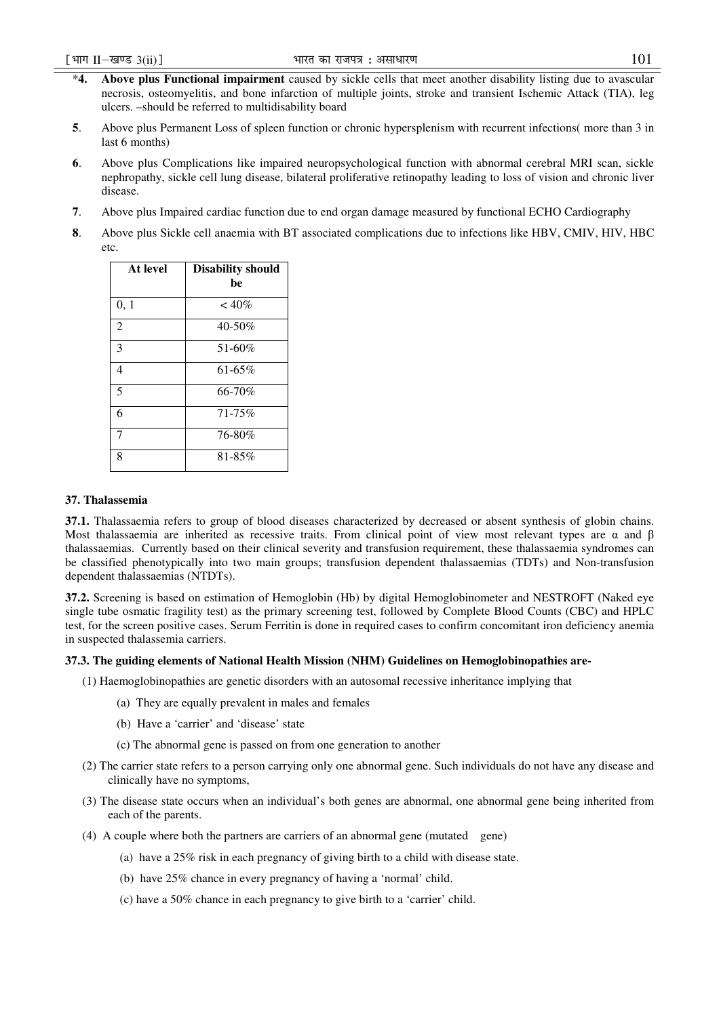- \***4. Above plus Functional impairment** caused by sickle cells that meet another disability listing due to avascular necrosis, osteomyelitis, and bone infarction of multiple joints, stroke and transient Ischemic Attack (TIA), leg ulcers. –should be referred to multidisability board
- **5**. Above plus Permanent Loss of spleen function or chronic hypersplenism with recurrent infections( more than 3 in last 6 months)
- **6**. Above plus Complications like impaired neuropsychological function with abnormal cerebral MRI scan, sickle nephropathy, sickle cell lung disease, bilateral proliferative retinopathy leading to loss of vision and chronic liver disease.
- **7**. Above plus Impaired cardiac function due to end organ damage measured by functional ECHO Cardiography
- **8**. Above plus Sickle cell anaemia with BT associated complications due to infections like HBV, CMIV, HIV, HBC etc.

| At level       | <b>Disability should</b><br>be |
|----------------|--------------------------------|
| 0, 1           | $~10\%$                        |
| $\overline{2}$ | 40-50%                         |
| 3              | 51-60%                         |
| 4              | $61 - 65\%$                    |
| 5              | 66-70%                         |
| 6              | $71 - 75\%$                    |
| 7              | 76-80%                         |
| 8              | 81-85%                         |

## **37. Thalassemia**

**37.1.** Thalassaemia refers to group of blood diseases characterized by decreased or absent synthesis of globin chains. Most thalassaemia are inherited as recessive traits. From clinical point of view most relevant types are  $\alpha$  and  $\beta$ thalassaemias. Currently based on their clinical severity and transfusion requirement, these thalassaemia syndromes can be classified phenotypically into two main groups; transfusion dependent thalassaemias (TDTs) and Non-transfusion dependent thalassaemias (NTDTs).

**37.2.** Screening is based on estimation of Hemoglobin (Hb) by digital Hemoglobinometer and NESTROFT (Naked eye single tube osmatic fragility test) as the primary screening test, followed by Complete Blood Counts (CBC) and HPLC test, for the screen positive cases. Serum Ferritin is done in required cases to confirm concomitant iron deficiency anemia in suspected thalassemia carriers.

## **37.3. The guiding elements of National Health Mission (NHM) Guidelines on Hemoglobinopathies are-**

- (1) Haemoglobinopathies are genetic disorders with an autosomal recessive inheritance implying that
	- (a) They are equally prevalent in males and females
	- (b) Have a 'carrier' and 'disease' state
	- (c) The abnormal gene is passed on from one generation to another
- (2) The carrier state refers to a person carrying only one abnormal gene. Such individuals do not have any disease and clinically have no symptoms,
- (3) The disease state occurs when an individual's both genes are abnormal, one abnormal gene being inherited from each of the parents.
- (4) A couple where both the partners are carriers of an abnormal gene (mutated gene)
	- (a) have a 25% risk in each pregnancy of giving birth to a child with disease state.
	- (b) have 25% chance in every pregnancy of having a 'normal' child.
	- (c) have a 50% chance in each pregnancy to give birth to a 'carrier' child.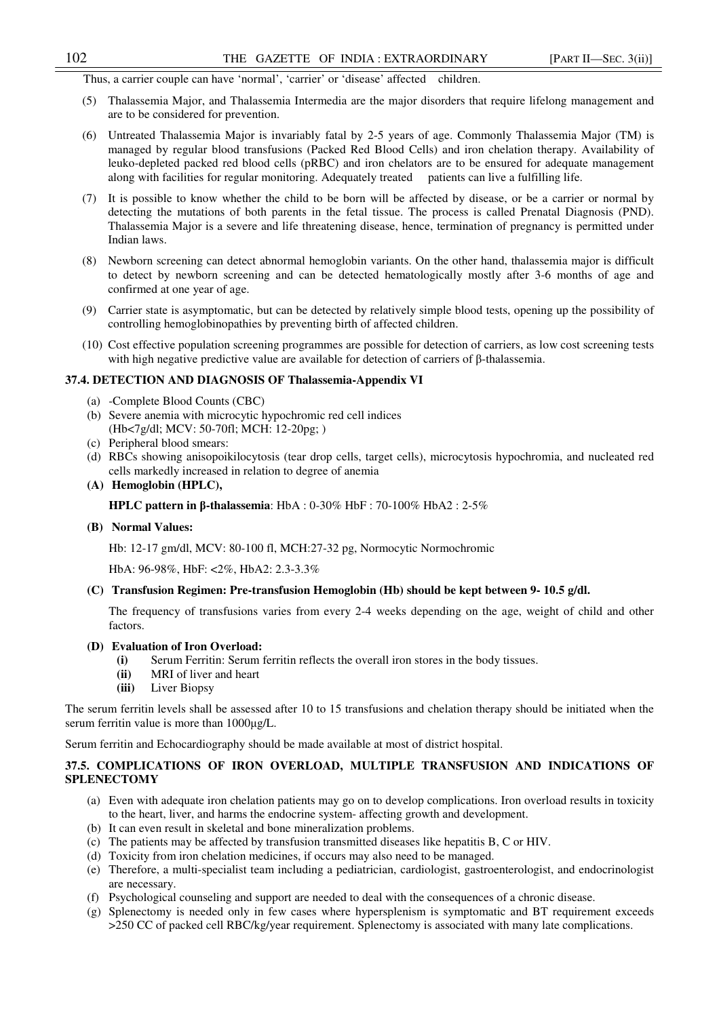Thus, a carrier couple can have 'normal', 'carrier' or 'disease' affected children.

- (5) Thalassemia Major, and Thalassemia Intermedia are the major disorders that require lifelong management and are to be considered for prevention.
- (6) Untreated Thalassemia Major is invariably fatal by 2-5 years of age. Commonly Thalassemia Major (TM) is managed by regular blood transfusions (Packed Red Blood Cells) and iron chelation therapy. Availability of leuko-depleted packed red blood cells (pRBC) and iron chelators are to be ensured for adequate management along with facilities for regular monitoring. Adequately treated patients can live a fulfilling life.
- (7) It is possible to know whether the child to be born will be affected by disease, or be a carrier or normal by detecting the mutations of both parents in the fetal tissue. The process is called Prenatal Diagnosis (PND). Thalassemia Major is a severe and life threatening disease, hence, termination of pregnancy is permitted under Indian laws.
- (8) Newborn screening can detect abnormal hemoglobin variants. On the other hand, thalassemia major is difficult to detect by newborn screening and can be detected hematologically mostly after 3-6 months of age and confirmed at one year of age.
- (9) Carrier state is asymptomatic, but can be detected by relatively simple blood tests, opening up the possibility of controlling hemoglobinopathies by preventing birth of affected children.
- (10) Cost effective population screening programmes are possible for detection of carriers, as low cost screening tests with high negative predictive value are available for detection of carriers of β-thalassemia.

## **37.4. DETECTION AND DIAGNOSIS OF Thalassemia-Appendix VI**

- (a) -Complete Blood Counts (CBC)
- (b) Severe anemia with microcytic hypochromic red cell indices (Hb<7g/dl; MCV: 50-70fl; MCH: 12-20pg; )
- (c) Peripheral blood smears:
- (d) RBCs showing anisopoikilocytosis (tear drop cells, target cells), microcytosis hypochromia, and nucleated red cells markedly increased in relation to degree of anemia
- **(A) Hemoglobin (HPLC),**

**HPLC pattern in** β**-thalassemia**: HbA : 0-30% HbF : 70-100% HbA2 : 2-5%

**(B) Normal Values:** 

Hb: 12-17 gm/dl, MCV: 80-100 fl, MCH:27-32 pg, Normocytic Normochromic

HbA: 96-98%, HbF: <2%, HbA2: 2.3-3.3%

## **(C) Transfusion Regimen: Pre-transfusion Hemoglobin (Hb) should be kept between 9- 10.5 g/dl.**

The frequency of transfusions varies from every 2-4 weeks depending on the age, weight of child and other factors.

#### **(D) Evaluation of Iron Overload:**

- **(i)** Serum Ferritin: Serum ferritin reflects the overall iron stores in the body tissues.
- **(ii)** MRI of liver and heart
- **(iii)** Liver Biopsy

The serum ferritin levels shall be assessed after 10 to 15 transfusions and chelation therapy should be initiated when the serum ferritin value is more than  $1000 \mu g/L$ .

Serum ferritin and Echocardiography should be made available at most of district hospital.

# **37.5. COMPLICATIONS OF IRON OVERLOAD, MULTIPLE TRANSFUSION AND INDICATIONS OF SPLENECTOMY**

- (a) Even with adequate iron chelation patients may go on to develop complications. Iron overload results in toxicity to the heart, liver, and harms the endocrine system- affecting growth and development.
- (b) It can even result in skeletal and bone mineralization problems.
- (c) The patients may be affected by transfusion transmitted diseases like hepatitis B, C or HIV.
- (d) Toxicity from iron chelation medicines, if occurs may also need to be managed.
- (e) Therefore, a multi-specialist team including a pediatrician, cardiologist, gastroenterologist, and endocrinologist are necessary.
- (f) Psychological counseling and support are needed to deal with the consequences of a chronic disease.
- (g) Splenectomy is needed only in few cases where hypersplenism is symptomatic and BT requirement exceeds >250 CC of packed cell RBC/kg/year requirement. Splenectomy is associated with many late complications.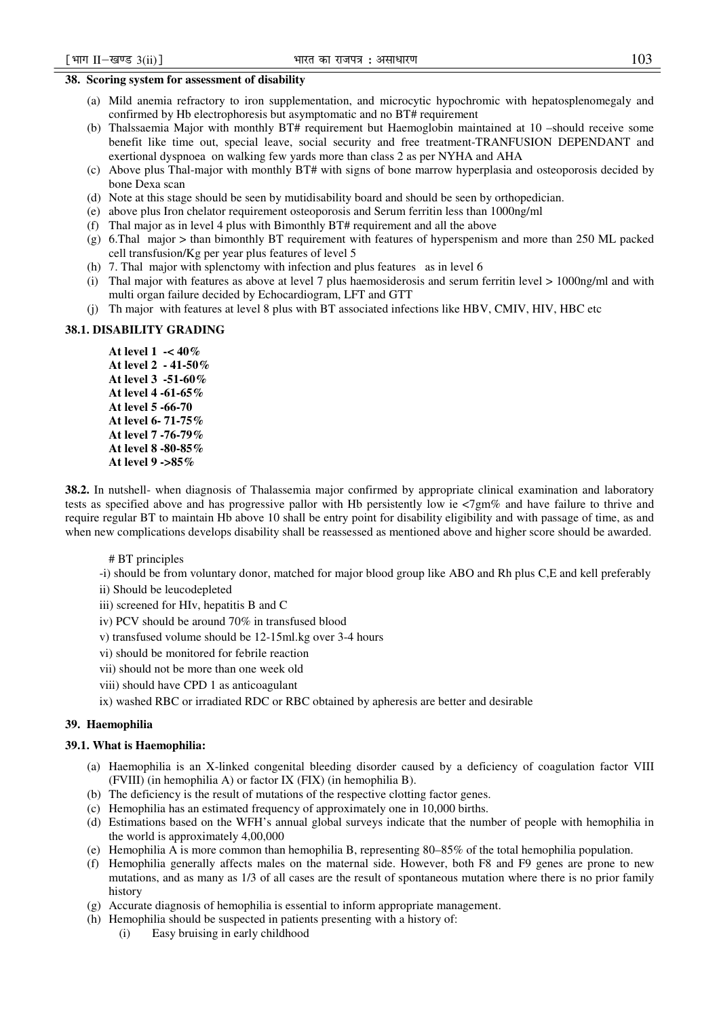# **38. Scoring system for assessment of disability**

- (a) Mild anemia refractory to iron supplementation, and microcytic hypochromic with hepatosplenomegaly and confirmed by Hb electrophoresis but asymptomatic and no BT# requirement
- (b) Thalssaemia Major with monthly BT# requirement but Haemoglobin maintained at 10 –should receive some benefit like time out, special leave, social security and free treatment-TRANFUSION DEPENDANT and exertional dyspnoea on walking few yards more than class 2 as per NYHA and AHA
- (c) Above plus Thal-major with monthly BT# with signs of bone marrow hyperplasia and osteoporosis decided by bone Dexa scan
- (d) Note at this stage should be seen by mutidisability board and should be seen by orthopedician.
- (e) above plus Iron chelator requirement osteoporosis and Serum ferritin less than 1000ng/ml
- (f) Thal major as in level 4 plus with Bimonthly BT# requirement and all the above
- (g) 6.Thal major > than bimonthly BT requirement with features of hyperspenism and more than 250 ML packed cell transfusion/Kg per year plus features of level 5
- (h) 7. Thal major with splenctomy with infection and plus features as in level 6
- (i) Thal major with features as above at level 7 plus haemosiderosis and serum ferritin level > 1000ng/ml and with multi organ failure decided by Echocardiogram, LFT and GTT
- (j) Th major with features at level 8 plus with BT associated infections like HBV, CMIV, HIV, HBC etc

# **38.1. DISABILITY GRADING**

**At level 1 -< 40% At level 2 - 41-50% At level 3 -51-60% At level 4 -61-65% At level 5 -66-70 At level 6- 71-75% At level 7 -76-79% At level 8 -80-85% At level 9 ->85%**

**38.2.** In nutshell- when diagnosis of Thalassemia major confirmed by appropriate clinical examination and laboratory tests as specified above and has progressive pallor with Hb persistently low ie <7gm% and have failure to thrive and require regular BT to maintain Hb above 10 shall be entry point for disability eligibility and with passage of time, as and when new complications develops disability shall be reassessed as mentioned above and higher score should be awarded.

## # BT principles

- -i) should be from voluntary donor, matched for major blood group like ABO and Rh plus C,E and kell preferably
- ii) Should be leucodepleted
- iii) screened for HIv, hepatitis B and C
- iv) PCV should be around 70% in transfused blood
- v) transfused volume should be 12-15ml.kg over 3-4 hours
- vi) should be monitored for febrile reaction
- vii) should not be more than one week old
- viii) should have CPD 1 as anticoagulant
- ix) washed RBC or irradiated RDC or RBC obtained by apheresis are better and desirable

# **39. Haemophilia**

## **39.1. What is Haemophilia:**

- (a) Haemophilia is an X-linked congenital bleeding disorder caused by a deficiency of coagulation factor VIII (FVIII) (in hemophilia A) or factor IX (FIX) (in hemophilia B).
- (b) The deficiency is the result of mutations of the respective clotting factor genes.
- (c) Hemophilia has an estimated frequency of approximately one in 10,000 births.
- (d) Estimations based on the WFH's annual global surveys indicate that the number of people with hemophilia in the world is approximately 4,00,000
- (e) Hemophilia A is more common than hemophilia B, representing 80–85% of the total hemophilia population.
- (f) Hemophilia generally affects males on the maternal side. However, both F8 and F9 genes are prone to new mutations, and as many as 1/3 of all cases are the result of spontaneous mutation where there is no prior family history
- (g) Accurate diagnosis of hemophilia is essential to inform appropriate management.
- (h) Hemophilia should be suspected in patients presenting with a history of:
	- (i) Easy bruising in early childhood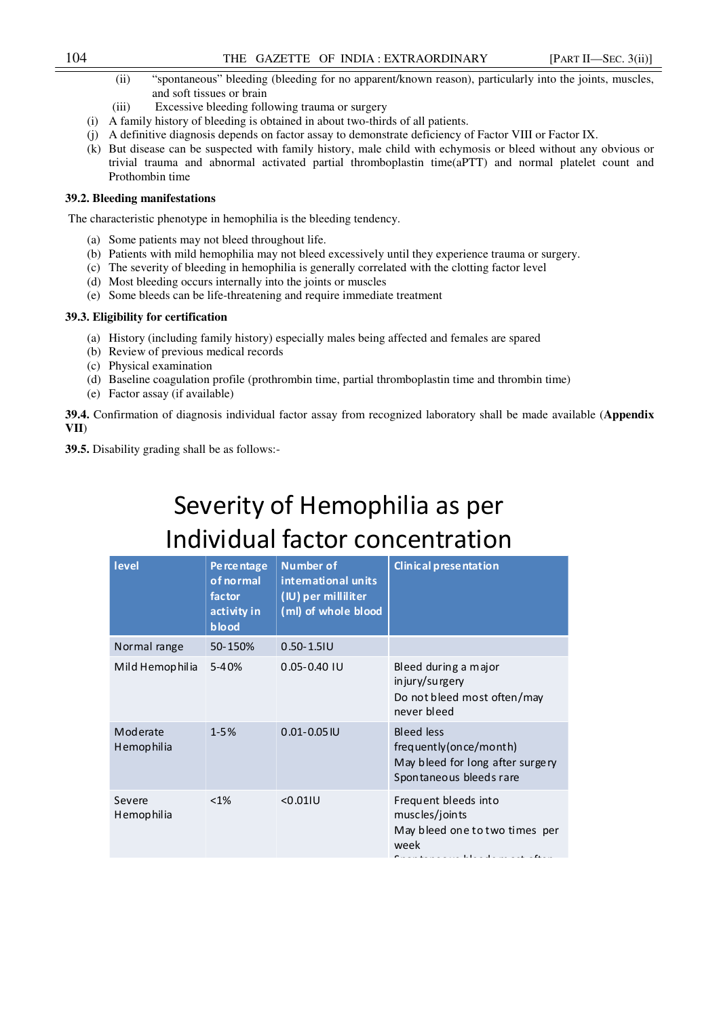# 104 THE GAZETTE OF INDIA : EXTRAORDINARY [PART II—SEC. 3(ii)]

- (ii) "spontaneous" bleeding (bleeding for no apparent/known reason), particularly into the joints, muscles, and soft tissues or brain
- (iii) Excessive bleeding following trauma or surgery
- (i) A family history of bleeding is obtained in about two-thirds of all patients.
- (j) A definitive diagnosis depends on factor assay to demonstrate deficiency of Factor VIII or Factor IX.
- (k) But disease can be suspected with family history, male child with echymosis or bleed without any obvious or trivial trauma and abnormal activated partial thromboplastin time(aPTT) and normal platelet count and Prothombin time

# **39.2. Bleeding manifestations**

The characteristic phenotype in hemophilia is the bleeding tendency.

- (a) Some patients may not bleed throughout life.
- (b) Patients with mild hemophilia may not bleed excessively until they experience trauma or surgery.
- (c) The severity of bleeding in hemophilia is generally correlated with the clotting factor level
- (d) Most bleeding occurs internally into the joints or muscles
- (e) Some bleeds can be life-threatening and require immediate treatment

# **39.3. Eligibility for certification**

- (a) History (including family history) especially males being affected and females are spared
- (b) Review of previous medical records
- (c) Physical examination
- (d) Baseline coagulation profile (prothrombin time, partial thromboplastin time and thrombin time)
- (e) Factor assay (if available)

**39.4.** Confirmation of diagnosis individual factor assay from recognized laboratory shall be made available (**Appendix VII**)

**39.5.** Disability grading shall be as follows:-

# Severity of Hemophilia as per Individual factor concentration

| level                  | Pe rce ntage<br>of normal<br>factor<br>activity in<br>blood | <b>Number of</b><br>international units<br>(IU) per milliliter<br>(ml) of whole blood | Clinical presentation                                                                                                                         |
|------------------------|-------------------------------------------------------------|---------------------------------------------------------------------------------------|-----------------------------------------------------------------------------------------------------------------------------------------------|
| Normal range           | 50-150%                                                     | $0.50 - 1.51U$                                                                        |                                                                                                                                               |
| Mild Hemophilia        | $5 - 40%$                                                   | $0.05 - 0.40$ IU                                                                      | Bleed during a major<br>injury/surgery<br>Do not bleed most often/may<br>never bleed                                                          |
| Moderate<br>Hemophilia | $1 - 5%$                                                    | $0.01 - 0.05$ IU                                                                      | Bleed less<br>frequently (on ce/month)<br>May bleed for long after surgery<br>Spontaneous bleeds rare                                         |
| Severe<br>Hemophilia   | $< 1\%$                                                     | < 0.011U                                                                              | Frequent bleeds into<br>muscles/joints<br>May bleed one to two times per<br>week<br>والمتلائم القمام المواط الماما والمنادر والمتحدث والمنافذ |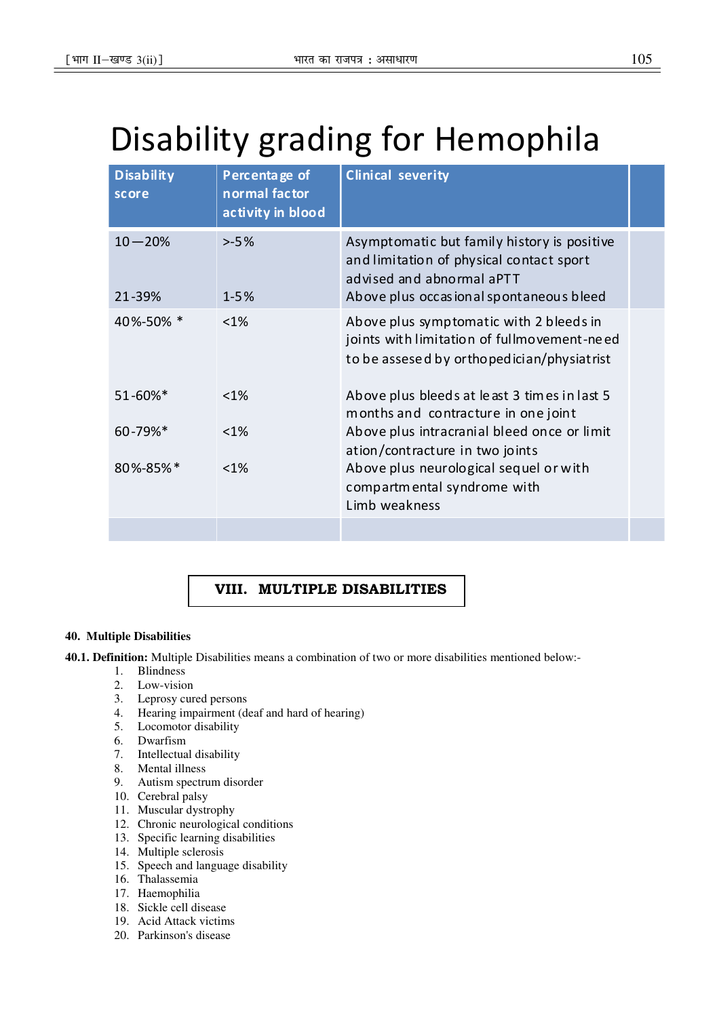# Disability grading for Hemophila

| Disability<br>score  | Percentage of<br>normal factor<br>activity in blood | <b>Clinical severity</b>                                                                                                                                        |  |
|----------------------|-----------------------------------------------------|-----------------------------------------------------------------------------------------------------------------------------------------------------------------|--|
| $10 - 20%$<br>21-39% | $> -5%$<br>$1 - 5%$                                 | Asymptomatic but family history is positive<br>and limitation of physical contact sport<br>advised and abnormal aPTT<br>Above plus occasional spontaneous bleed |  |
| 40%-50% *            | $< 1\%$                                             | Above plus symptomatic with 2 bleeds in<br>joints with limitation of fullmovement-need<br>to be assesed by orthopedician/physiatrist                            |  |
| $51 - 60\%$ *        | $< 1\%$                                             | Above plus bleeds at least 3 times in last 5<br>months and contracture in one joint                                                                             |  |
| 60-79%*              | $< 1\%$                                             | Above plus intracranial bleed once or limit<br>ation/contracture in two joints                                                                                  |  |
| $80\% - 85\% *$      | $< 1\%$                                             | Above plus neurological sequel or with<br>compartmental syndrome with<br>Limb weakness                                                                          |  |
|                      |                                                     |                                                                                                                                                                 |  |

# VIII. MULTIPLE DISABILITIES

# **40. Multiple Disabilities**

**40.1. Definition:** Multiple Disabilities means a combination of two or more disabilities mentioned below:-

- 1. Blindness
- 2. Low-vision
- 3. Leprosy cured persons
- 4. Hearing impairment (deaf and hard of hearing)
- 5. Locomotor disability
- 6. Dwarfism
- 7. Intellectual disability
- 8. Mental illness
- 9. Autism spectrum disorder
- 10. Cerebral palsy
- 11. Muscular dystrophy
- 12. Chronic neurological conditions
- 13. Specific learning disabilities
- 14. Multiple sclerosis
- 15. Speech and language disability
- 16. Thalassemia
- 17. Haemophilia
- 18. Sickle cell disease
- 19. Acid Attack victims
- 20. Parkinson's disease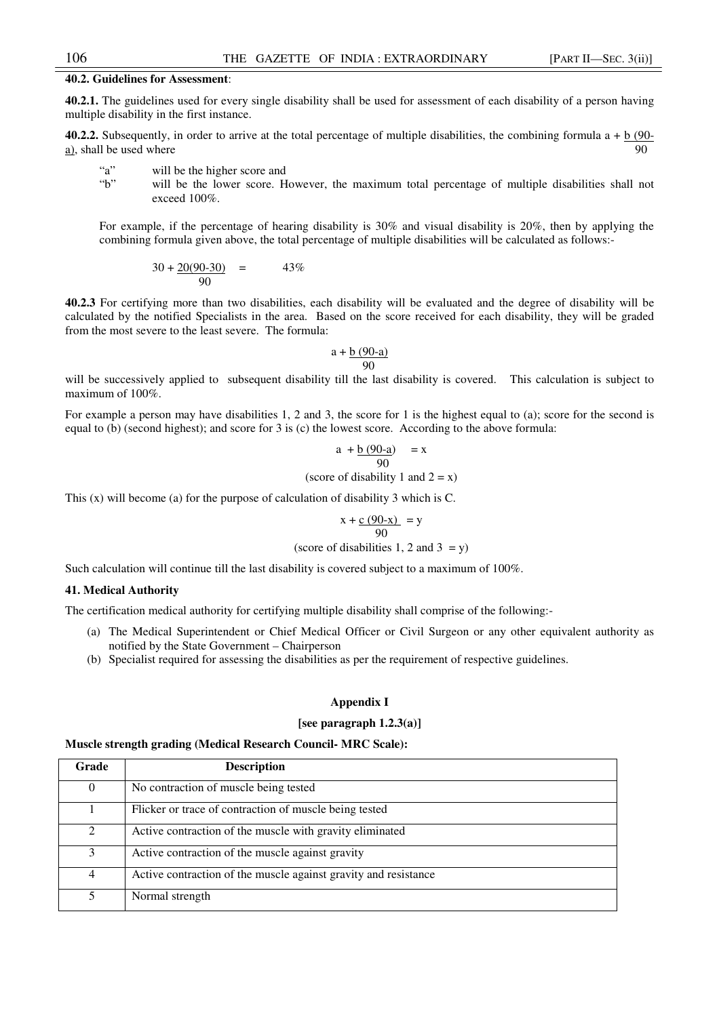# **40.2. Guidelines for Assessment**:

**40.2.1.** The guidelines used for every single disability shall be used for assessment of each disability of a person having multiple disability in the first instance.

**40.2.2.** Subsequently, in order to arrive at the total percentage of multiple disabilities, the combining formula  $a + b$  (90a), shall be used where  $90$ 

- "a" will be the higher score and
- "b" will be the lower score. However, the maximum total percentage of multiple disabilities shall not exceed 100%.

For example, if the percentage of hearing disability is 30% and visual disability is 20%, then by applying the combining formula given above, the total percentage of multiple disabilities will be calculated as follows:-

$$
30 + \frac{20(90-30)}{90} = 43\%
$$

**40.2.3** For certifying more than two disabilities, each disability will be evaluated and the degree of disability will be calculated by the notified Specialists in the area. Based on the score received for each disability, they will be graded from the most severe to the least severe. The formula:

$$
a + \frac{b(90-a)}{90}
$$

will be successively applied to subsequent disability till the last disability is covered. This calculation is subject to maximum of 100%.

For example a person may have disabilities 1, 2 and 3, the score for 1 is the highest equal to (a); score for the second is equal to (b) (second highest); and score for 3 is (c) the lowest score. According to the above formula:

$$
a + \underline{b (90-a)} = x
$$
  
90

(score of disability 1 and  $2 = x$ )

This (x) will become (a) for the purpose of calculation of disability 3 which is C.

$$
x + \frac{c(90-x)}{90} = y
$$

(score of disabilities 1, 2 and  $3 = y$ )

Such calculation will continue till the last disability is covered subject to a maximum of 100%.

# **41. Medical Authority**

The certification medical authority for certifying multiple disability shall comprise of the following:-

- (a) The Medical Superintendent or Chief Medical Officer or Civil Surgeon or any other equivalent authority as notified by the State Government – Chairperson
- (b) Specialist required for assessing the disabilities as per the requirement of respective guidelines.

#### **Appendix I**

## **[see paragraph 1.2.3(a)]**

## **Muscle strength grading (Medical Research Council- MRC Scale):**

| Grade        | <b>Description</b>                                              |
|--------------|-----------------------------------------------------------------|
| $\mathbf{0}$ | No contraction of muscle being tested                           |
|              | Flicker or trace of contraction of muscle being tested          |
| 2            | Active contraction of the muscle with gravity eliminated        |
| 3            | Active contraction of the muscle against gravity                |
| 4            | Active contraction of the muscle against gravity and resistance |
|              | Normal strength                                                 |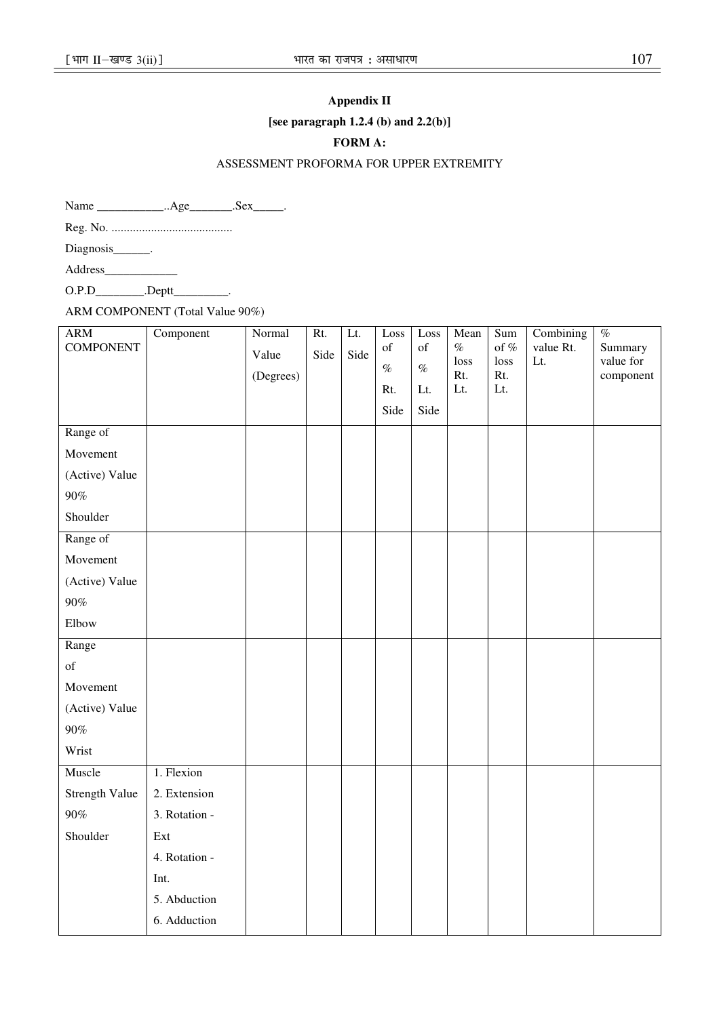# **Appendix II**

**[see paragraph 1.2.4 (b) and 2.2(b)]** 

# **FORM A:**

# ASSESSMENT PROFORMA FOR UPPER EXTREMITY

Name \_\_\_\_\_\_\_\_\_\_\_\_\_..Age\_\_\_\_\_\_\_.Sex\_\_\_\_\_.

Reg. No. ........................................

Diagnosis\_\_\_\_\_\_\_.

Address\_\_\_\_\_\_\_\_\_\_\_\_

O.P.D\_\_\_\_\_\_\_\_\_.Deptt\_\_\_\_\_\_\_\_\_.

ARM COMPONENT (Total Value 90%)

| <b>ARM</b><br><b>COMPONENT</b> | Component     | Normal<br>Value<br>(Degrees) | Rt.<br>Side | Lt.<br>Side | Loss<br>of<br>$\%$<br>Rt.<br>Side | Loss<br>of<br>$\%$<br>Lt.<br>Side | Mean<br>$\%$<br>loss<br>Rt.<br>$\mathop{\text{Lt}}$ | Sum<br>of $%$<br>loss<br>Rt.<br>Lt. | Combining<br>value Rt.<br>Lt. | $\%$<br>Summary<br>value for<br>component |
|--------------------------------|---------------|------------------------------|-------------|-------------|-----------------------------------|-----------------------------------|-----------------------------------------------------|-------------------------------------|-------------------------------|-------------------------------------------|
| Range of                       |               |                              |             |             |                                   |                                   |                                                     |                                     |                               |                                           |
| Movement                       |               |                              |             |             |                                   |                                   |                                                     |                                     |                               |                                           |
| (Active) Value                 |               |                              |             |             |                                   |                                   |                                                     |                                     |                               |                                           |
| $90\%$                         |               |                              |             |             |                                   |                                   |                                                     |                                     |                               |                                           |
| Shoulder                       |               |                              |             |             |                                   |                                   |                                                     |                                     |                               |                                           |
| Range of                       |               |                              |             |             |                                   |                                   |                                                     |                                     |                               |                                           |
| Movement                       |               |                              |             |             |                                   |                                   |                                                     |                                     |                               |                                           |
| (Active) Value                 |               |                              |             |             |                                   |                                   |                                                     |                                     |                               |                                           |
| $90\%$                         |               |                              |             |             |                                   |                                   |                                                     |                                     |                               |                                           |
| Elbow                          |               |                              |             |             |                                   |                                   |                                                     |                                     |                               |                                           |
| Range                          |               |                              |             |             |                                   |                                   |                                                     |                                     |                               |                                           |
| $\sigma f$                     |               |                              |             |             |                                   |                                   |                                                     |                                     |                               |                                           |
| Movement                       |               |                              |             |             |                                   |                                   |                                                     |                                     |                               |                                           |
| (Active) Value                 |               |                              |             |             |                                   |                                   |                                                     |                                     |                               |                                           |
| $90\%$                         |               |                              |             |             |                                   |                                   |                                                     |                                     |                               |                                           |
| Wrist                          |               |                              |             |             |                                   |                                   |                                                     |                                     |                               |                                           |
| Muscle                         | 1. Flexion    |                              |             |             |                                   |                                   |                                                     |                                     |                               |                                           |
| Strength Value                 | 2. Extension  |                              |             |             |                                   |                                   |                                                     |                                     |                               |                                           |
| $90\%$                         | 3. Rotation - |                              |             |             |                                   |                                   |                                                     |                                     |                               |                                           |
| Shoulder                       | Ext           |                              |             |             |                                   |                                   |                                                     |                                     |                               |                                           |
|                                | 4. Rotation - |                              |             |             |                                   |                                   |                                                     |                                     |                               |                                           |
|                                | Int.          |                              |             |             |                                   |                                   |                                                     |                                     |                               |                                           |
|                                | 5. Abduction  |                              |             |             |                                   |                                   |                                                     |                                     |                               |                                           |
|                                | 6. Adduction  |                              |             |             |                                   |                                   |                                                     |                                     |                               |                                           |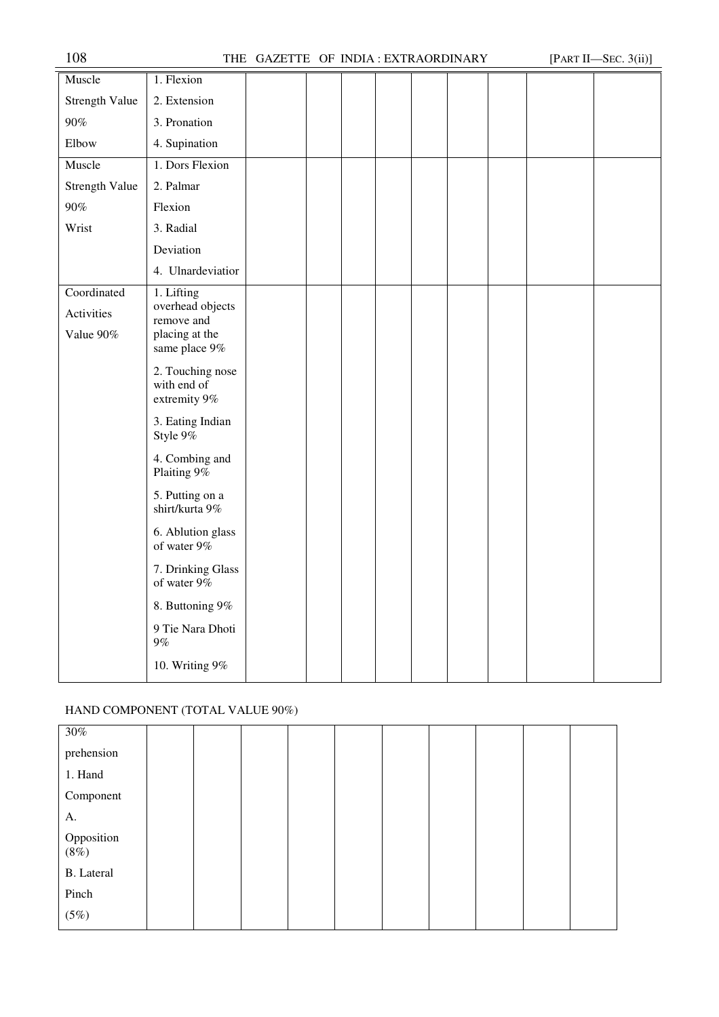|                                        | ,,,,,                                                                           | GAZZLITE OF HUDRICEATING CREDITARY |  |  |  | $\mu$ and $\mu$ bec. $\upsilon$ ( $\mu$ ) |
|----------------------------------------|---------------------------------------------------------------------------------|------------------------------------|--|--|--|-------------------------------------------|
| Muscle                                 | 1. Flexion                                                                      |                                    |  |  |  |                                           |
| Strength Value                         | 2. Extension                                                                    |                                    |  |  |  |                                           |
| $90\%$                                 | 3. Pronation                                                                    |                                    |  |  |  |                                           |
| Elbow                                  | 4. Supination                                                                   |                                    |  |  |  |                                           |
| Muscle                                 | 1. Dors Flexion                                                                 |                                    |  |  |  |                                           |
| Strength Value                         | 2. Palmar                                                                       |                                    |  |  |  |                                           |
| $90\%$                                 | Flexion                                                                         |                                    |  |  |  |                                           |
| Wrist                                  | 3. Radial                                                                       |                                    |  |  |  |                                           |
|                                        | Deviation                                                                       |                                    |  |  |  |                                           |
|                                        | 4. Ulnardeviatior                                                               |                                    |  |  |  |                                           |
| Coordinated<br>Activities<br>Value 90% | 1. Lifting<br>overhead objects<br>remove and<br>placing at the<br>same place 9% |                                    |  |  |  |                                           |
|                                        | 2. Touching nose<br>with end of<br>extremity 9%                                 |                                    |  |  |  |                                           |
|                                        | 3. Eating Indian<br>Style 9%                                                    |                                    |  |  |  |                                           |
|                                        | 4. Combing and<br>Plaiting 9%                                                   |                                    |  |  |  |                                           |
|                                        | 5. Putting on a<br>shirt/kurta 9%                                               |                                    |  |  |  |                                           |
|                                        | 6. Ablution glass<br>of water 9%                                                |                                    |  |  |  |                                           |
|                                        | 7. Drinking Glass<br>of water $9\%$                                             |                                    |  |  |  |                                           |
|                                        | 8. Buttoning 9%                                                                 |                                    |  |  |  |                                           |
|                                        | 9 Tie Nara Dhoti<br>$9\%$                                                       |                                    |  |  |  |                                           |
|                                        | 10. Writing 9%                                                                  |                                    |  |  |  |                                           |

# HAND COMPONENT (TOTAL VALUE 90%)

| 30%                   |  |  |  |  |  |
|-----------------------|--|--|--|--|--|
| prehension            |  |  |  |  |  |
| 1. Hand               |  |  |  |  |  |
| Component             |  |  |  |  |  |
| A.                    |  |  |  |  |  |
| Opposition<br>$(8\%)$ |  |  |  |  |  |
| <b>B.</b> Lateral     |  |  |  |  |  |
| Pinch                 |  |  |  |  |  |
| (5%)                  |  |  |  |  |  |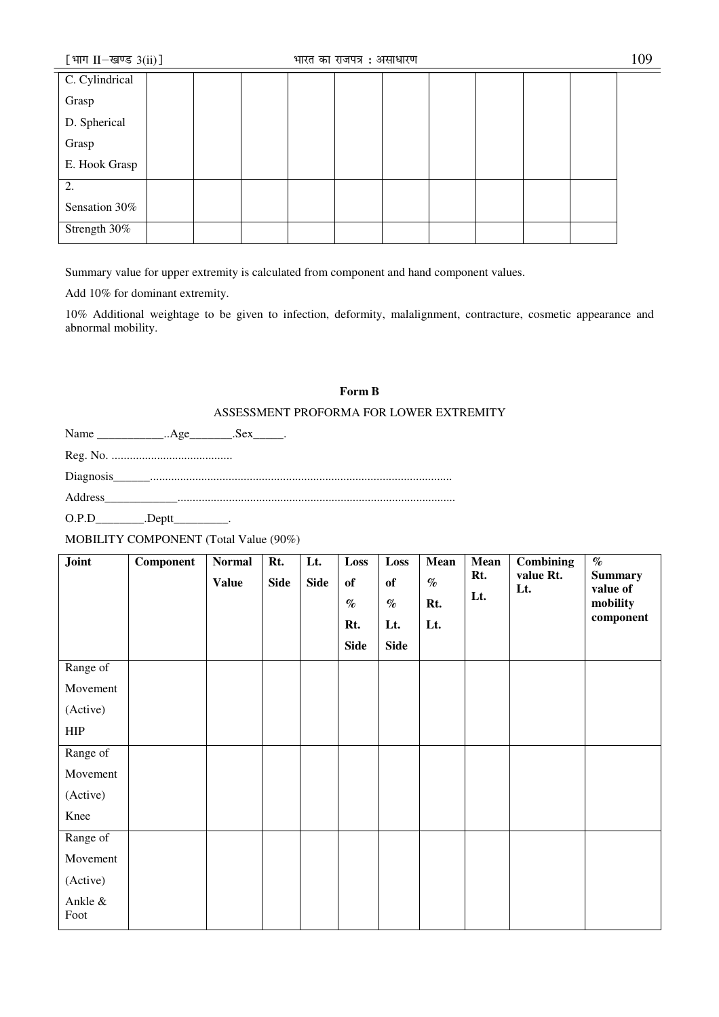| [भाग II-खण्ड $3(ii)$ ] | भारत का राजपत्र : असाधारण | 109 |
|------------------------|---------------------------|-----|
| C. Cylindrical         |                           |     |
| Grasp                  |                           |     |
| D. Spherical           |                           |     |
| Grasp                  |                           |     |
| E. Hook Grasp          |                           |     |
| 2.                     |                           |     |
| Sensation 30%          |                           |     |
| Strength 30%           |                           |     |

Summary value for upper extremity is calculated from component and hand component values.

Add 10% for dominant extremity.

10% Additional weightage to be given to infection, deformity, malalignment, contracture, cosmetic appearance and abnormal mobility.

# **Form B**

# ASSESSMENT PROFORMA FOR LOWER EXTREMITY

Name \_\_\_\_\_\_\_\_\_\_\_\_\_..Age\_\_\_\_\_\_\_\_.Sex\_\_\_\_\_.

Reg. No. ........................................

Diagnosis\_\_\_\_\_\_....................................................................................................

Address\_\_\_\_\_\_\_\_\_\_\_\_............................................................................................

O.P.D\_\_\_\_\_\_\_\_\_\_.Deptt\_\_\_\_\_\_\_\_\_\_.

MOBILITY COMPONENT (Total Value (90%)

| Joint           | <b>Component</b> | <b>Normal</b> | Rt.         | Lt.         | Loss        | Loss        | <b>Mean</b> | Mean<br>Rt. | <b>Combining</b><br>value Rt. | $\%$<br><b>Summary</b> |
|-----------------|------------------|---------------|-------------|-------------|-------------|-------------|-------------|-------------|-------------------------------|------------------------|
|                 |                  | <b>Value</b>  | <b>Side</b> | <b>Side</b> | of          | of          | $\%$        | Lt.         | Lt.                           | value of               |
|                 |                  |               |             |             | $\%$        | $\%$        | Rt.         |             |                               | mobility               |
|                 |                  |               |             |             | Rt.         | Lt.         | Lt.         |             |                               | component              |
|                 |                  |               |             |             | <b>Side</b> | <b>Side</b> |             |             |                               |                        |
| Range of        |                  |               |             |             |             |             |             |             |                               |                        |
| Movement        |                  |               |             |             |             |             |             |             |                               |                        |
| (Active)        |                  |               |             |             |             |             |             |             |                               |                        |
| <b>HIP</b>      |                  |               |             |             |             |             |             |             |                               |                        |
| Range of        |                  |               |             |             |             |             |             |             |                               |                        |
| Movement        |                  |               |             |             |             |             |             |             |                               |                        |
| (Active)        |                  |               |             |             |             |             |             |             |                               |                        |
| Knee            |                  |               |             |             |             |             |             |             |                               |                        |
| Range of        |                  |               |             |             |             |             |             |             |                               |                        |
| Movement        |                  |               |             |             |             |             |             |             |                               |                        |
| (Active)        |                  |               |             |             |             |             |             |             |                               |                        |
| Ankle &<br>Foot |                  |               |             |             |             |             |             |             |                               |                        |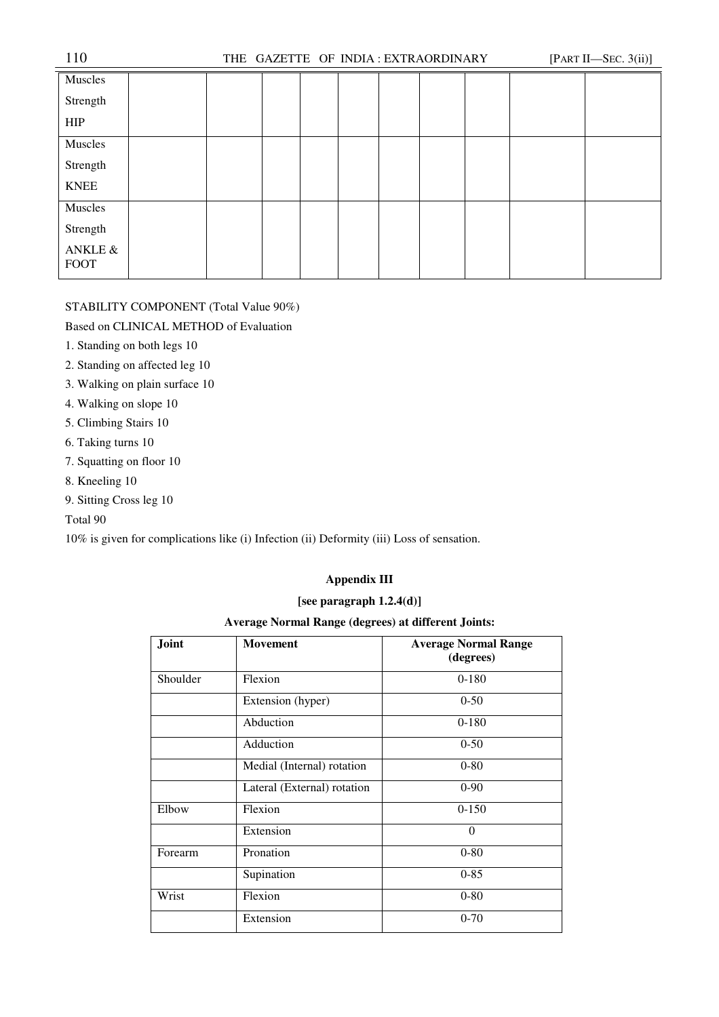| 110                    |  |  |  | THE GAZETTE OF INDIA: EXTRAORDINARY |  | [PART II-SEC. $3(ii)$ ] |
|------------------------|--|--|--|-------------------------------------|--|-------------------------|
| Muscles                |  |  |  |                                     |  |                         |
| Strength               |  |  |  |                                     |  |                         |
| <b>HIP</b>             |  |  |  |                                     |  |                         |
| Muscles                |  |  |  |                                     |  |                         |
| Strength               |  |  |  |                                     |  |                         |
| <b>KNEE</b>            |  |  |  |                                     |  |                         |
| Muscles                |  |  |  |                                     |  |                         |
| Strength               |  |  |  |                                     |  |                         |
| ANKLE &<br><b>FOOT</b> |  |  |  |                                     |  |                         |

# STABILITY COMPONENT (Total Value 90%)

# Based on CLINICAL METHOD of Evaluation

- 1. Standing on both legs 10
- 2. Standing on affected leg 10
- 3. Walking on plain surface 10
- 4. Walking on slope 10
- 5. Climbing Stairs 10
- 6. Taking turns 10
- 7. Squatting on floor 10
- 8. Kneeling 10
- 9. Sitting Cross leg 10

# Total 90

10% is given for complications like (i) Infection (ii) Deformity (iii) Loss of sensation.

# **Appendix III**

# **[see paragraph 1.2.4(d)]**

# **Average Normal Range (degrees) at different Joints:**

| Joint    | <b>Movement</b>             | <b>Average Normal Range</b><br>(degrees) |
|----------|-----------------------------|------------------------------------------|
| Shoulder | Flexion                     | $0-180$                                  |
|          | Extension (hyper)           | $0 - 50$                                 |
|          | Abduction                   | $0-180$                                  |
|          | Adduction                   | $0 - 50$                                 |
|          | Medial (Internal) rotation  | $0 - 80$                                 |
|          | Lateral (External) rotation | $0-90$                                   |
| Elbow    | Flexion                     | $0 - 150$                                |
|          | Extension                   | $\Omega$                                 |
| Forearm  | Pronation                   | $0 - 80$                                 |
|          | Supination                  | $0 - 85$                                 |
| Wrist    | Flexion                     | $0 - 80$                                 |
|          | Extension                   | $0 - 70$                                 |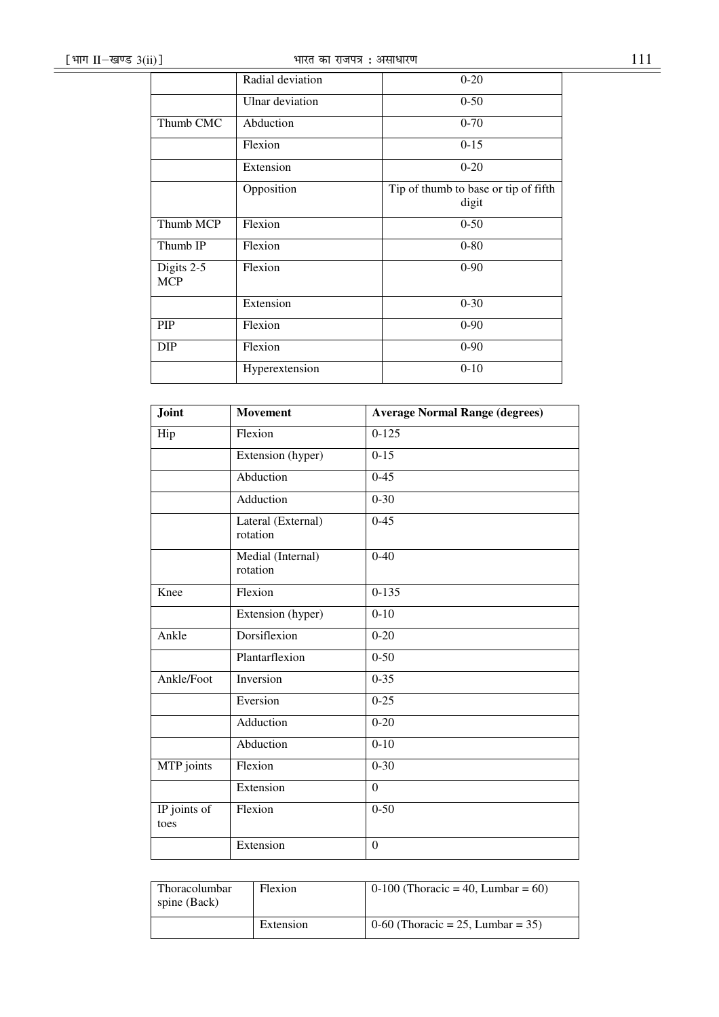|                          | Radial deviation | $0 - 20$                                      |
|--------------------------|------------------|-----------------------------------------------|
|                          | Ulnar deviation  | $0 - 50$                                      |
| Thumb CMC                | Abduction        | $0 - 70$                                      |
|                          | Flexion          | $0 - 15$                                      |
|                          | Extension        | $0 - 20$                                      |
|                          | Opposition       | Tip of thumb to base or tip of fifth<br>digit |
| Thumb MCP                | Flexion          | $0 - 50$                                      |
| Thumb IP                 | Flexion          | $0 - 80$                                      |
| Digits 2-5<br><b>MCP</b> | Flexion          | $0 - 90$                                      |
|                          | Extension        | $0 - 30$                                      |
| PIP                      | Flexion          | $0 - 90$                                      |
| <b>DIP</b>               | Flexion          | $0 - 90$                                      |
|                          | Hyperextension   | $0-10$                                        |

| Joint                | <b>Movement</b>                | <b>Average Normal Range (degrees)</b> |
|----------------------|--------------------------------|---------------------------------------|
| Hip                  | Flexion                        | $0 - 125$                             |
|                      | Extension (hyper)              | $0-15$                                |
|                      | Abduction                      | $0-45$                                |
|                      | Adduction                      | $0 - 30$                              |
|                      | Lateral (External)<br>rotation | $0 - 45$                              |
|                      | Medial (Internal)<br>rotation  | $0-40$                                |
| Knee                 | Flexion                        | $0 - 135$                             |
|                      | Extension (hyper)              | $0 - 10$                              |
| Ankle                | Dorsiflexion                   | $0 - 20$                              |
|                      | Plantarflexion                 | $0 - 50$                              |
| Ankle/Foot           | Inversion                      | $0 - 35$                              |
|                      | Eversion                       | $0 - 25$                              |
|                      | Adduction                      | $0 - 20$                              |
|                      | Abduction                      | $0 - 10$                              |
| MTP joints           | Flexion                        | $0 - 30$                              |
|                      | Extension                      | $\overline{0}$                        |
| IP joints of<br>toes | Flexion                        | $0 - 50$                              |
|                      | Extension                      | $\Omega$                              |

| Thoracolumbar<br>spine (Back) | Flexion   | 0-100 (Thoracic = 40, Lumbar = 60) |
|-------------------------------|-----------|------------------------------------|
|                               | Extension | 0-60 (Thoracic = 25, Lumbar = 35)  |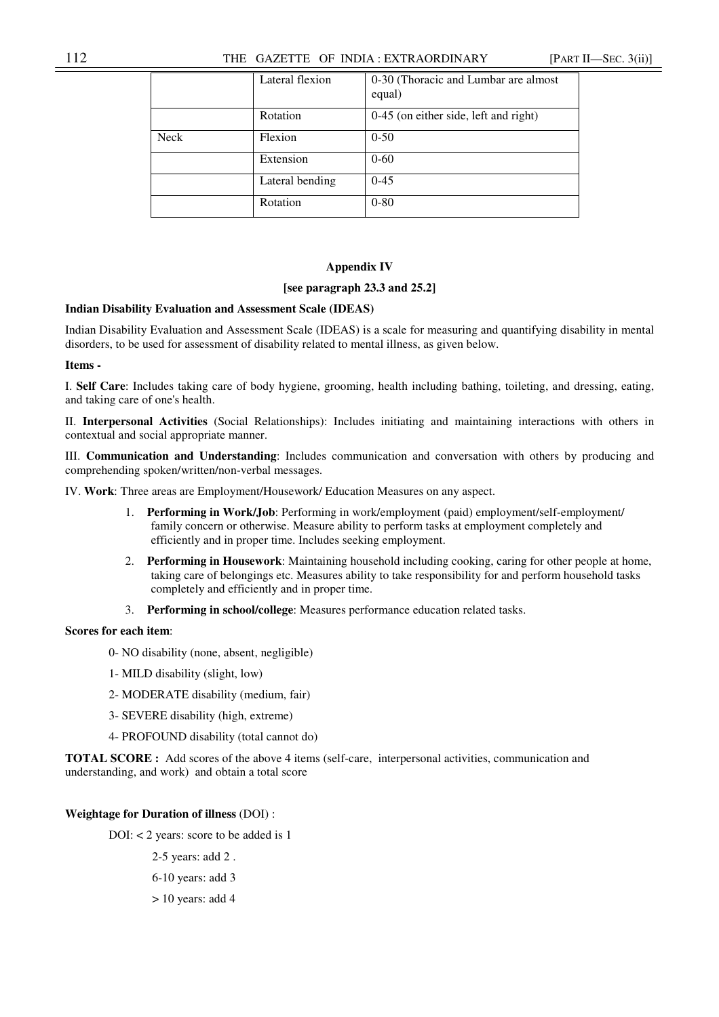# 112 THE GAZETTE OF INDIA : EXTRAORDINARY [PART II—SEC. 3(ii)]

|             | Lateral flexion | 0-30 (Thoracic and Lumbar are almost<br>equal) |
|-------------|-----------------|------------------------------------------------|
|             | Rotation        | 0-45 (on either side, left and right)          |
| <b>Neck</b> | Flexion         | $0 - 50$                                       |
|             | Extension       | $0 - 60$                                       |
|             | Lateral bending | $0 - 45$                                       |
|             | Rotation        | $0 - 80$                                       |

## **Appendix IV**

## **[see paragraph 23.3 and 25.2]**

# **Indian Disability Evaluation and Assessment Scale (IDEAS)**

Indian Disability Evaluation and Assessment Scale (IDEAS) is a scale for measuring and quantifying disability in mental disorders, to be used for assessment of disability related to mental illness, as given below.

# **Items -**

I. **Self Care**: Includes taking care of body hygiene, grooming, health including bathing, toileting, and dressing, eating, and taking care of one's health.

II. **Interpersonal Activities** (Social Relationships): Includes initiating and maintaining interactions with others in contextual and social appropriate manner.

III. **Communication and Understanding**: Includes communication and conversation with others by producing and comprehending spoken/written/non-verbal messages.

IV. **Work**: Three areas are Employment/Housework/ Education Measures on any aspect.

- 1. **Performing in Work/Job**: Performing in work/employment (paid) employment/self-employment/ family concern or otherwise. Measure ability to perform tasks at employment completely and efficiently and in proper time. Includes seeking employment.
- 2. **Performing in Housework**: Maintaining household including cooking, caring for other people at home, taking care of belongings etc. Measures ability to take responsibility for and perform household tasks completely and efficiently and in proper time.
- 3. **Performing in school/college**: Measures performance education related tasks.

# **Scores for each item**:

- 0- NO disability (none, absent, negligible)
- 1- MILD disability (slight, low)
- 2- MODERATE disability (medium, fair)
- 3- SEVERE disability (high, extreme)
- 4- PROFOUND disability (total cannot do)

**TOTAL SCORE :** Add scores of the above 4 items (self-care, interpersonal activities, communication and understanding, and work) and obtain a total score

## **Weightage for Duration of illness** (DOI) :

DOI: < 2 years: score to be added is 1

2-5 years: add 2 .

6-10 years: add 3

> 10 years: add 4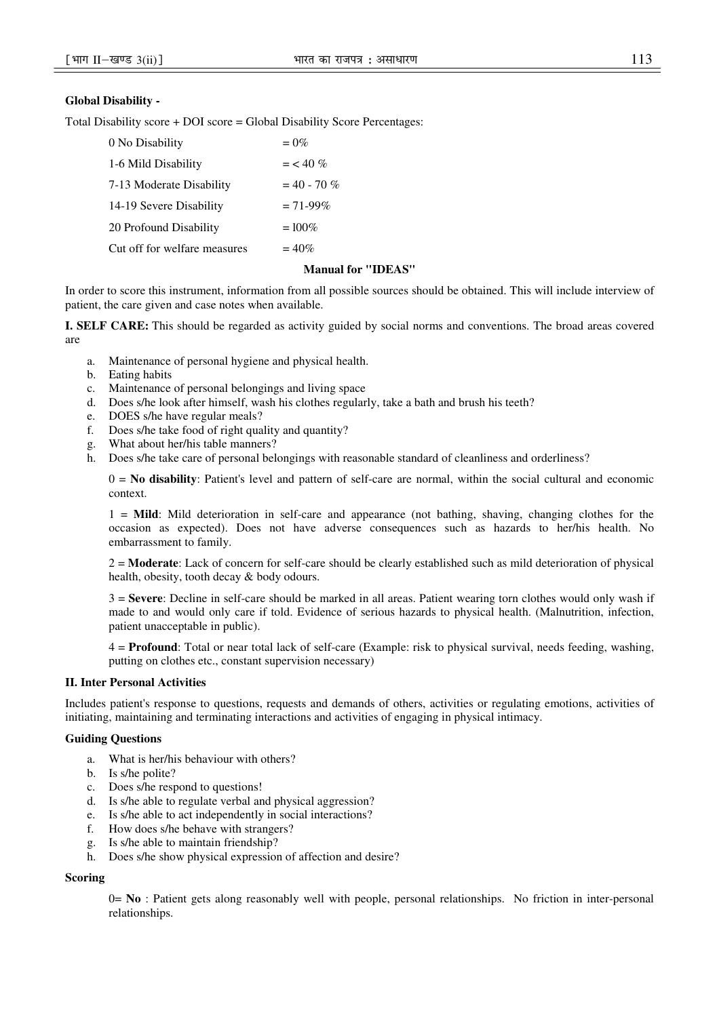# **Global Disability -**

Total Disability score + DOI score = Global Disability Score Percentages:

| 0 No Disability              | $= 0\%$       |
|------------------------------|---------------|
| 1-6 Mild Disability          | $=$ < 40 %    |
| 7-13 Moderate Disability     | $= 40 - 70 %$ |
| 14-19 Severe Disability      | $= 71 - 99\%$ |
| 20 Profound Disability       | $=100\%$      |
| Cut off for welfare measures | $= 40\%$      |
|                              |               |

## **Manual for "IDEAS"**

In order to score this instrument, information from all possible sources should be obtained. This will include interview of patient, the care given and case notes when available.

**I. SELF CARE:** This should be regarded as activity guided by social norms and conventions. The broad areas covered are

- a. Maintenance of personal hygiene and physical health.
- b. Eating habits
- c. Maintenance of personal belongings and living space
- d. Does s/he look after himself, wash his clothes regularly, take a bath and brush his teeth?
- e. DOES s/he have regular meals?
- f. Does s/he take food of right quality and quantity?
- g. What about her/his table manners?
- h. Does s/he take care of personal belongings with reasonable standard of cleanliness and orderliness?

0 = **No disability**: Patient's level and pattern of self-care are normal, within the social cultural and economic context.

1 = **Mild**: Mild deterioration in self-care and appearance (not bathing, shaving, changing clothes for the occasion as expected). Does not have adverse consequences such as hazards to her/his health. No embarrassment to family.

2 = **Moderate**: Lack of concern for self-care should be clearly established such as mild deterioration of physical health, obesity, tooth decay & body odours.

3 = **Severe**: Decline in self-care should be marked in all areas. Patient wearing torn clothes would only wash if made to and would only care if told. Evidence of serious hazards to physical health. (Malnutrition, infection, patient unacceptable in public).

4 = **Profound**: Total or near total lack of self-care (Example: risk to physical survival, needs feeding, washing, putting on clothes etc., constant supervision necessary)

# **II. Inter Personal Activities**

Includes patient's response to questions, requests and demands of others, activities or regulating emotions, activities of initiating, maintaining and terminating interactions and activities of engaging in physical intimacy.

## **Guiding Questions**

- a. What is her/his behaviour with others?
- b. Is s/he polite?
- c. Does s/he respond to questions!
- d. Is s/he able to regulate verbal and physical aggression?
- e. Is s/he able to act independently in social interactions?
- f. How does s/he behave with strangers?
- g. Is s/he able to maintain friendship?
- h. Does s/he show physical expression of affection and desire?

## **Scoring**

0= **No** : Patient gets along reasonably well with people, personal relationships. No friction in inter-personal relationships.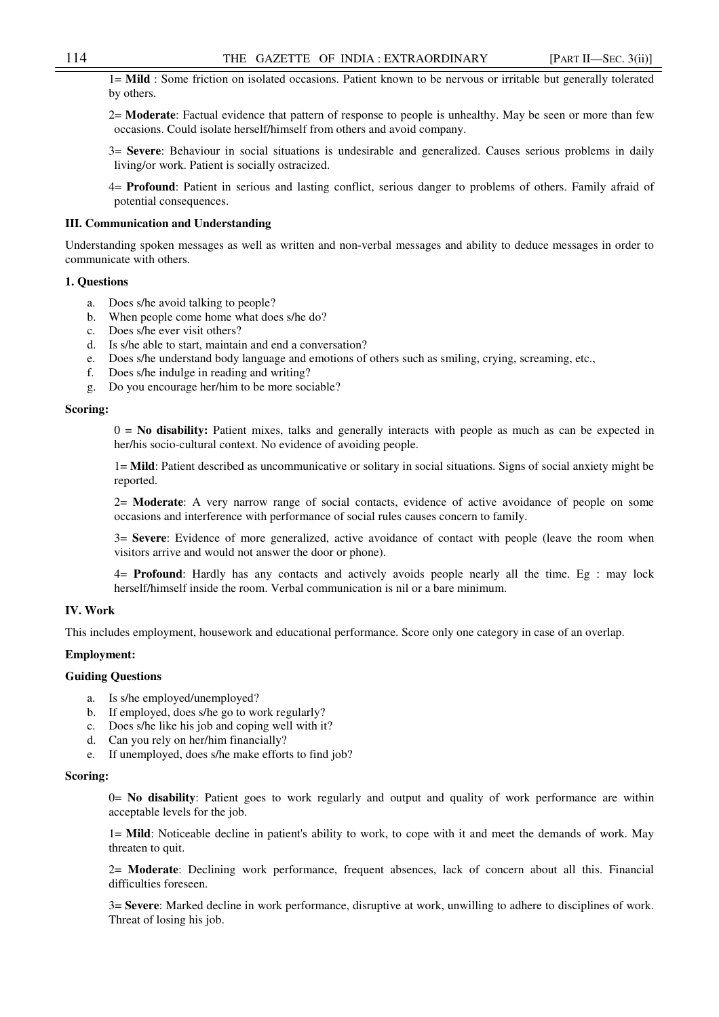1= **Mild** : Some friction on isolated occasions. Patient known to be nervous or irritable but generally tolerated by others.

2= **Moderate**: Factual evidence that pattern of response to people is unhealthy. May be seen or more than few occasions. Could isolate herself/himself from others and avoid company.

3= **Severe**: Behaviour in social situations is undesirable and generalized. Causes serious problems in daily living/or work. Patient is socially ostracized.

4= **Profound**: Patient in serious and lasting conflict, serious danger to problems of others. Family afraid of potential consequences.

## **III. Communication and Understanding**

Understanding spoken messages as well as written and non-verbal messages and ability to deduce messages in order to communicate with others.

## **1. Questions**

- a. Does s/he avoid talking to people?
- b. When people come home what does s/he do?
- c. Does s/he ever visit others?
- d. Is s/he able to start, maintain and end a conversation?
- e. Does s/he understand body language and emotions of others such as smiling, crying, screaming, etc.,
- f. Does s/he indulge in reading and writing?
- g. Do you encourage her/him to be more sociable?

## **Scoring:**

0 = **No disability:** Patient mixes, talks and generally interacts with people as much as can be expected in her/his socio-cultural context. No evidence of avoiding people.

1= **Mild**: Patient described as uncommunicative or solitary in social situations. Signs of social anxiety might be reported.

2= **Moderate**: A very narrow range of social contacts, evidence of active avoidance of people on some occasions and interference with performance of social rules causes concern to family.

3= **Severe**: Evidence of more generalized, active avoidance of contact with people (leave the room when visitors arrive and would not answer the door or phone).

4= **Profound**: Hardly has any contacts and actively avoids people nearly all the time. Eg : may lock herself/himself inside the room. Verbal communication is nil or a bare minimum.

## **IV. Work**

This includes employment, housework and educational performance. Score only one category in case of an overlap.

## **Employment:**

#### **Guiding Questions**

- a. Is s/he employed/unemployed?
- b. If employed, does s/he go to work regularly?
- c. Does s/he like his job and coping well with it?
- d. Can you rely on her/him financially?
- e. If unemployed, does s/he make efforts to find job?

## **Scoring:**

0= **No disability**: Patient goes to work regularly and output and quality of work performance are within acceptable levels for the job.

1= **Mild**: Noticeable decline in patient's ability to work, to cope with it and meet the demands of work. May threaten to quit.

2= **Moderate**: Declining work performance, frequent absences, lack of concern about all this. Financial difficulties foreseen.

3= **Severe**: Marked decline in work performance, disruptive at work, unwilling to adhere to disciplines of work. Threat of losing his job.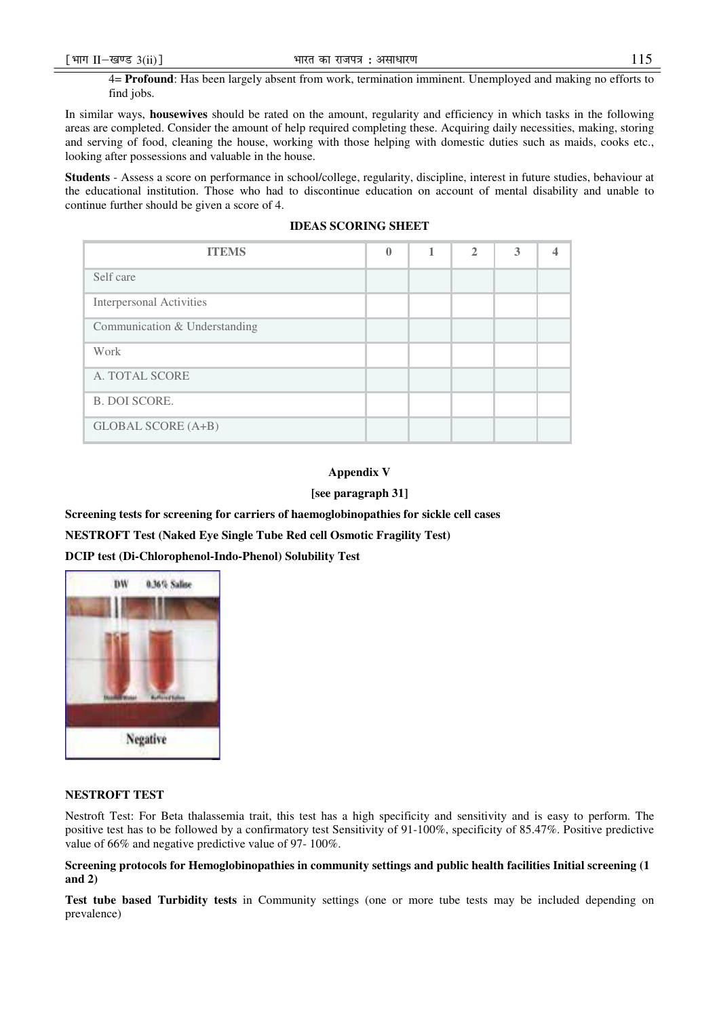find jobs.

In similar ways, **housewives** should be rated on the amount, regularity and efficiency in which tasks in the following areas are completed. Consider the amount of help required completing these. Acquiring daily necessities, making, storing and serving of food, cleaning the house, working with those helping with domestic duties such as maids, cooks etc., looking after possessions and valuable in the house.

**Students** - Assess a score on performance in school/college, regularity, discipline, interest in future studies, behaviour at the educational institution. Those who had to discontinue education on account of mental disability and unable to continue further should be given a score of 4.

|  | <b>IDEAS SCORING SHEET</b> |  |
|--|----------------------------|--|
|--|----------------------------|--|

| <b>ITEMS</b>                    | 0 | $\mathbf{2}$ | 3 |  |
|---------------------------------|---|--------------|---|--|
| Self care                       |   |              |   |  |
| <b>Interpersonal Activities</b> |   |              |   |  |
| Communication & Understanding   |   |              |   |  |
| Work                            |   |              |   |  |
| A. TOTAL SCORE                  |   |              |   |  |
| <b>B. DOI SCORE.</b>            |   |              |   |  |
| <b>GLOBAL SCORE (A+B)</b>       |   |              |   |  |

# **Appendix V**

# **[see paragraph 31]**

**Screening tests for screening for carriers of haemoglobinopathies for sickle cell cases** 

**NESTROFT Test (Naked Eye Single Tube Red cell Osmotic Fragility Test)** 

**DCIP test (Di-Chlorophenol-Indo-Phenol) Solubility Test** 



## **NESTROFT TEST**

Nestroft Test: For Beta thalassemia trait, this test has a high specificity and sensitivity and is easy to perform. The positive test has to be followed by a confirmatory test Sensitivity of 91-100%, specificity of 85.47%. Positive predictive value of 66% and negative predictive value of 97- 100%.

# **Screening protocols for Hemoglobinopathies in community settings and public health facilities Initial screening (1 and 2)**

**Test tube based Turbidity tests** in Community settings (one or more tube tests may be included depending on prevalence)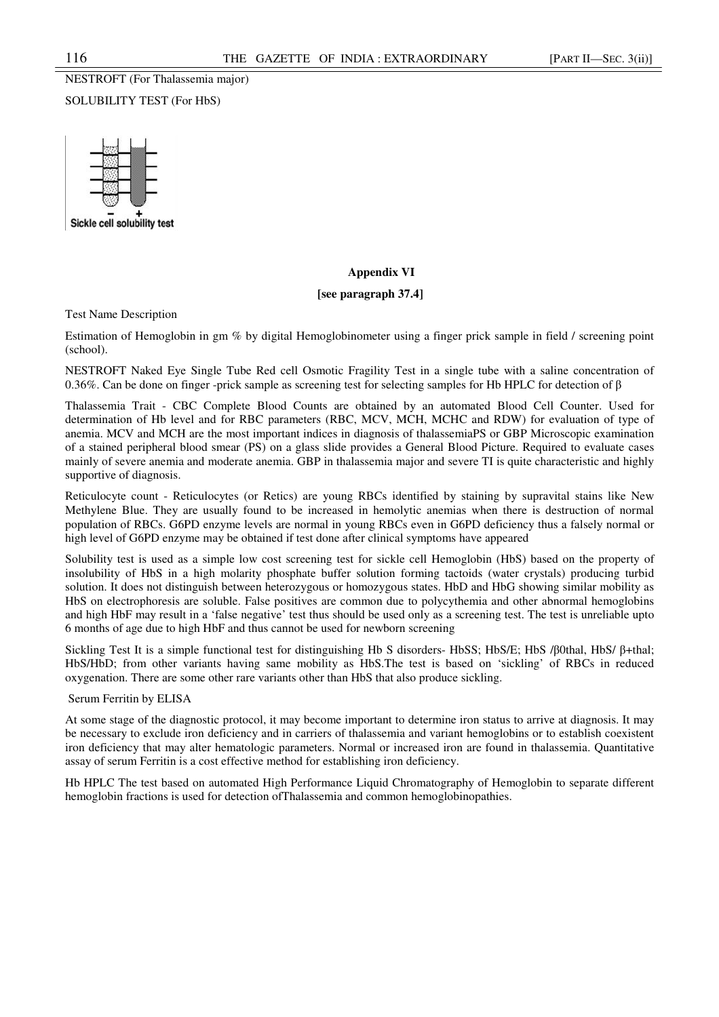# NESTROFT (For Thalassemia major) SOLUBILITY TEST (For HbS)



# **Appendix VI**

## **[see paragraph 37.4]**

Test Name Description

Estimation of Hemoglobin in gm % by digital Hemoglobinometer using a finger prick sample in field / screening point (school).

NESTROFT Naked Eye Single Tube Red cell Osmotic Fragility Test in a single tube with a saline concentration of 0.36%. Can be done on finger -prick sample as screening test for selecting samples for Hb HPLC for detection of β

Thalassemia Trait - CBC Complete Blood Counts are obtained by an automated Blood Cell Counter. Used for determination of Hb level and for RBC parameters (RBC, MCV, MCH, MCHC and RDW) for evaluation of type of anemia. MCV and MCH are the most important indices in diagnosis of thalassemiaPS or GBP Microscopic examination of a stained peripheral blood smear (PS) on a glass slide provides a General Blood Picture. Required to evaluate cases mainly of severe anemia and moderate anemia. GBP in thalassemia major and severe TI is quite characteristic and highly supportive of diagnosis.

Reticulocyte count - Reticulocytes (or Retics) are young RBCs identified by staining by supravital stains like New Methylene Blue. They are usually found to be increased in hemolytic anemias when there is destruction of normal population of RBCs. G6PD enzyme levels are normal in young RBCs even in G6PD deficiency thus a falsely normal or high level of G6PD enzyme may be obtained if test done after clinical symptoms have appeared

Solubility test is used as a simple low cost screening test for sickle cell Hemoglobin (HbS) based on the property of insolubility of HbS in a high molarity phosphate buffer solution forming tactoids (water crystals) producing turbid solution. It does not distinguish between heterozygous or homozygous states. HbD and HbG showing similar mobility as HbS on electrophoresis are soluble. False positives are common due to polycythemia and other abnormal hemoglobins and high HbF may result in a 'false negative' test thus should be used only as a screening test. The test is unreliable upto 6 months of age due to high HbF and thus cannot be used for newborn screening

Sickling Test It is a simple functional test for distinguishing Hb S disorders- HbSS; HbS/E; HbS /β0thal, HbS/ β+thal; HbS/HbD; from other variants having same mobility as HbS.The test is based on 'sickling' of RBCs in reduced oxygenation. There are some other rare variants other than HbS that also produce sickling.

## Serum Ferritin by ELISA

At some stage of the diagnostic protocol, it may become important to determine iron status to arrive at diagnosis. It may be necessary to exclude iron deficiency and in carriers of thalassemia and variant hemoglobins or to establish coexistent iron deficiency that may alter hematologic parameters. Normal or increased iron are found in thalassemia. Quantitative assay of serum Ferritin is a cost effective method for establishing iron deficiency.

Hb HPLC The test based on automated High Performance Liquid Chromatography of Hemoglobin to separate different hemoglobin fractions is used for detection ofThalassemia and common hemoglobinopathies.